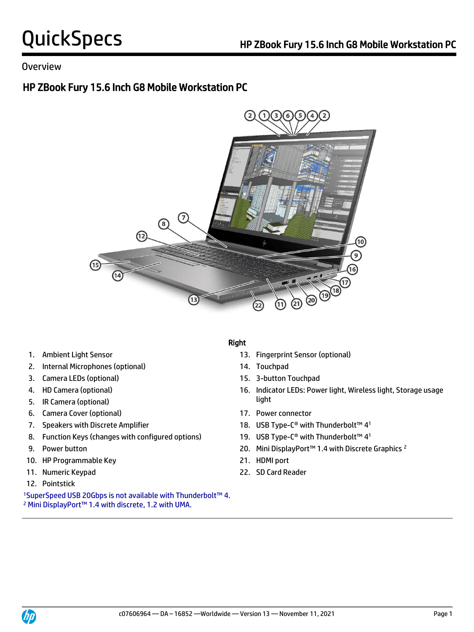## Overview

# HP ZBook Fury 15.6 Inch G8 Mobile Workstation PC



- 
- 2. Internal Microphones (optional) 14. Touchpad
- 3. Camera LEDs (optional) 15. 3-button Touchpad
- 
- **light** 5. IR Camera (optional) **Solution** 3. If  $\int$
- 6. Camera Cover (optional) 17. Power connector
- 
- 8. Function Keys (changes with configured options)
- 
- 10. HP Programmable Key 21. HDMI port
- 
- 12. Pointstick

<sup>1</sup>SuperSpeed USB 20Gbps is not available with Thunderbolt™ 4. <sup>2</sup> Mini DisplayPort™ 1.4 with discrete, 1.2 with UMA.

## Right

- 1. Ambient Light Sensor 13. Fingerprint Sensor (optional)
	-
	-
- 4. HD Camera (optional) 16. Indicator LEDs: Power light, Wireless light, Storage usage
	-
- 7. Speakers with Discrete Amplifier 18. USB Type-C® with Thunderbolt™ 41
	- 19. USB Type-C<sup>®</sup> with Thunderbolt™ 4<sup>1</sup>
- 9. Power button 20. Mini DisplayPort™ 1.4 with Discrete Graphics <sup>2</sup>
	-
- 11. Numeric Keypad 22. SD Card Reader

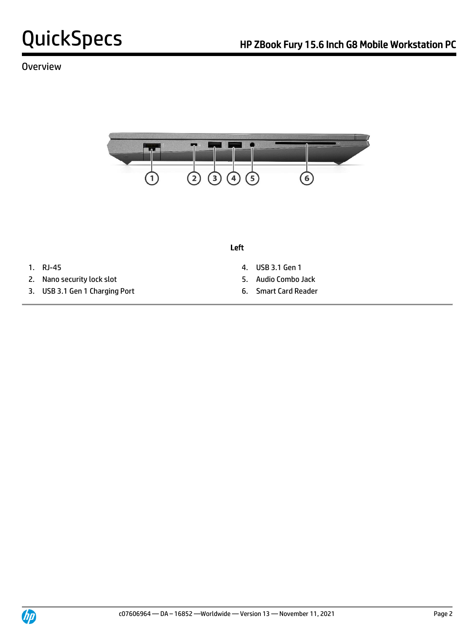## **Overview**



Left

- 
- 2. Nano security lock slot 5. Audio Combo Jack
- 3. USB 3.1 Gen 1 Charging Port 6. Smart Card Reader
- 1. RJ-45 4. USB 3.1 Gen 1
	-
	-

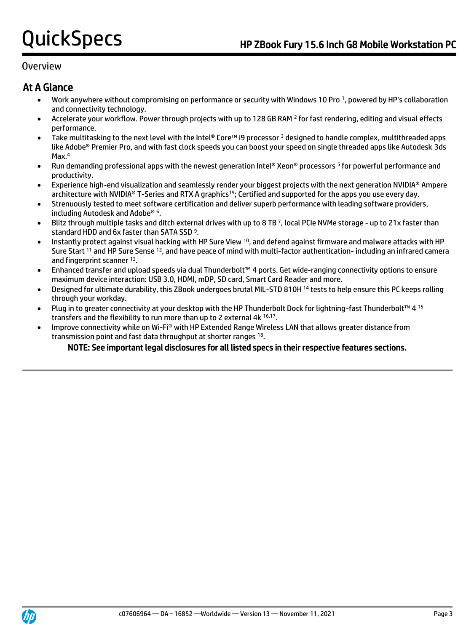## Overview

# At A Glance

- Work anywhere without compromising on performance or security with Windows 10 Pro <sup>1</sup> , powered by HP's collaboration and connectivity technology.
- Accelerate your workflow. Power through projects with up to 128 GB RAM <sup>2</sup> for fast rendering, editing and visual effects performance.
- Take multitasking to the next level with the Intel® Core™ i9 processor <sup>3</sup> designed to handle complex, multithreaded apps like Adobe® Premier Pro, and with fast clock speeds you can boost your speed on single threaded apps like Autodesk 3ds Max.<sup>4</sup>
- Run demanding professional apps with the newest generation Intel® Xeon® processors <sup>5</sup> for powerful performance and productivity.
- Experience high-end visualization and seamlessly render your biggest projects with the next generation NVIDIA® Ampere architecture with NVIDIA® T-Series and RTX A graphics<sup>19</sup>; Certified and supported for the apps you use every day.
- Strenuously tested to meet software certification and deliver superb performance with leading software providers, including Autodesk and Adobe® <sup>6</sup> .
- Blitz through multiple tasks and ditch external drives with up to 8 TB <sup>7</sup> , local PCIe NVMe storage up to 21x faster than standard HDD and 6x faster than SATA SSD<sup>9</sup>.
- Instantly protect against visual hacking with HP Sure View <sup>10</sup>, and defend against firmware and malware attacks with HP Sure Start <sup>11</sup> and HP Sure Sense <sup>12</sup>, and have peace of mind with multi-factor authentication- including an infrared camera and fingerprint scanner 13.
- Enhanced transfer and upload speeds via dual Thunderbolt™ 4 ports. Get wide-ranging connectivity options to ensure maximum device interaction: USB 3.0, HDMI, mDP, SD card, Smart Card Reader and more.
- Designed for ultimate durability, this ZBook undergoes brutal MIL-STD 810H <sup>14</sup> tests to help ensure this PC keeps rolling through your workday.
- Plug in to greater connectivity at your desktop with the HP Thunderbolt Dock for lightning-fast Thunderbolt™ 4 15 transfers and the flexibility to run more than up to 2 external 4k 16,17.
- Improve connectivity while on Wi-Fi® with HP Extended Range Wireless LAN that allows greater distance from transmission point and fast data throughput at shorter ranges 18.

## NOTE: See important legal disclosures for all listed specs in their respective features sections.

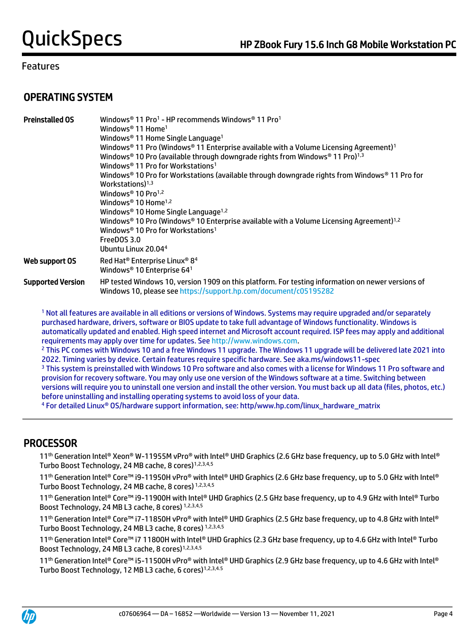# OPERATING SYSTEM

| <b>Preinstalled OS</b>   | Windows® 11 Pro1 - HP recommends Windows® 11 Pro1<br>Windows <sup>®</sup> 11 Home <sup>1</sup><br>Windows <sup>®</sup> 11 Home Single Language <sup>1</sup><br>Windows <sup>®</sup> 11 Pro (Windows <sup>®</sup> 11 Enterprise available with a Volume Licensing Agreement) <sup>1</sup><br>Windows <sup>®</sup> 10 Pro (available through downgrade rights from Windows <sup>®</sup> 11 Pro) <sup>1,3</sup><br>Windows <sup>®</sup> 11 Pro for Workstations <sup>1</sup><br>Windows® 10 Pro for Workstations (available through downgrade rights from Windows® 11 Pro for<br>Workstations) $1,3$<br>Windows <sup>®</sup> 10 Pro <sup>1,2</sup><br>Windows <sup>®</sup> 10 Home <sup>1,2</sup><br>Windows <sup>®</sup> 10 Home Single Language <sup>1,2</sup><br>Windows <sup>®</sup> 10 Pro (Windows <sup>®</sup> 10 Enterprise available with a Volume Licensing Agreement) <sup>1,2</sup><br>Windows <sup>®</sup> 10 Pro for Workstations <sup>1</sup><br>FreeDOS 3.0<br>Ubuntu Linux 20.044 |
|--------------------------|-------------------------------------------------------------------------------------------------------------------------------------------------------------------------------------------------------------------------------------------------------------------------------------------------------------------------------------------------------------------------------------------------------------------------------------------------------------------------------------------------------------------------------------------------------------------------------------------------------------------------------------------------------------------------------------------------------------------------------------------------------------------------------------------------------------------------------------------------------------------------------------------------------------------------------------------------------------------------------------------------|
| Web support OS           | Red Hat <sup>®</sup> Enterprise Linux <sup>®</sup> 8 <sup>4</sup><br>Windows <sup>®</sup> 10 Enterprise 64 <sup>1</sup>                                                                                                                                                                                                                                                                                                                                                                                                                                                                                                                                                                                                                                                                                                                                                                                                                                                                         |
| <b>Supported Version</b> | HP tested Windows 10, version 1909 on this platform. For testing information on newer versions of<br>Windows 10, please see https://support.hp.com/document/c05195282                                                                                                                                                                                                                                                                                                                                                                                                                                                                                                                                                                                                                                                                                                                                                                                                                           |

<sup>1</sup> Not all features are available in all editions or versions of Windows. Systems may require upgraded and/or separately purchased hardware, drivers, software or BIOS update to take full advantage of Windows functionality. Windows is automatically updated and enabled. High speed internet and Microsoft account required. ISP fees may apply and additional requirements may apply over time for updates. Se[e http://www.windows.com.](http://www.windows.com/)

<sup>2</sup> This PC comes with Windows 10 and a free Windows 11 upgrade. The Windows 11 upgrade will be delivered late 2021 into 2022. Timing varies by device. Certain features require specific hardware. See aka.ms/windows11-spec

<sup>3</sup> This system is preinstalled with Windows 10 Pro software and also comes with a license for Windows 11 Pro software and provision for recovery software. You may only use one version of the Windows software at a time. Switching between versions will require you to uninstall one version and install the other version. You must back up all data (files, photos, etc.) before uninstalling and installing operating systems to avoid loss of your data.

<sup>4</sup> For detailed Linux® OS/hardware support information, see: http/www.hp.com/linux\_hardware\_matrix

## PROCESSOR

 11 th Generation Intel® Xeon® W-11955M vPro® with Intel® UHD Graphics (2.6 GHz base frequency, up to 5.0 GHz with Intel® Turbo Boost Technology, 24 MB cache, 8 cores)<sup>1,2,3,4,5</sup>

11th Generation Intel® Core™ i9-11950H vPro® with Intel® UHD Graphics (2.6 GHz base frequency, up to 5.0 GHz with Intel® Turbo Boost Technology, 24 MB cache, 8 cores) 1,2,3,4,5

11th Generation Intel® Core™ i9-11900H with Intel® UHD Graphics (2.5 GHz base frequency, up to 4.9 GHz with Intel® Turbo Boost Technology, 24 MB L3 cache, 8 cores) 1,2,3,4,5

11th Generation Intel® Core™ i7-11850H vPro® with Intel® UHD Graphics (2.5 GHz base frequency, up to 4.8 GHz with Intel® Turbo Boost Technology, 24 MB L3 cache, 8 cores) 1,2,3,4,5

11th Generation Intel® Core™ i7 11800H with Intel® UHD Graphics (2.3 GHz base frequency, up to 4.6 GHz with Intel® Turbo Boost Technology, 24 MB L3 cache, 8 cores)<sup>1,2,3,4,5</sup>

11th Generation Intel® Core™ i5-11500H vPro® with Intel® UHD Graphics (2.9 GHz base frequency, up to 4.6 GHz with Intel® Turbo Boost Technology, 12 MB L3 cache, 6 cores)1,2,3,4.5

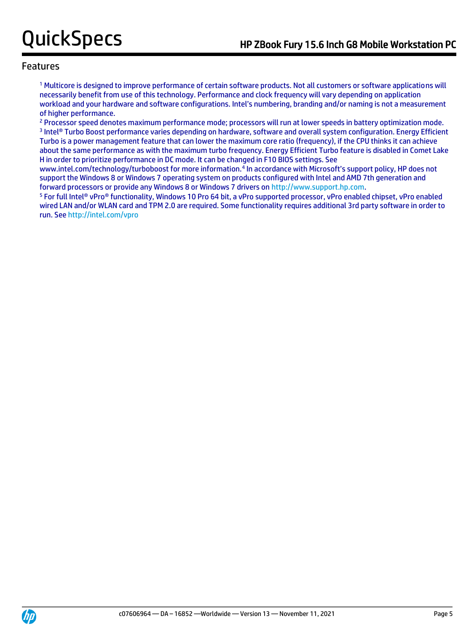<sup>1</sup> Multicore is designed to improve performance of certain software products. Not all customers or software applications will necessarily benefit from use of this technology. Performance and clock frequency will vary depending on application workload and your hardware and software configurations. Intel's numbering, branding and/or naming is not a measurement of higher performance.

<sup>2</sup> Processor speed denotes maximum performance mode; processors will run at lower speeds in battery optimization mode. 3 Intel® Turbo Boost performance varies depending on hardware, software and overall system configuration. Energy Efficient Turbo is a power management feature that can lower the maximum core ratio (frequency), if the CPU thinks it can achieve about the same performance as with the maximum turbo frequency. Energy Efficient Turbo feature is disabled in Comet Lake H in order to prioritize performance in DC mode. It can be changed in F10 BIOS settings. See

www.intel.com/technology/turboboost for more information.<sup>4</sup> In accordance with Microsoft's support policy, HP does not support the Windows 8 or Windows 7 operating system on products configured with Intel and AMD 7th generation and forward processors or provide any Windows 8 or Windows 7 drivers on [http://www.support.hp.com.](http://www.support.hp.com/)

<sup>5</sup> For full Intel® vPro® functionality, Windows 10 Pro 64 bit, a vPro supported processor, vPro enabled chipset, vPro enabled wired LAN and/or WLAN card and TPM 2.0 are required. Some functionality requires additional 3rd party software in order to run. Se[e http://intel.com/vpro](http://intel.com/vpro)

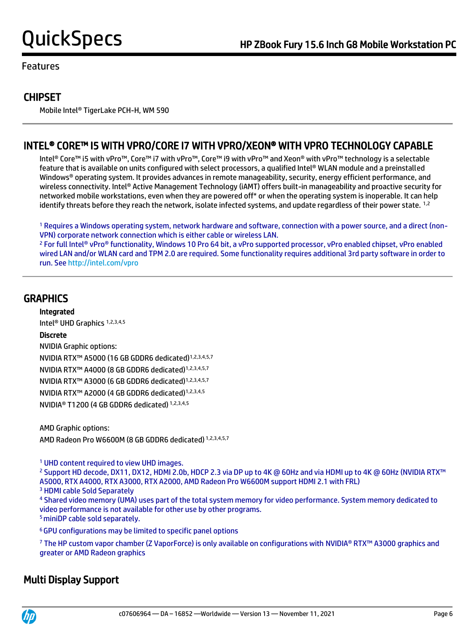# **CHIPSET**

Mobile Intel® TigerLake PCH-H, WM 590

# INTEL® CORE™ I5 WITH VPRO/CORE I7 WITH VPRO/XEON® WITH VPRO TECHNOLOGY CAPABLE

 Intel® Core™ i5 with vPro™, Core™ i7 with vPro™, Core™ i9 with vPro™ and Xeon® with vPro™ technology is a selectable feature that is available on units configured with select processors, a qualified Intel® WLAN module and a preinstalled Windows® operating system. It provides advances in remote manageability, security, energy efficient performance, and wireless connectivity. Intel® Active Management Technology (iAMT) offers built-in manageability and proactive security for networked mobile workstations, even when they are powered off\* or when the operating system is inoperable. It can help identify threats before they reach the network, isolate infected systems, and update regardless of their power state. <sup>1,2</sup>

<sup>1</sup> Requires a Windows operating system, network hardware and software, connection with a power source, and a direct (non-VPN) corporate network connection which is either cable or wireless LAN.

<sup>2</sup> For full Intel® vPro® functionality, Windows 10 Pro 64 bit, a vPro supported processor, vPro enabled chipset, vPro enabled wired LAN and/or WLAN card and TPM 2.0 are required. Some functionality requires additional 3rd party software in order to run. Se[e http://intel.com/vpro](http://intel.com/vpro)

## **GRAPHICS**

Integrated

Intel® UHD Graphics 1,2,3,4,5

## Discrete

NVIDIA Graphic options: NVIDIA RTX™ A5000 (16 GB GDDR6 dedicated)1,2,3,4,5,7 NVIDIA RTX™ A4000 (8 GB GDDR6 dedicated)1,2,3,4,5,7 NVIDIA RTX™ A3000 (6 GB GDDR6 dedicated)1,2,3,4,5,7 NVIDIA RTX™ A2000 (4 GB GDDR6 dedicated)1,2,3,4,5 NVIDIA® T1200 (4 GB GDDR6 dedicated) 1,2,3,4,5

AMD Graphic options: AMD Radeon Pro W6600M (8 GB GDDR6 dedicated) 1,2,3,4,5,7

<sup>1</sup> UHD content required to view UHD images.

<sup>2</sup> Support HD decode, DX11, DX12, HDMI 2.0b, HDCP 2.3 via DP up to 4K @ 60Hz and via HDMI up to 4K @ 60Hz (NVIDIA RTX™ A5000, RTX A4000, RTX A3000, RTX A2000, AMD Radeon Pro W6600M support HDMI 2.1 with FRL)

<sup>3</sup> HDMI cable Sold Separately

<sup>4</sup> Shared video memory (UMA) uses part of the total system memory for video performance. System memory dedicated to video performance is not available for other use by other programs. <sup>5</sup> miniDP cable sold separately.

<sup>6</sup>GPU configurations may be limited to specific panel options

<sup>7</sup> The HP custom vapor chamber (Z VaporForce) is only available on configurations with NVIDIA® RTX™ A3000 graphics and greater or AMD Radeon graphics

# Multi Display Support

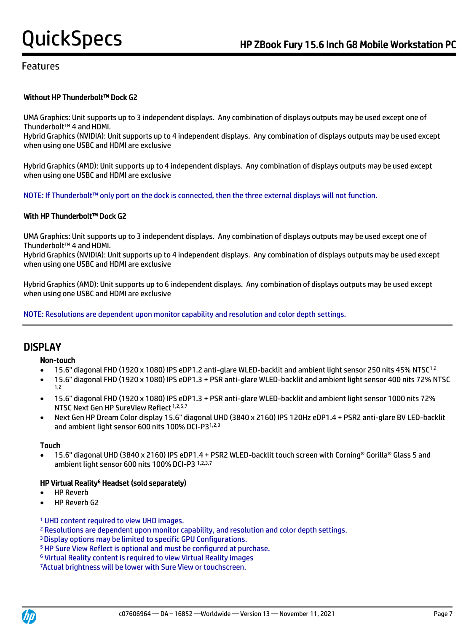## Without HP Thunderbolt™ Dock G2

UMA Graphics: Unit supports up to 3 independent displays. Any combination of displays outputs may be used except one of Thunderbolt™ 4 and HDMI.

Hybrid Graphics (NVIDIA): Unit supports up to 4 independent displays. Any combination of displays outputs may be used except when using one USBC and HDMI are exclusive

Hybrid Graphics (AMD): Unit supports up to 4 independent displays. Any combination of displays outputs may be used except when using one USBC and HDMI are exclusive

NOTE: If Thunderbolt™ only port on the dock is connected, then the three external displays will not function.

### With HP Thunderbolt™ Dock G2

UMA Graphics: Unit supports up to 3 independent displays. Any combination of displays outputs may be used except one of Thunderbolt™ 4 and HDMI.

Hybrid Graphics (NVIDIA): Unit supports up to 4 independent displays. Any combination of displays outputs may be used except when using one USBC and HDMI are exclusive

Hybrid Graphics (AMD): Unit supports up to 6 independent displays. Any combination of displays outputs may be used except when using one USBC and HDMI are exclusive

NOTE: Resolutions are dependent upon monitor capability and resolution and color depth settings.

## **DISPLAY**

### Non-touch

- 15.6" diagonal FHD (1920 x 1080) IPS eDP1.2 anti-glare WLED-backlit and ambient light sensor 250 nits 45% NTSC1,2
- 15.6" diagonal FHD (1920 x 1080) IPS eDP1.3 + PSR anti-glare WLED-backlit and ambient light sensor 400 nits 72% NTSC 1,2
- 15.6" diagonal FHD (1920 x 1080) IPS eDP1.3 + PSR anti-glare WLED-backlit and ambient light sensor 1000 nits 72% NTSC Next Gen HP SureView Reflect 1,2,5,7
- Next Gen HP Dream Color display 15.6" diagonal UHD (3840 x 2160) IPS 120Hz eDP1.4 + PSR2 anti-glare BV LED-backlit and ambient light sensor 600 nits 100% DCI-P31,2,3

### Touch

• 15.6" diagonal UHD (3840 x 2160) IPS eDP1.4 + PSR2 WLED-backlit touch screen with Corning® Gorilla® Glass 5 and ambient light sensor 600 nits 100% DCI-P3 1,2,3,7

### HP Virtual Reality<sup>6</sup> Headset (sold separately)

- **HP Reverb**
- HP Reverb G2

### <sup>1</sup> UHD content required to view UHD images.

- <sup>2</sup> Resolutions are dependent upon monitor capability, and resolution and color depth settings.
- <sup>3</sup>Display options may be limited to specific GPU Configurations.
- <sup>5</sup> HP Sure View Reflect is optional and must be configured at purchase.
- <sup>6</sup> Virtual Reality content is required to view Virtual Reality images

7Actual brightness will be lower with Sure View or touchscreen.



 $\overline{a}$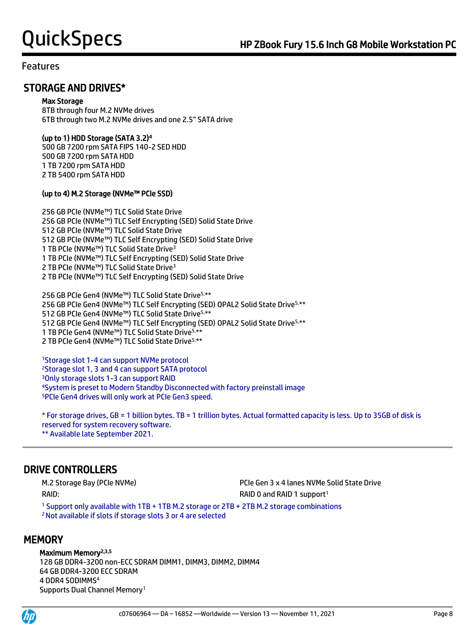## STORAGE AND DRIVES\*

### Max Storage

8TB through four M.2 NVMe drives 6TB through two M.2 NVMe drives and one 2.5" SATA drive

## (up to 1) HDD Storage (SATA 3.2)<sup>4</sup>

500 GB 7200 rpm SATA FIPS 140-2 SED HDD 500 GB 7200 rpm SATA HDD 1 TB 7200 rpm SATA HDD 2 TB 5400 rpm SATA HDD

## (up to 4) M.2 Storage (NVMe™ PCIe SSD)

256 GB PCIe (NVMe™) TLC Solid State Drive 256 GB PCIe (NVMe™) TLC Self Encrypting (SED) Solid State Drive 512 GB PCIe (NVMe™) TLC Solid State Drive 512 GB PCIe (NVMe™) TLC Self Encrypting (SED) Solid State Drive 1 TB PCIe (NVMe™) TLC Solid State Drive<sup>3</sup> 1 TB PCIe (NVMe™) TLC Self Encrypting (SED) Solid State Drive 2 TB PCIe (NVMe™) TLC Solid State Drive<sup>3</sup> 2 TB PCIe (NVMe™) TLC Self Encrypting (SED) Solid State Drive

256 GB PCIe Gen4 (NVMe™) TLC Solid State Drive5,\*\* 256 GB PCIe Gen4 (NVMe™) TLC Self Encrypting (SED) OPAL2 Solid State Drive<sup>5,\*\*</sup> GB PCIe Gen4 (NVMe™) TLC Solid State Drive5,\*\* GB PCIe Gen4 (NVMe™) TLC Self Encrypting (SED) OPAL2 Solid State Drive5,\*\* TB PCIe Gen4 (NVMe™) TLC Solid State Drive5,\*\* TB PCIe Gen4 (NVMe™) TLC Solid State Drive5,\*\*

Storage slot 1-4 can support NVMe protocol Storage slot 1, 3 and 4 can support SATA protocol Only storage slots 1-3 can support RAID System is preset to Modern Standby Disconnected with factory preinstall image PCIe Gen4 drives will only work at PCIe Gen3 speed.

\* For storage drives, GB = 1 billion bytes. TB = 1 trillion bytes. Actual formatted capacity is less. Up to 35GB of disk is reserved for system recovery software. \*\* Available late September 2021.

# DRIVE CONTROLLERS

RAID: RAID: RAID: RAID 0 and RAID 1 support<sup>1</sup>

M.2 Storage Bay (PCIe NVMe) PCIe Gen 3 x 4 lanes NVMe Solid State Drive

<sup>1</sup> Support only available with 1TB + 1TB M.2 storage or 2TB + 2TB M.2 storage combinations <sup>2</sup>Not available if slots if storage slots 3 or 4 are selected

# **MEMORY**

### Maximum Memory<sup>2,3,5</sup>

128 GB DDR4-3200 non-ECC SDRAM DIMM1, DIMM3, DIMM2, DIMM4 64 GB DDR4-3200 ECC SDRAM 4 DDR4 SODIMMS<sup>4</sup> Supports Dual Channel Memory1



 $\overline{a}$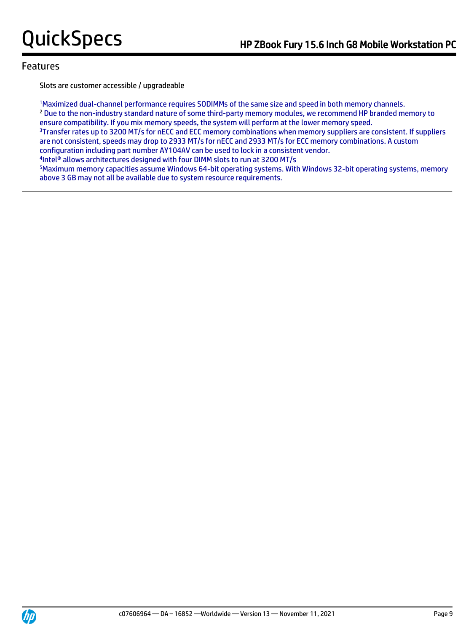Slots are customer accessible / upgradeable

<sup>1</sup>Maximized dual-channel performance requires SODIMMs of the same size and speed in both memory channels. <sup>2</sup> Due to the non-industry standard nature of some third-party memory modules, we recommend HP branded memory to ensure compatibility. If you mix memory speeds, the system will perform at the lower memory speed. <sup>3</sup>Transfer rates up to 3200 MT/s for nECC and ECC memory combinations when memory suppliers are consistent. If suppliers are not consistent, speeds may drop to 2933 MT/s for nECC and 2933 MT/s for ECC memory combinations. A custom configuration including part number AY104AV can be used to lock in a consistent vendor. 4 Intel® allows architectures designed with four DIMM slots to run at 3200 MT/s

<sup>5</sup>Maximum memory capacities assume Windows 64-bit operating systems. With Windows 32-bit operating systems, memory above 3 GB may not all be available due to system resource requirements.

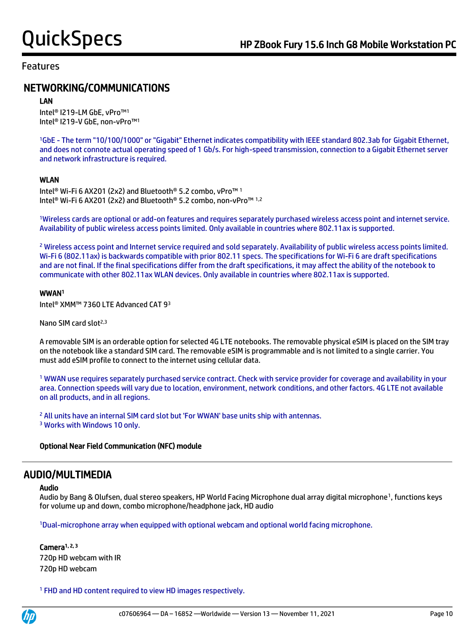# NETWORKING/COMMUNICATIONS

### LAN

Intel® I219-LM GbE, vPro™<sup>1</sup> Intel® I219-V GbE, non-vPro™<sup>1</sup>

<sup>1</sup>GbE - The term "10/100/1000" or "Gigabit" Ethernet indicates compatibility with IEEE standard 802.3ab for Gigabit Ethernet, and does not connote actual operating speed of 1 Gb/s. For high-speed transmission, connection to a Gigabit Ethernet server and network infrastructure is required.

## WLAN

Intel® Wi-Fi 6 AX201 (2x2) and Bluetooth® 5.2 combo, vPro™ <sup>1</sup> Intel® Wi-Fi 6 AX201 (2x2) and Bluetooth® 5.2 combo, non-vPro™ 1,2

<sup>1</sup>Wireless cards are optional or add-on features and requires separately purchased wireless access point and internet service. Availability of public wireless access points limited. Only available in countries where 802.11ax is supported.

<sup>2</sup> Wireless access point and Internet service required and sold separately. Availability of public wireless access points limited. Wi-Fi 6 (802.11ax) is backwards compatible with prior 802.11 specs. The specifications for Wi-Fi 6 are draft specifications and are not final. If the final specifications differ from the draft specifications, it may affect the ability of the notebook to communicate with other 802.11ax WLAN devices. Only available in countries where 802.11ax is supported.

### WWAN<sup>1</sup>

Intel® XMM™ 7360 LTE Advanced CAT 9<sup>3</sup>

Nano SIM card slot<sup>2,3</sup>

A removable SIM is an orderable option for selected 4G LTE notebooks. The removable physical eSIM is placed on the SIM tray on the notebook like a standard SIM card. The removable eSIM is programmable and is not limited to a single carrier. You must add eSIM profile to connect to the internet using cellular data.

<sup>1</sup> WWAN use requires separately purchased service contract. Check with service provider for coverage and availability in your area. Connection speeds will vary due to location, environment, network conditions, and other factors. 4G LTE not available on all products, and in all regions.

<sup>2</sup> All units have an internal SIM card slot but 'For WWAN' base units ship with antennas. <sup>3</sup> Works with Windows 10 only.

## Optional Near Field Communication (NFC) module

## AUDIO/MULTIMEDIA

### Audio

Audio by Bang & Olufsen, dual stereo speakers, HP World Facing Microphone dual array digital microphone<sup>1</sup>, functions keys for volume up and down, combo microphone/headphone jack, HD audio

<sup>1</sup>Dual-microphone array when equipped with optional webcam and optional world facing microphone.

# Camera<sup>1, 2, 3</sup>

720p HD webcam with IR 720p HD webcam

<sup>1</sup> FHD and HD content required to view HD images respectively.

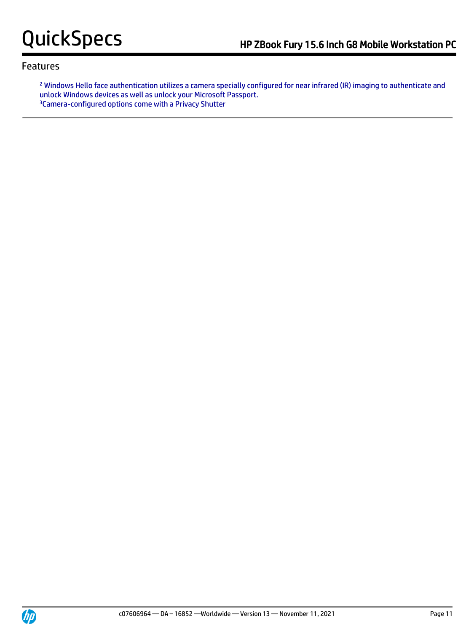<sup>2</sup> Windows Hello face authentication utilizes a camera specially configured for near infrared (IR) imaging to authenticate and unlock Windows devices as well as unlock your Microsoft Passport. 3Camera-configured options come with a Privacy Shutter

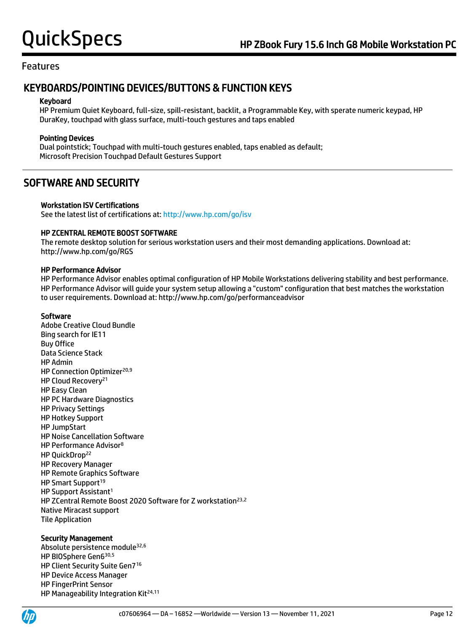# KEYBOARDS/POINTING DEVICES/BUTTONS & FUNCTION KEYS

### Keyboard

HP Premium Quiet Keyboard, full-size, spill-resistant, backlit, a Programmable Key, with sperate numeric keypad, HP DuraKey, touchpad with glass surface, multi-touch gestures and taps enabled

## Pointing Devices

Dual pointstick; Touchpad with multi-touch gestures enabled, taps enabled as default; Microsoft Precision Touchpad Default Gestures Support

## SOFTWARE AND SECURITY

### Workstation ISV Certifications

See the latest list of certifications at[: http://www.hp.com/go/isv](http://www.hp.com/go/isv)

## HP ZCENTRAL REMOTE BOOST SOFTWARE

The remote desktop solution for serious workstation users and their most demanding applications. Download at: http://www.hp.com/go/RGS

### HP Performance Advisor

HP Performance Advisor enables optimal configuration of HP Mobile Workstations delivering stability and best performance. HP Performance Advisor will guide your system setup allowing a "custom" configuration that best matches the workstation to user requirements. Download at: http://www.hp.com/go/performanceadvisor

### Software

Adobe Creative Cloud Bundle Bing search for IE11 Buy Office Data Science Stack HP Admin HP Connection Optimizer<sup>20,9</sup> HP Cloud Recovery<sup>21</sup> HP Easy Clean HP PC Hardware Diagnostics HP Privacy Settings HP Hotkey Support HP JumpStart HP Noise Cancellation Software HP Performance Advisor<sup>8</sup> HP QuickDrop<sup>22</sup> HP Recovery Manager HP Remote Graphics Software HP Smart Support<sup>19</sup> HP Support Assistant<sup>1</sup> HP ZCentral Remote Boost 2020 Software for Z workstation<sup>23,2</sup> Native Miracast support Tile Application

### Security Management

Absolute persistence module32,6 HP BIOSphere Gen6 30,5 HP Client Security Suite Gen7<sup>16</sup> HP Device Access Manager HP FingerPrint Sensor HP Manageability Integration Kit<sup>24,11</sup>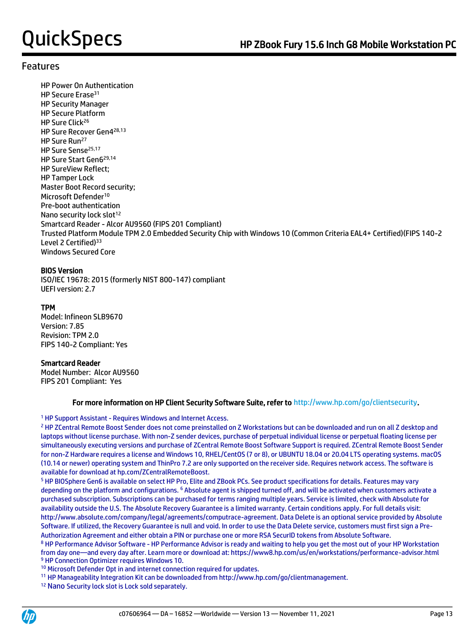HP Power On Authentication HP Secure Erase<sup>31</sup> HP Security Manager HP Secure Platform HP Sure Click<sup>26</sup> HP Sure Recover Gen4 28,13 HP Sure Run<sup>27</sup> HP Sure Sense<sup>25,17</sup> HP Sure Start Gen6 29,14 HP SureView Reflect; HP Tamper Lock Master Boot Record security; Microsoft Defender<sup>10</sup> Pre-boot authentication Nano security lock slot<sup>12</sup> Smartcard Reader - Alcor AU9560 (FIPS 201 Compliant) Trusted Platform Module TPM 2.0 Embedded Security Chip with Windows 10 (Common Criteria EAL4+ Certified)(FIPS 140-2 Level 2 Certified)<sup>33</sup> Windows Secured Core

## BIOS Version

ISO/IEC 19678: 2015 (formerly NIST 800-147) compliant UEFI version: 2.7

## TPM

Model: Infineon SLB9670 Version: 7.85 Revision: TPM 2.0 FIPS 140-2 Compliant: Yes

### Smartcard Reader

Model Number: Alcor AU9560 FIPS 201 Compliant: Yes

### For more information on HP Client Security Software Suite, refer to http://www.hp.com/go/clientsecurity.

### <sup>1</sup> HP Support Assistant - Requires Windows and Internet Access.

<sup>2</sup> HP ZCentral Remote Boost Sender does not come preinstalled on Z Workstations but can be downloaded and run on all Z desktop and laptops without license purchase. With non-Z sender devices, purchase of perpetual individual license or perpetual floating license per simultaneously executing versions and purchase of ZCentral Remote Boost Software Support is required. ZCentral Remote Boost Sender for non-Z Hardware requires a license and Windows 10, RHEL/CentOS (7 or 8), or UBUNTU 18.04 or 20.04 LTS operating systems. macOS (10.14 or newer) operating system and ThinPro 7.2 are only supported on the receiver side. Requires network access. The software is available for download at hp.com/ZCentralRemoteBoost.

<sup>5</sup> HP BIOSphere Gen6 is available on select HP Pro, Elite and ZBook PCs. See product specifications for details. Features may vary depending on the platform and configurations. <sup>6</sup> Absolute agent is shipped turned off, and will be activated when customers activate a purchased subscription. Subscriptions can be purchased for terms ranging multiple years. Service is limited, check with Absolute for availability outside the U.S. The Absolute Recovery Guarantee is a limited warranty. Certain conditions apply. For full details visit: http://www.absolute.com/company/legal/agreements/computrace-agreement. Data Delete is an optional service provided by Absolute Software. If utilized, the Recovery Guarantee is null and void. In order to use the Data Delete service, customers must first sign a Pre-Authorization Agreement and either obtain a PIN or purchase one or more RSA SecurID tokens from Absolute Software.

<sup>8</sup> HP Performance Advisor Software - HP Performance Advisor is ready and waiting to help you get the most out of your HP Workstation from day one—and every day after. Learn more or download at: https://www8.hp.com/us/en/workstations/performance-advisor.html <sup>9</sup> HP Connection Optimizer requires Windows 10.

<sup>10</sup> Microsoft Defender Opt in and internet connection required for updates.

<sup>11</sup> HP Manageability Integration Kit can be downloaded from http://www.hp.com/go/clientmanagement.

<sup>12</sup> Nano Security lock slot is Lock sold separately.

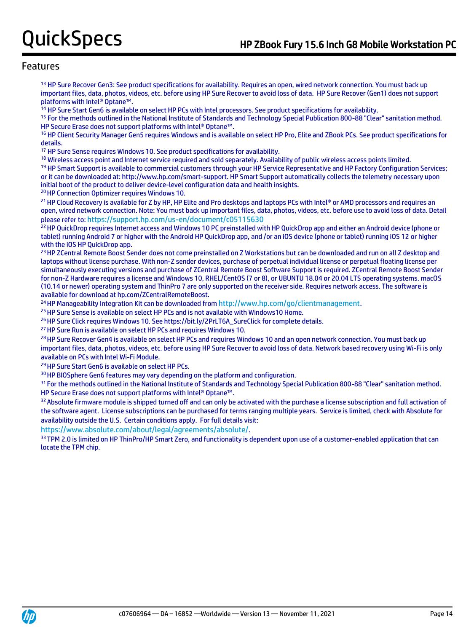<sup>13</sup> HP Sure Recover Gen3: See product specifications for availability. Requires an open, wired network connection. You must back up important files, data, photos, videos, etc. before using HP Sure Recover to avoid loss of data. HP Sure Recover (Gen1) does not support platforms with Intel® Optane™.

<sup>14</sup> HP Sure Start Gen6 is available on select HP PCs with Intel processors. See product specifications for availability.

<sup>15</sup> For the methods outlined in the National Institute of Standards and Technology Special Publication 800-88 "Clear" sanitation method. HP Secure Erase does not support platforms with Intel® Optane™.

<sup>16</sup> HP Client Security Manager Gen5 requires Windows and is available on select HP Pro, Elite and ZBook PCs. See product specifications for details.

<sup>17</sup> HP Sure Sense requires Windows 10. See product specifications for availability.

<sup>18</sup> Wireless access point and Internet service required and sold separately. Availability of public wireless access points limited.

<sup>19</sup> HP Smart Support is available to commercial customers through your HP Service Representative and HP Factory Configuration Services; or it can be downloaded at: http://www.hp.com/smart-support. HP Smart Support automatically collects the telemetry necessary upon initial boot of the product to deliver device-level configuration data and health insights.

<sup>20</sup>HP Connection Optimizer requires Windows 10.

21 HP Cloud Recovery is available for Z by HP, HP Elite and Pro desktops and laptops PCs with Intel® or AMD processors and requires an open, wired network connection. Note: You must back up important files, data, photos, videos, etc. before use to avoid loss of data. Detail please refer to: <https://support.hp.com/us-en/document/c05115630>

<sup>22</sup> HP QuickDrop requires Internet access and Windows 10 PC preinstalled with HP QuickDrop app and either an Android device (phone or tablet) running Android 7 or higher with the Android HP QuickDrop app, and /or an iOS device (phone or tablet) running iOS 12 or higher with the iOS HP QuickDrop app.

<sup>23</sup> HP ZCentral Remote Boost Sender does not come preinstalled on Z Workstations but can be downloaded and run on all Z desktop and laptops without license purchase. With non-Z sender devices, purchase of perpetual individual license or perpetual floating license per simultaneously executing versions and purchase of ZCentral Remote Boost Software Support is required. ZCentral Remote Boost Sender for non-Z Hardware requires a license and Windows 10, RHEL/CentOS (7 or 8), or UBUNTU 18.04 or 20.04 LTS operating systems. macOS (10.14 or newer) operating system and ThinPro 7 are only supported on the receiver side. Requires network access. The software is available for download at hp.com/ZCentralRemoteBoost.

<sup>24</sup> HP Manageability Integration Kit can be downloaded from <http://www.hp.com/go/clientmanagement>.

<sup>25</sup> HP Sure Sense is available on select HP PCs and is not available with Windows10 Home.

<sup>26</sup> HP Sure Click requires Windows 10. See https://bit.ly/2PrLT6A\_SureClick for complete details.

<sup>27</sup> HP Sure Run is available on select HP PCs and requires Windows 10.

<sup>28</sup> HP Sure Recover Gen4 is available on select HP PCs and requires Windows 10 and an open network connection. You must back up important files, data, photos, videos, etc. before using HP Sure Recover to avoid loss of data. Network based recovery using Wi-Fi is only available on PCs with Intel Wi-Fi Module.

29 HP Sure Start Gen6 is available on select HP PCs.

<sup>30</sup> HP BIOSphere Gen6 features may vary depending on the platform and configuration.

<sup>31</sup> For the methods outlined in the National Institute of Standards and Technology Special Publication 800-88 "Clear" sanitation method. HP Secure Erase does not support platforms with Intel® Optane™.

32 Absolute firmware module is shipped turned off and can only be activated with the purchase a license subscription and full activation of the software agent. License subscriptions can be purchased for terms ranging multiple years. Service is limited, check with Absolute for availability outside the U.S. Certain conditions apply. For full details visit:

<https://www.absolute.com/about/legal/agreements/absolute/>.

33 TPM 2.0 is limited on HP ThinPro/HP Smart Zero, and functionality is dependent upon use of a customer-enabled application that can locate the TPM chip.

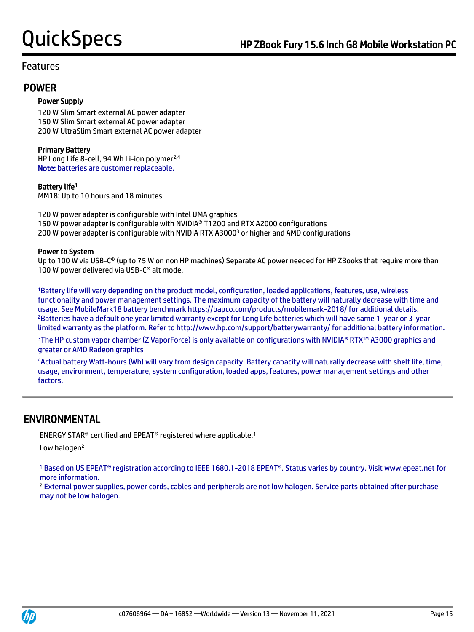## POWER

## Power Supply

120 W Slim Smart external AC power adapter 150 W Slim Smart external AC power adapter 200 W UltraSlim Smart external AC power adapter

## Primary Battery

HP Long Life 8-cell, 94 Wh Li-ion polymer<sup>2,4</sup> Note: batteries are customer replaceable.

## Battery life<sup>1</sup>

MM18: Up to 10 hours and 18 minutes

120 W power adapter is configurable with Intel UMA graphics 150 W power adapter is configurable with NVIDIA® T1200 and RTX A2000 configurations 200 W power adapter is configurable with NVIDIA RTX A3000<sup>3</sup> or higher and AMD configurations

### Power to System

Up to 100 W via USB-C<sup>®</sup> (up to 75 W on non HP machines) Separate AC power needed for HP ZBooks that require more than 100 W power delivered via USB-C® alt mode.

<sup>1</sup>Battery life will vary depending on the product model, configuration, loaded applications, features, use, wireless functionality and power management settings. The maximum capacity of the battery will naturally decrease with time and usage. See MobileMark18 battery benchmark https://bapco.com/products/mobilemark-2018/ for additional details. <sup>2</sup>Batteries have a default one year limited warranty except for Long Life batteries which will have same 1-year or 3-year limited warranty as the platform. Refer to http://www.hp.com/support/batterywarranty/ for additional battery information.

<sup>3</sup>The HP custom vapor chamber (Z VaporForce) is only available on configurations with NVIDIA® RTX™ A3000 graphics and greater or AMD Radeon graphics

<sup>4</sup>Actual battery Watt-hours (Wh) will vary from design capacity. Battery capacity will naturally decrease with shelf life, time, usage, environment, temperature, system configuration, loaded apps, features, power management settings and other factors.

## ENVIRONMENTAL

ENERGY STAR® certified and EPEAT® registered where applicable.<sup>1</sup>

Low halogen<sup>2</sup>

<sup>1</sup> Based on US EPEAT® registration according to IEEE 1680.1-2018 EPEAT®. Status varies by country. Visit www.epeat.net for more information.

<sup>2</sup> External power supplies, power cords, cables and peripherals are not low halogen. Service parts obtained after purchase may not be low halogen.

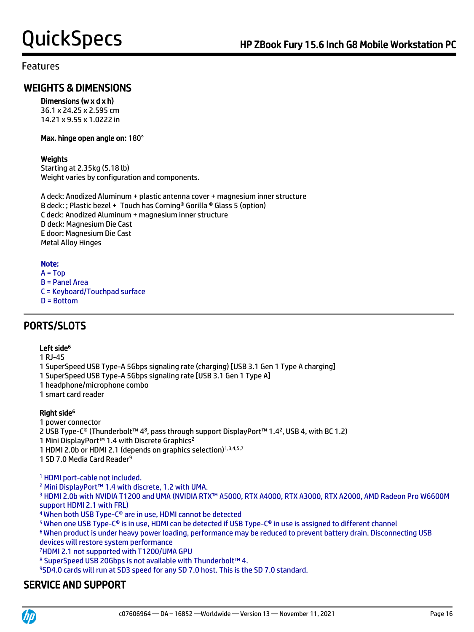## WEIGHTS & DIMENSIONS

## Dimensions (w x d x h)

36.1 x 24.25 x 2.595 cm 14.21 x 9.55 x 1.0222 in

### Max. hinge open angle on: 180°

## **Weights**

Starting at 2.35kg (5.18 lb) Weight varies by configuration and components.

A deck: Anodized Aluminum + plastic antenna cover + magnesium inner structure B deck: ; Plastic bezel + Touch has Corning® Gorilla ® Glass 5 (option) C deck: Anodized Aluminum + magnesium inner structure D deck: Magnesium Die Cast E door: Magnesium Die Cast Metal Alloy Hinges

## Note:

- $A = Top$
- B = Panel Area
- C = Keyboard/Touchpad surface
- D = Bottom

# PORTS/SLOTS

## Left side<sup>6</sup>

1 RJ-45

- 1 SuperSpeed USB Type-A 5Gbps signaling rate (charging) [USB 3.1 Gen 1 Type A charging]
- 1 SuperSpeed USB Type-A 5Gbps signaling rate [USB 3.1 Gen 1 Type A]
- 1 headphone/microphone combo
- 1 smart card reader

## Right side<sup>6</sup>

1 power connector

2 USB Type-C® (Thunderbolt™ 48, pass through support DisplayPort™ 1.42, USB 4, with BC 1.2)

- 1 Mini DisplayPort™ 1.4 with Discrete Graphics<sup>2</sup>
- 1 HDMI 2.0b or HDMI 2.1 (depends on graphics selection)<sup>1,3,4,5,7</sup>

1 SD 7.0 Media Card Reader<sup>9</sup>

<sup>1</sup> HDMI port-cable not included.

<sup>2</sup> Mini DisplayPort™ 1.4 with discrete, 1.2 with UMA.

3 HDMI 2.0b with NVIDIA T1200 and UMA (NVIDIA RTX™ A5000, RTX A4000, RTX A3000, RTX A2000, AMD Radeon Pro W6600M support HDMI 2.1 with FRL)

<sup>4</sup>When both USB Type-C® are in use, HDMI cannot be detected

<sup>5</sup>When one USB Type-C® is in use, HDMI can be detected if USB Type-C® in use is assigned to different channel

<sup>6</sup>When product is under heavy power loading, performance may be reduced to prevent battery drain. Disconnecting USB devices will restore system performance

<sup>7</sup>HDMI 2.1 not supported with T1200/UMA GPU

8 SuperSpeed USB 20Gbps is not available with Thunderbolt™ 4.

<sup>9</sup>SD4.0 cards will run at SD3 speed for any SD 7.0 host. This is the SD 7.0 standard.

# SERVICE AND SUPPORT

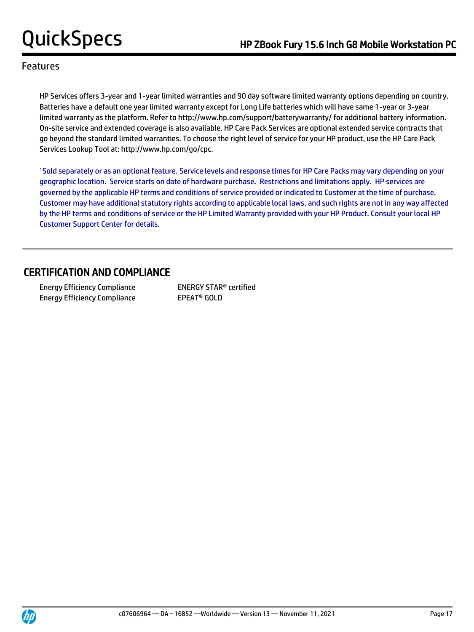HP Services offers 3-year and 1-year limited warranties and 90 day software limited warranty options depending on country. Batteries have a default one year limited warranty except for Long Life batteries which will have same 1-year or 3-year limited warranty as the platform. Refer to http://www.hp.com/support/batterywarranty/ for additional battery information. On-site service and extended coverage is also available. HP Care Pack Services are optional extended service contracts that go beyond the standard limited warranties. To choose the right level of service for your HP product, use the HP Care Pack Services Lookup Tool at: http://www.hp.com/go/cpc.

<sup>1</sup>Sold separately or as an optional feature. Service levels and response times for HP Care Packs may vary depending on your geographic location. Service starts on date of hardware purchase. Restrictions and limitations apply. HP services are governed by the applicable HP terms and conditions of service provided or indicated to Customer at the time of purchase. Customer may have additional statutory rights according to applicable local laws, and such rights are not in any way affected by the HP terms and conditions of service or the HP Limited Warranty provided with your HP Product. Consult your local HP Customer Support Center for details.

# CERTIFICATION AND COMPLIANCE

 Energy Efficiency Compliance ENERGY STAR® certified Energy Efficiency Compliance EPEAT<sup>®</sup> GOLD

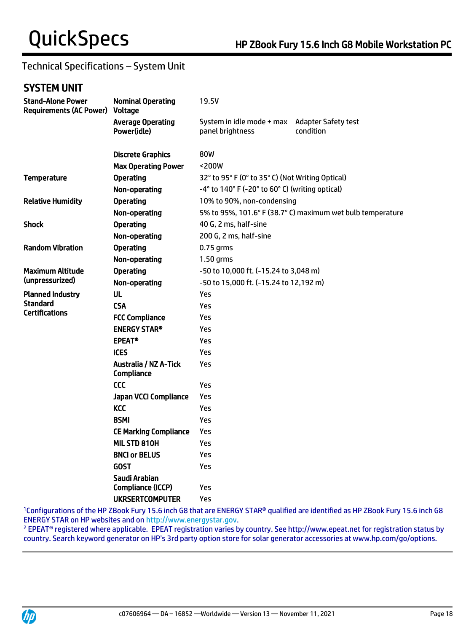# Technical Specifications – System Unit

# SYSTEM UNIT

| <b>Stand-Alone Power</b><br><b>Requirements (AC Power)</b>                                 | <b>Nominal Operating</b><br>Voltage                       | 19.5V                                                      |                                         |  |
|--------------------------------------------------------------------------------------------|-----------------------------------------------------------|------------------------------------------------------------|-----------------------------------------|--|
|                                                                                            | <b>Average Operating</b><br>Power(idle)                   | System in idle mode + max<br>panel brightness              | <b>Adapter Safety test</b><br>condition |  |
|                                                                                            | <b>Discrete Graphics</b>                                  | 80W                                                        |                                         |  |
|                                                                                            | <b>Max Operating Power</b>                                | <200W                                                      |                                         |  |
| <b>Operating</b><br><b>Temperature</b><br>32° to 95° F (0° to 35° C) (Not Writing Optical) |                                                           |                                                            |                                         |  |
|                                                                                            | Non-operating                                             | -4° to 140° F (-20° to 60° C) (writing optical)            |                                         |  |
| <b>Relative Humidity</b>                                                                   | <b>Operating</b>                                          | 10% to 90%, non-condensing                                 |                                         |  |
|                                                                                            | Non-operating                                             | 5% to 95%, 101.6° F (38.7° C) maximum wet bulb temperature |                                         |  |
| <b>Shock</b>                                                                               | <b>Operating</b>                                          | 40 G, 2 ms, half-sine                                      |                                         |  |
|                                                                                            | Non-operating                                             | 200 G, 2 ms, half-sine                                     |                                         |  |
| <b>Random Vibration</b>                                                                    | <b>Operating</b><br>$0.75$ grms                           |                                                            |                                         |  |
|                                                                                            | Non-operating                                             | 1.50 grms                                                  |                                         |  |
| <b>Maximum Altitude</b>                                                                    | <b>Operating</b><br>-50 to 10,000 ft. (-15.24 to 3,048 m) |                                                            |                                         |  |
| (unpressurized)                                                                            | Non-operating                                             | -50 to 15,000 ft. (-15.24 to 12,192 m)                     |                                         |  |
| <b>Planned Industry</b>                                                                    | <b>UL</b>                                                 | Yes                                                        |                                         |  |
| <b>Standard</b><br><b>Certifications</b>                                                   | <b>CSA</b>                                                | Yes                                                        |                                         |  |
|                                                                                            | <b>FCC Compliance</b>                                     | Yes                                                        |                                         |  |
|                                                                                            | <b>ENERGY STAR®</b>                                       | Yes                                                        |                                         |  |
|                                                                                            | <b>EPEAT®</b>                                             | Yes                                                        |                                         |  |
|                                                                                            | <b>ICES</b>                                               | Yes                                                        |                                         |  |
|                                                                                            | <b>Australia / NZ A-Tick</b><br>Compliance                | Yes                                                        |                                         |  |
|                                                                                            | <b>CCC</b>                                                | Yes                                                        |                                         |  |
|                                                                                            | Japan VCCI Compliance                                     | Yes                                                        |                                         |  |
|                                                                                            | <b>KCC</b>                                                | Yes                                                        |                                         |  |
|                                                                                            | <b>BSMI</b>                                               | Yes                                                        |                                         |  |
|                                                                                            | <b>CE Marking Compliance</b>                              | Yes                                                        |                                         |  |
|                                                                                            | MIL STD 810H                                              | Yes                                                        |                                         |  |
|                                                                                            | <b>BNCI or BELUS</b>                                      | Yes                                                        |                                         |  |
|                                                                                            | <b>GOST</b>                                               | Yes                                                        |                                         |  |
|                                                                                            | Saudi Arabian                                             |                                                            |                                         |  |
|                                                                                            | Compliance (ICCP)                                         | Yes                                                        |                                         |  |
|                                                                                            | <b>UKRSERTCOMPUTER</b>                                    | Yes                                                        |                                         |  |

<sup>1</sup>Configurations of the HP ZBook Fury 15.6 inch G8 that are ENERGY STAR® qualified are identified as HP ZBook Fury 15.6 inch G8 ENERGY STAR on HP websites and o[n http://www.energystar.gov.](http://www.energystar.gov/)

<sup>2</sup> EPEAT® registered where applicable. EPEAT registration varies by country. See http://www.epeat.net for registration status by country. Search keyword generator on HP's 3rd party option store for solar generator accessories at www.hp.com/go/options.

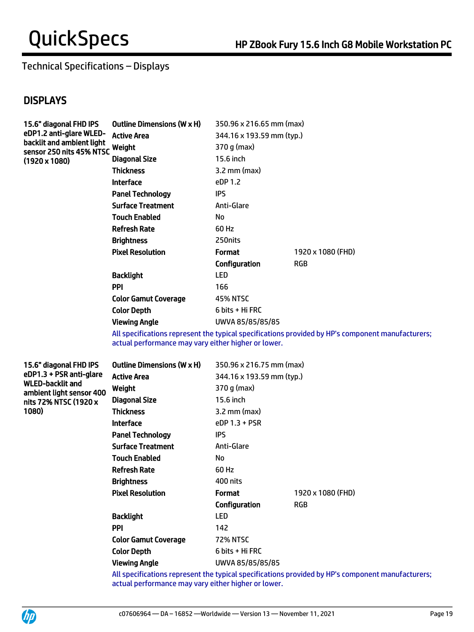# Technical Specifications – Displays

# **DISPLAYS**

| 15.6" diagonal FHD IPS                                                                                   | <b>Outline Dimensions (W x H)</b> | 350.96 x 216.65 mm (max)  |                   |
|----------------------------------------------------------------------------------------------------------|-----------------------------------|---------------------------|-------------------|
| eDP1.2 anti-glare WLED-<br>backlit and ambient light<br>sensor 250 nits 45% NTSC<br>$(1920 \times 1080)$ | <b>Active Area</b>                | 344.16 x 193.59 mm (typ.) |                   |
|                                                                                                          | Weight                            | 370 g (max)               |                   |
|                                                                                                          | <b>Diagonal Size</b>              | 15.6 inch                 |                   |
|                                                                                                          | <b>Thickness</b>                  | $3.2$ mm (max)            |                   |
|                                                                                                          | <b>Interface</b>                  | eDP 1.2                   |                   |
|                                                                                                          | <b>Panel Technology</b>           | IPS                       |                   |
|                                                                                                          | <b>Surface Treatment</b>          | Anti-Glare                |                   |
|                                                                                                          | <b>Touch Enabled</b>              | No                        |                   |
|                                                                                                          | <b>Refresh Rate</b>               | 60 Hz                     |                   |
|                                                                                                          | <b>Brightness</b>                 | 250 nits                  |                   |
|                                                                                                          | <b>Pixel Resolution</b>           | <b>Format</b>             | 1920 x 1080 (FHD) |
|                                                                                                          |                                   | Configuration             | RGB               |
|                                                                                                          | <b>Backlight</b>                  | <b>LED</b>                |                   |
|                                                                                                          | <b>PPI</b>                        | 166                       |                   |
|                                                                                                          | <b>Color Gamut Coverage</b>       | <b>45% NTSC</b>           |                   |
|                                                                                                          | <b>Color Depth</b>                | 6 bits + Hi FRC           |                   |
|                                                                                                          | <b>Viewing Angle</b>              | UWVA 85/85/85/85          |                   |

All specifications represent the typical specifications provided by HP's component manufacturers; actual performance may vary either higher or lower.

15.6" diagonal FHD IPS eDP1.3 + PSR anti-glare WLED-backlit and ambient light sensor 400 nits 72% NTSC (1920 x 1080)

| <b>Outline Dimensions (W x H)</b> | 350.96 x 216.75 mm (max)  |                   |  |
|-----------------------------------|---------------------------|-------------------|--|
| <b>Active Area</b>                | 344.16 x 193.59 mm (typ.) |                   |  |
| Weight                            | 370 g (max)               |                   |  |
| <b>Diagonal Size</b>              | 15.6 inch                 |                   |  |
| <b>Thickness</b>                  | $3.2$ mm (max)            |                   |  |
| <b>Interface</b>                  | eDP 1.3 + PSR             |                   |  |
| <b>Panel Technology</b>           | ips                       |                   |  |
| <b>Surface Treatment</b>          | Anti-Glare                |                   |  |
| <b>Touch Enabled</b>              | No                        |                   |  |
| <b>Refresh Rate</b>               | 60 Hz                     |                   |  |
| <b>Brightness</b>                 | 400 nits                  |                   |  |
| <b>Pixel Resolution</b>           | <b>Format</b>             | 1920 x 1080 (FHD) |  |
|                                   | Configuration             | <b>RGB</b>        |  |
| <b>Backlight</b>                  | LED                       |                   |  |
| <b>PPI</b>                        | 142                       |                   |  |
| <b>Color Gamut Coverage</b>       | <b>72% NTSC</b>           |                   |  |
| <b>Color Depth</b>                | 6 bits + Hi FRC           |                   |  |
| Viewing Angle                     | UWVA 85/85/85/85          |                   |  |

All specifications represent the typical specifications provided by HP's component manufacturers; actual performance may vary either higher or lower.



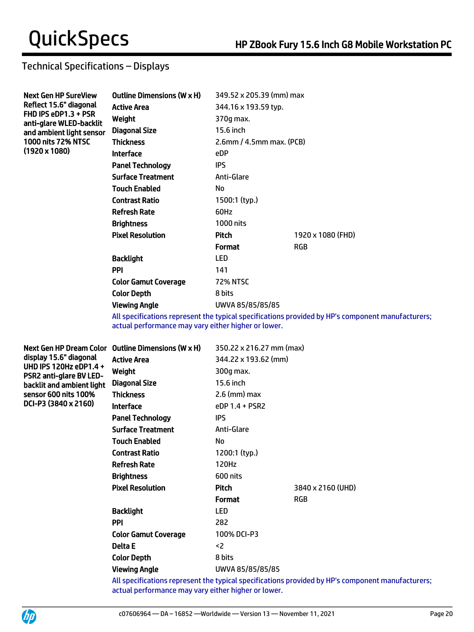# Technical Specifications – Displays

| <b>Next Gen HP SureView</b>                                                                           | <b>Outline Dimensions (W x H)</b> | 349.52 x 205.39 (mm) max                                                                                        |                   |
|-------------------------------------------------------------------------------------------------------|-----------------------------------|-----------------------------------------------------------------------------------------------------------------|-------------------|
| Reflect 15.6" diagonal<br>FHD IPS eDP1.3 + PSR<br>anti-glare WLED-backlit<br>and ambient light sensor | <b>Active Area</b>                | 344.16 x 193.59 typ.                                                                                            |                   |
|                                                                                                       | Weight                            | 370g max.                                                                                                       |                   |
|                                                                                                       | <b>Diagonal Size</b>              | 15.6 inch                                                                                                       |                   |
| <b>1000 nits 72% NTSC</b>                                                                             | <b>Thickness</b>                  | $2.6$ mm / $4.5$ mm max. (PCB)                                                                                  |                   |
| $(1920 \times 1080)$                                                                                  | <b>Interface</b>                  | eDP                                                                                                             |                   |
|                                                                                                       | <b>Panel Technology</b>           | <b>IPS</b>                                                                                                      |                   |
|                                                                                                       | <b>Surface Treatment</b>          | Anti-Glare                                                                                                      |                   |
|                                                                                                       | <b>Touch Enabled</b>              | No                                                                                                              |                   |
|                                                                                                       | <b>Contrast Ratio</b>             | 1500:1 (typ.)                                                                                                   |                   |
|                                                                                                       | <b>Refresh Rate</b>               | 60Hz                                                                                                            |                   |
|                                                                                                       | <b>Brightness</b>                 | 1000 nits                                                                                                       |                   |
|                                                                                                       | <b>Pixel Resolution</b>           | <b>Pitch</b>                                                                                                    | 1920 x 1080 (FHD) |
|                                                                                                       |                                   | <b>Format</b>                                                                                                   | <b>RGB</b>        |
|                                                                                                       | <b>Backlight</b>                  | <b>LED</b>                                                                                                      |                   |
|                                                                                                       | <b>PPI</b>                        | 141                                                                                                             |                   |
|                                                                                                       | <b>Color Gamut Coverage</b>       | <b>72% NTSC</b>                                                                                                 |                   |
|                                                                                                       | <b>Color Depth</b>                | 8 bits                                                                                                          |                   |
|                                                                                                       | <b>Viewing Angle</b>              | UWVA 85/85/85/85                                                                                                |                   |
|                                                                                                       |                                   | and the state of the state of the state of the state of the state of the state of the state of the state of the |                   |

All specifications represent the typical specifications provided by HP's component manufacturers; actual performance may vary either higher or lower.

Next Gen HP Dream Color Outline Dimensions (W x H) 350.22 x 216.27 mm (max) display 15.6" diagonal UHD IPS 120Hz eDP1.4 + PSR2 anti-glare BV LEDbacklit and ambient light sensor 600 nits 100% DCI-P3 (3840 x 2160)

| Active Area             | 344.22 x 193.62 (mm) |                   |
|-------------------------|----------------------|-------------------|
| Weight                  | 300g max.            |                   |
| Diagonal Size           | 15.6 inch            |                   |
| Thickness               | $2.6$ (mm) max       |                   |
| Interface               | $eDP 1.4 + PSR2$     |                   |
| Panel Technology        | <b>IPS</b>           |                   |
| Surface Treatment       | Anti-Glare           |                   |
| Touch Enabled           | No                   |                   |
| Contrast Ratio          | 1200:1 (typ.)        |                   |
| Refresh Rate            | 120Hz                |                   |
| Brightness              | 600 nits             |                   |
| <b>Pixel Resolution</b> | <b>Pitch</b>         | 3840 x 2160 (UHD) |
|                         | <b>Format</b>        | <b>RGB</b>        |
| Backlight               | <b>LED</b>           |                   |
| PPI                     | 282                  |                   |
| Color Gamut Coverage    | 100% DCI-P3          |                   |
| Delta E                 | $2$                  |                   |
| <b>Color Depth</b>      | 8 bits               |                   |
| Viewing Angle           | UWVA 85/85/85/85     |                   |

All specifications represent the typical specifications provided by HP's component manufacturers; actual performance may vary either higher or lower.

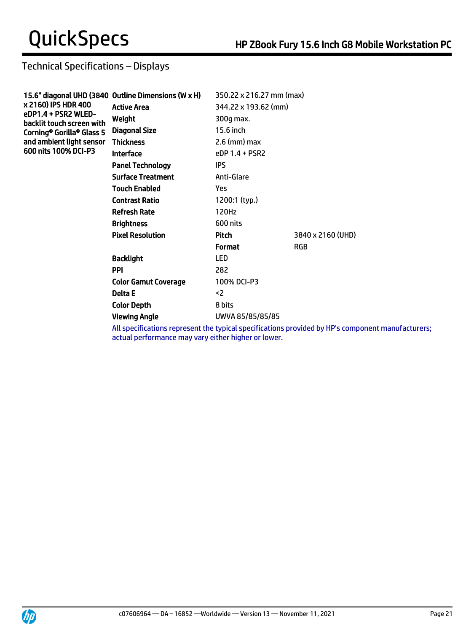# Technical Specifications – Displays

| 15.6" diagonal UHD (3840 Outline Dimensions (W x H) | 350.22 x 216.27 mm (max) |                   |
|-----------------------------------------------------|--------------------------|-------------------|
| <b>Active Area</b>                                  | 344.22 x 193.62 (mm)     |                   |
| Weight                                              | 300g max.                |                   |
| Diagonal Size                                       | 15.6 inch                |                   |
| <b>Thickness</b>                                    | $2.6$ (mm) max           |                   |
| <b>Interface</b>                                    | eDP 1.4 + PSR2           |                   |
| <b>Panel Technology</b>                             | <b>IPS</b>               |                   |
| <b>Surface Treatment</b>                            | Anti-Glare               |                   |
| <b>Touch Enabled</b>                                | Yes.                     |                   |
| <b>Contrast Ratio</b>                               | 1200:1 (typ.)            |                   |
| <b>Refresh Rate</b>                                 | 120Hz                    |                   |
| <b>Brightness</b>                                   | 600 nits                 |                   |
| <b>Pixel Resolution</b>                             | Pitch                    | 3840 x 2160 (UHD) |
|                                                     | <b>Format</b>            | <b>RGB</b>        |
| <b>Backlight</b>                                    | <b>LED</b>               |                   |
| <b>PPI</b>                                          | 282                      |                   |
| <b>Color Gamut Coverage</b>                         | 100% DCI-P3              |                   |
| Delta E                                             | $2$                      |                   |
| <b>Color Depth</b>                                  | 8 bits                   |                   |
| <b>Viewing Angle</b>                                | UWVA 85/85/85/85         |                   |
|                                                     |                          |                   |

All specifications represent the typical specifications provided by HP's component manufacturers; actual performance may vary either higher or lower.

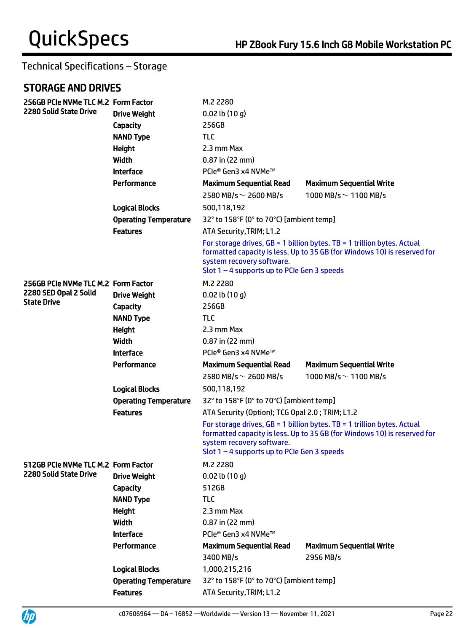# STORAGE AND DRIVES

UP

| 256GB PCIe NVMe TLC M.2 Form Factor                          |                              | M.2 2280                                                                                                                                                                                                                            |                                                                                                                                                       |  |
|--------------------------------------------------------------|------------------------------|-------------------------------------------------------------------------------------------------------------------------------------------------------------------------------------------------------------------------------------|-------------------------------------------------------------------------------------------------------------------------------------------------------|--|
| <b>2280 Solid State Drive</b>                                | <b>Drive Weight</b>          | $0.02$ lb $(10 g)$                                                                                                                                                                                                                  |                                                                                                                                                       |  |
|                                                              | Capacity                     | 256GB                                                                                                                                                                                                                               |                                                                                                                                                       |  |
|                                                              | <b>NAND Type</b>             | <b>TLC</b>                                                                                                                                                                                                                          |                                                                                                                                                       |  |
|                                                              | <b>Height</b>                | 2.3 mm Max                                                                                                                                                                                                                          |                                                                                                                                                       |  |
|                                                              | Width                        | $0.87$ in (22 mm)                                                                                                                                                                                                                   |                                                                                                                                                       |  |
|                                                              | <b>Interface</b>             | PCIe® Gen3 x4 NVMe™                                                                                                                                                                                                                 |                                                                                                                                                       |  |
|                                                              | Performance                  | <b>Maximum Sequential Read</b>                                                                                                                                                                                                      | <b>Maximum Sequential Write</b>                                                                                                                       |  |
|                                                              |                              | 2580 MB/s $\sim$ 2600 MB/s                                                                                                                                                                                                          | 1000 MB/s $\sim$ 1100 MB/s                                                                                                                            |  |
|                                                              | <b>Logical Blocks</b>        | 500,118,192                                                                                                                                                                                                                         |                                                                                                                                                       |  |
|                                                              | <b>Operating Temperature</b> | 32° to 158°F (0° to 70°C) [ambient temp]                                                                                                                                                                                            |                                                                                                                                                       |  |
|                                                              | <b>Features</b>              | ATA Security, TRIM; L1.2                                                                                                                                                                                                            |                                                                                                                                                       |  |
|                                                              |                              | system recovery software.<br>Slot $1 - 4$ supports up to PCIe Gen 3 speeds                                                                                                                                                          | For storage drives, $GB = 1$ billion bytes. TB = 1 trillion bytes. Actual<br>formatted capacity is less. Up to 35 GB (for Windows 10) is reserved for |  |
| 256GB PCIe NVMe TLC M.2 Form Factor<br>2280 SED Opal 2 Solid |                              | M.2 2280                                                                                                                                                                                                                            |                                                                                                                                                       |  |
|                                                              | <b>Drive Weight</b>          | $0.02$ lb $(10 g)$                                                                                                                                                                                                                  |                                                                                                                                                       |  |
| <b>State Drive</b>                                           | Capacity                     | 256GB                                                                                                                                                                                                                               |                                                                                                                                                       |  |
|                                                              | <b>NAND Type</b>             | <b>TLC</b>                                                                                                                                                                                                                          |                                                                                                                                                       |  |
|                                                              | <b>Height</b>                | 2.3 mm Max                                                                                                                                                                                                                          |                                                                                                                                                       |  |
|                                                              | Width                        | $0.87$ in (22 mm)                                                                                                                                                                                                                   |                                                                                                                                                       |  |
|                                                              | <b>Interface</b>             | PCIe® Gen3 x4 NVMe™                                                                                                                                                                                                                 |                                                                                                                                                       |  |
|                                                              | Performance                  | <b>Maximum Sequential Read</b>                                                                                                                                                                                                      | <b>Maximum Sequential Write</b>                                                                                                                       |  |
|                                                              |                              | 2580 MB/s $\sim$ 2600 MB/s                                                                                                                                                                                                          | 1000 MB/s $\sim$ 1100 MB/s                                                                                                                            |  |
|                                                              | <b>Logical Blocks</b>        | 500,118,192                                                                                                                                                                                                                         |                                                                                                                                                       |  |
|                                                              | <b>Operating Temperature</b> | 32° to 158°F (0° to 70°C) [ambient temp]                                                                                                                                                                                            |                                                                                                                                                       |  |
|                                                              | <b>Features</b>              | ATA Security (Option); TCG Opal 2.0; TRIM; L1.2                                                                                                                                                                                     |                                                                                                                                                       |  |
|                                                              |                              | For storage drives, $GB = 1$ billion bytes. TB = 1 trillion bytes. Actual<br>formatted capacity is less. Up to 35 GB (for Windows 10) is reserved for<br>system recovery software.<br>Slot $1 - 4$ supports up to PCIe Gen 3 speeds |                                                                                                                                                       |  |
| 512GB PCIe NVMe TLC M.2 Form Factor                          |                              | M.2 2280                                                                                                                                                                                                                            |                                                                                                                                                       |  |
| <b>2280 Solid State Drive</b>                                | <b>Drive Weight</b>          | $0.02$ lb $(10q)$                                                                                                                                                                                                                   |                                                                                                                                                       |  |
|                                                              | Capacity                     | 512GB                                                                                                                                                                                                                               |                                                                                                                                                       |  |
|                                                              | <b>NAND Type</b>             | <b>TLC</b>                                                                                                                                                                                                                          |                                                                                                                                                       |  |
|                                                              | <b>Height</b>                | 2.3 mm Max                                                                                                                                                                                                                          |                                                                                                                                                       |  |
|                                                              | Width                        | $0.87$ in (22 mm)                                                                                                                                                                                                                   |                                                                                                                                                       |  |
|                                                              | <b>Interface</b>             | PCIe® Gen3 x4 NVMe™                                                                                                                                                                                                                 |                                                                                                                                                       |  |
|                                                              | Performance                  | <b>Maximum Sequential Read</b>                                                                                                                                                                                                      | <b>Maximum Sequential Write</b>                                                                                                                       |  |
|                                                              |                              | 3400 MB/s                                                                                                                                                                                                                           | 2956 MB/s                                                                                                                                             |  |
|                                                              | <b>Logical Blocks</b>        | 1,000,215,216                                                                                                                                                                                                                       |                                                                                                                                                       |  |
|                                                              | <b>Operating Temperature</b> | 32° to 158°F (0° to 70°C) [ambient temp]                                                                                                                                                                                            |                                                                                                                                                       |  |
|                                                              | <b>Features</b>              | ATA Security, TRIM; L1.2                                                                                                                                                                                                            |                                                                                                                                                       |  |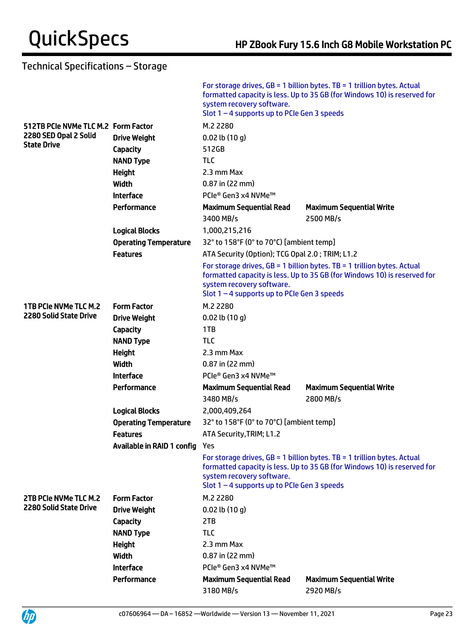|                                     |                              | system recovery software.<br>Slot $1 - 4$ supports up to PCIe Gen 3 speeds | For storage drives, $GB = 1$ billion bytes. TB = 1 trillion bytes. Actual<br>formatted capacity is less. Up to 35 GB (for Windows 10) is reserved for |  |
|-------------------------------------|------------------------------|----------------------------------------------------------------------------|-------------------------------------------------------------------------------------------------------------------------------------------------------|--|
| 512TB PCIe NVMe TLC M.2 Form Factor |                              | M.2 2280                                                                   |                                                                                                                                                       |  |
| 2280 SED Opal 2 Solid               | <b>Drive Weight</b>          | $0.02$ lb $(10 g)$                                                         |                                                                                                                                                       |  |
| <b>State Drive</b>                  | Capacity                     | 512GB                                                                      |                                                                                                                                                       |  |
|                                     | <b>NAND Type</b>             | <b>TLC</b>                                                                 |                                                                                                                                                       |  |
|                                     | Height                       | 2.3 mm Max                                                                 |                                                                                                                                                       |  |
|                                     | Width                        | $0.87$ in (22 mm)                                                          |                                                                                                                                                       |  |
|                                     | <b>Interface</b>             | PCIe® Gen3 x4 NVMe™                                                        |                                                                                                                                                       |  |
|                                     | Performance                  | <b>Maximum Sequential Read</b>                                             | <b>Maximum Sequential Write</b>                                                                                                                       |  |
|                                     |                              | 3400 MB/s                                                                  | 2500 MB/s                                                                                                                                             |  |
|                                     | <b>Logical Blocks</b>        | 1,000,215,216                                                              |                                                                                                                                                       |  |
|                                     | <b>Operating Temperature</b> | 32° to 158°F (0° to 70°C) [ambient temp]                                   |                                                                                                                                                       |  |
|                                     | <b>Features</b>              | ATA Security (Option); TCG Opal 2.0; TRIM; L1.2                            |                                                                                                                                                       |  |
|                                     |                              | system recovery software.<br>Slot 1-4 supports up to PCIe Gen 3 speeds     | For storage drives, $GB = 1$ billion bytes. TB = 1 trillion bytes. Actual<br>formatted capacity is less. Up to 35 GB (for Windows 10) is reserved for |  |
| 1TB PCIe NVMe TLC M.2               | <b>Form Factor</b>           | M.2 2280                                                                   |                                                                                                                                                       |  |
| <b>2280 Solid State Drive</b>       | <b>Drive Weight</b>          | $0.02$ lb $(10 g)$                                                         |                                                                                                                                                       |  |
|                                     | Capacity                     | 1TB                                                                        |                                                                                                                                                       |  |
|                                     | <b>NAND Type</b>             | <b>TLC</b>                                                                 |                                                                                                                                                       |  |
|                                     | <b>Height</b>                | 2.3 mm Max                                                                 |                                                                                                                                                       |  |
|                                     | Width                        | $0.87$ in (22 mm)                                                          |                                                                                                                                                       |  |
|                                     | <b>Interface</b>             | PCIe® Gen3 x4 NVMe™                                                        |                                                                                                                                                       |  |
|                                     | Performance                  | <b>Maximum Sequential Read</b>                                             | <b>Maximum Sequential Write</b>                                                                                                                       |  |
|                                     |                              | 3480 MB/s                                                                  | 2800 MB/s                                                                                                                                             |  |
|                                     | <b>Logical Blocks</b>        | 2,000,409,264                                                              |                                                                                                                                                       |  |
|                                     | <b>Operating Temperature</b> | 32° to 158°F (0° to 70°C) [ambient temp]                                   |                                                                                                                                                       |  |
|                                     | <b>Features</b>              | ATA Security, TRIM; L1.2                                                   |                                                                                                                                                       |  |
|                                     | Available in RAID 1 config   | Yes                                                                        |                                                                                                                                                       |  |
|                                     |                              | system recovery software.<br>Slot $1 - 4$ supports up to PCIe Gen 3 speeds | For storage drives, $GB = 1$ billion bytes. TB = 1 trillion bytes. Actual<br>formatted capacity is less. Up to 35 GB (for Windows 10) is reserved for |  |
| 2TB PCIe NVMe TLC M.2               | <b>Form Factor</b>           | M.2 2280                                                                   |                                                                                                                                                       |  |
| <b>2280 Solid State Drive</b>       | <b>Drive Weight</b>          | $0.02$ lb $(10q)$                                                          |                                                                                                                                                       |  |
|                                     | <b>Capacity</b>              | 2TB                                                                        |                                                                                                                                                       |  |
|                                     | <b>NAND Type</b>             | <b>TLC</b>                                                                 |                                                                                                                                                       |  |
|                                     | <b>Height</b>                | 2.3 mm Max                                                                 |                                                                                                                                                       |  |
|                                     | <b>Width</b>                 | $0.87$ in (22 mm)                                                          |                                                                                                                                                       |  |
|                                     | <b>Interface</b>             | PCIe® Gen3 x4 NVMe™                                                        |                                                                                                                                                       |  |
|                                     | Performance                  | <b>Maximum Sequential Read</b>                                             | <b>Maximum Sequential Write</b>                                                                                                                       |  |
|                                     |                              | 3180 MB/s                                                                  | 2920 MB/s                                                                                                                                             |  |

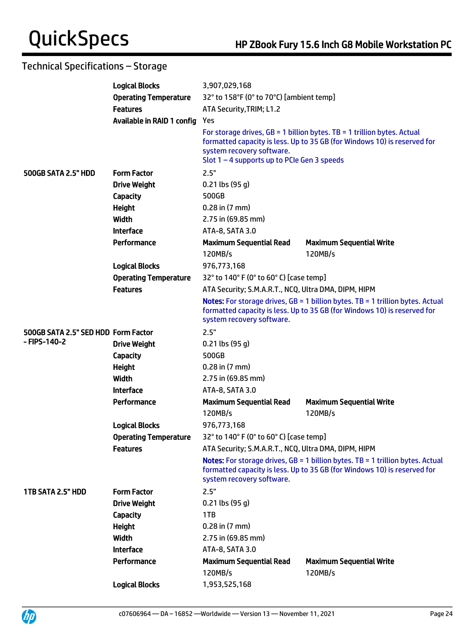|                                     | <b>Logical Blocks</b>        | 3,907,029,168                                                              |                                                                                                                                                                     |  |
|-------------------------------------|------------------------------|----------------------------------------------------------------------------|---------------------------------------------------------------------------------------------------------------------------------------------------------------------|--|
|                                     | <b>Operating Temperature</b> | 32° to 158°F (0° to 70°C) [ambient temp]                                   |                                                                                                                                                                     |  |
|                                     | <b>Features</b>              | ATA Security, TRIM; L1.2                                                   |                                                                                                                                                                     |  |
|                                     | Available in RAID 1 config   | Yes                                                                        |                                                                                                                                                                     |  |
|                                     |                              | system recovery software.<br>Slot $1 - 4$ supports up to PCIe Gen 3 speeds | For storage drives, $GB = 1$ billion bytes. TB = 1 trillion bytes. Actual<br>formatted capacity is less. Up to 35 GB (for Windows 10) is reserved for               |  |
| 500GB SATA 2.5" HDD                 | <b>Form Factor</b>           | 2.5"                                                                       |                                                                                                                                                                     |  |
|                                     | <b>Drive Weight</b>          | $0.21$ lbs (95 g)                                                          |                                                                                                                                                                     |  |
|                                     | Capacity                     | 500GB                                                                      |                                                                                                                                                                     |  |
|                                     | <b>Height</b>                | $0.28$ in $(7 \text{ mm})$                                                 |                                                                                                                                                                     |  |
|                                     | Width                        | 2.75 in (69.85 mm)                                                         |                                                                                                                                                                     |  |
|                                     | <b>Interface</b>             | ATA-8, SATA 3.0                                                            |                                                                                                                                                                     |  |
|                                     | Performance                  | <b>Maximum Sequential Read</b>                                             | <b>Maximum Sequential Write</b>                                                                                                                                     |  |
|                                     |                              | 120MB/s                                                                    | 120MB/s                                                                                                                                                             |  |
|                                     | <b>Logical Blocks</b>        | 976,773,168                                                                |                                                                                                                                                                     |  |
|                                     | <b>Operating Temperature</b> | 32° to 140° F (0° to 60° C) [case temp]                                    |                                                                                                                                                                     |  |
|                                     | <b>Features</b>              | ATA Security; S.M.A.R.T., NCQ, Ultra DMA, DIPM, HIPM                       |                                                                                                                                                                     |  |
|                                     |                              | system recovery software.                                                  | <b>Notes:</b> For storage drives, $GB = 1$ billion bytes. TB = 1 trillion bytes. Actual<br>formatted capacity is less. Up to 35 GB (for Windows 10) is reserved for |  |
| 500GB SATA 2.5" SED HDD Form Factor |                              | 2.5"                                                                       |                                                                                                                                                                     |  |
| - FIPS-140-2                        | <b>Drive Weight</b>          | $0.21$ lbs (95 g)                                                          |                                                                                                                                                                     |  |
|                                     | <b>Capacity</b>              | 500GB                                                                      |                                                                                                                                                                     |  |
|                                     | <b>Height</b>                | $0.28$ in $(7 \text{ mm})$                                                 |                                                                                                                                                                     |  |
|                                     | Width                        | 2.75 in (69.85 mm)                                                         |                                                                                                                                                                     |  |
|                                     | <b>Interface</b>             | ATA-8, SATA 3.0                                                            |                                                                                                                                                                     |  |
|                                     | Performance                  | <b>Maximum Sequential Read</b>                                             | <b>Maximum Sequential Write</b>                                                                                                                                     |  |
|                                     |                              | 120MB/s                                                                    | 120MB/s                                                                                                                                                             |  |
|                                     | <b>Logical Blocks</b>        | 976,773,168                                                                |                                                                                                                                                                     |  |
|                                     | <b>Operating Temperature</b> | 32° to 140° F (0° to 60° C) [case temp]                                    |                                                                                                                                                                     |  |
|                                     | <b>Features</b>              | ATA Security; S.M.A.R.T., NCQ, Ultra DMA, DIPM, HIPM                       |                                                                                                                                                                     |  |
|                                     |                              | system recovery software.                                                  | Notes: For storage drives, GB = 1 billion bytes. TB = 1 trillion bytes. Actual<br>formatted capacity is less. Up to 35 GB (for Windows 10) is reserved for          |  |
| 1TB SATA 2.5" HDD                   | <b>Form Factor</b>           | 2.5"                                                                       |                                                                                                                                                                     |  |
|                                     | <b>Drive Weight</b>          | $0.21$ lbs (95 g)                                                          |                                                                                                                                                                     |  |
|                                     | <b>Capacity</b>              | 1TB                                                                        |                                                                                                                                                                     |  |
|                                     | <b>Height</b>                | $0.28$ in $(7 \text{ mm})$                                                 |                                                                                                                                                                     |  |
|                                     | <b>Width</b>                 | 2.75 in (69.85 mm)                                                         |                                                                                                                                                                     |  |
|                                     | <b>Interface</b>             | ATA-8, SATA 3.0                                                            |                                                                                                                                                                     |  |
|                                     | Performance                  | <b>Maximum Sequential Read</b><br>120MB/s                                  | <b>Maximum Sequential Write</b><br>120MB/s                                                                                                                          |  |
|                                     | <b>Logical Blocks</b>        | 1,953,525,168                                                              |                                                                                                                                                                     |  |



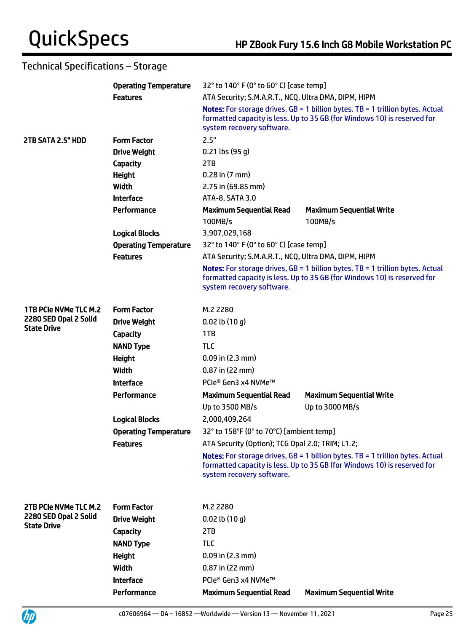|                              | <b>Operating Temperature</b> |                                                                                                                                                                                         | 32° to 140° F (0° to 60° C) [case temp]                                                                                                                             |  |  |
|------------------------------|------------------------------|-----------------------------------------------------------------------------------------------------------------------------------------------------------------------------------------|---------------------------------------------------------------------------------------------------------------------------------------------------------------------|--|--|
|                              | <b>Features</b>              | ATA Security; S.M.A.R.T., NCQ, Ultra DMA, DIPM, HIPM                                                                                                                                    |                                                                                                                                                                     |  |  |
|                              |                              | Notes: For storage drives, GB = 1 billion bytes. TB = 1 trillion bytes. Actual<br>formatted capacity is less. Up to 35 GB (for Windows 10) is reserved for<br>system recovery software. |                                                                                                                                                                     |  |  |
| 2TB SATA 2.5" HDD            | <b>Form Factor</b>           | 2.5"                                                                                                                                                                                    |                                                                                                                                                                     |  |  |
|                              | <b>Drive Weight</b>          | $0.21$ lbs (95 g)                                                                                                                                                                       |                                                                                                                                                                     |  |  |
|                              | Capacity                     | 2TB                                                                                                                                                                                     |                                                                                                                                                                     |  |  |
|                              | <b>Height</b>                | $0.28$ in $(7$ mm $)$                                                                                                                                                                   |                                                                                                                                                                     |  |  |
|                              | Width                        | 2.75 in (69.85 mm)                                                                                                                                                                      |                                                                                                                                                                     |  |  |
|                              | <b>Interface</b>             | ATA-8, SATA 3.0                                                                                                                                                                         |                                                                                                                                                                     |  |  |
|                              | Performance                  | <b>Maximum Sequential Read</b><br>100MB/s                                                                                                                                               | <b>Maximum Sequential Write</b><br>100MB/s                                                                                                                          |  |  |
|                              | <b>Logical Blocks</b>        | 3,907,029,168                                                                                                                                                                           |                                                                                                                                                                     |  |  |
|                              | <b>Operating Temperature</b> | 32° to 140° F (0° to 60° C) [case temp]                                                                                                                                                 |                                                                                                                                                                     |  |  |
|                              | <b>Features</b>              | ATA Security; S.M.A.R.T., NCQ, Ultra DMA, DIPM, HIPM                                                                                                                                    |                                                                                                                                                                     |  |  |
|                              |                              | system recovery software.                                                                                                                                                               | <b>Notes:</b> For storage drives, $GB = 1$ billion bytes. TB = 1 trillion bytes. Actual<br>formatted capacity is less. Up to 35 GB (for Windows 10) is reserved for |  |  |
| <b>1TB PCIe NVMe TLC M.2</b> | <b>Form Factor</b>           | M.2 2280                                                                                                                                                                                |                                                                                                                                                                     |  |  |
| 2280 SED Opal 2 Solid        | <b>Drive Weight</b>          | $0.02$ lb $(10 g)$                                                                                                                                                                      |                                                                                                                                                                     |  |  |
| <b>State Drive</b>           | Capacity                     | 1TB                                                                                                                                                                                     |                                                                                                                                                                     |  |  |
|                              | <b>NAND Type</b>             | <b>TLC</b>                                                                                                                                                                              |                                                                                                                                                                     |  |  |
|                              | <b>Height</b>                | $0.09$ in $(2.3$ mm)                                                                                                                                                                    |                                                                                                                                                                     |  |  |
|                              | <b>Width</b>                 | $0.87$ in (22 mm)                                                                                                                                                                       |                                                                                                                                                                     |  |  |
|                              | <b>Interface</b>             | PCIe® Gen3 x4 NVMe™                                                                                                                                                                     |                                                                                                                                                                     |  |  |
|                              | Performance                  | <b>Maximum Sequential Read</b>                                                                                                                                                          | <b>Maximum Sequential Write</b>                                                                                                                                     |  |  |
|                              |                              | Up to 3500 MB/s                                                                                                                                                                         | Up to 3000 MB/s                                                                                                                                                     |  |  |
|                              | <b>Logical Blocks</b>        | 2,000,409,264                                                                                                                                                                           |                                                                                                                                                                     |  |  |
|                              | <b>Operating Temperature</b> | 32° to 158°F (0° to 70°C) [ambient temp]                                                                                                                                                |                                                                                                                                                                     |  |  |
|                              | <b>Features</b>              | ATA Security (Option); TCG Opal 2.0; TRIM; L1.2;                                                                                                                                        |                                                                                                                                                                     |  |  |
|                              |                              | system recovery software.                                                                                                                                                               | <b>Notes:</b> For storage drives, $GB = 1$ billion bytes. TB = 1 trillion bytes. Actual<br>formatted capacity is less. Up to 35 GB (for Windows 10) is reserved for |  |  |
| 2TB PCIe NVMe TLC M.2        | <b>Form Factor</b>           | M.2 2280                                                                                                                                                                                |                                                                                                                                                                     |  |  |
| 2280 SED Opal 2 Solid        | <b>Drive Weight</b>          | $0.02$ lb $(10q)$                                                                                                                                                                       |                                                                                                                                                                     |  |  |
| <b>State Drive</b>           | Capacity                     | 2TB                                                                                                                                                                                     |                                                                                                                                                                     |  |  |
|                              | <b>NAND Type</b>             | <b>TLC</b>                                                                                                                                                                              |                                                                                                                                                                     |  |  |
|                              | <b>Height</b>                | $0.09$ in $(2.3$ mm)                                                                                                                                                                    |                                                                                                                                                                     |  |  |
|                              | Width                        | $0.87$ in (22 mm)                                                                                                                                                                       |                                                                                                                                                                     |  |  |
|                              | <b>Interface</b>             | PCIe® Gen3 x4 NVMe™                                                                                                                                                                     |                                                                                                                                                                     |  |  |
|                              | Performance                  | <b>Maximum Sequential Read</b>                                                                                                                                                          | <b>Maximum Sequential Write</b>                                                                                                                                     |  |  |

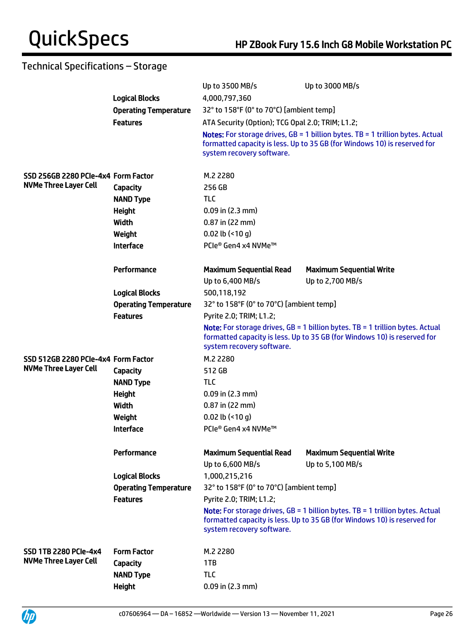|                                     |                              | Up to 3500 MB/s                                    | Up to 3000 MB/s                                                                                                                                                     |  |
|-------------------------------------|------------------------------|----------------------------------------------------|---------------------------------------------------------------------------------------------------------------------------------------------------------------------|--|
|                                     | <b>Logical Blocks</b>        | 4,000,797,360                                      |                                                                                                                                                                     |  |
|                                     | <b>Operating Temperature</b> | 32° to 158°F (0° to 70°C) [ambient temp]           |                                                                                                                                                                     |  |
|                                     | <b>Features</b>              | ATA Security (Option); TCG Opal 2.0; TRIM; L1.2;   |                                                                                                                                                                     |  |
|                                     |                              | system recovery software.                          | <b>Notes:</b> For storage drives, $GB = 1$ billion bytes. TB = 1 trillion bytes. Actual<br>formatted capacity is less. Up to 35 GB (for Windows 10) is reserved for |  |
| SSD 256GB 2280 PCIe-4x4 Form Factor |                              | M.2 2280                                           |                                                                                                                                                                     |  |
| <b>NVMe Three Layer Cell</b>        | <b>Capacity</b>              | 256 GB                                             |                                                                                                                                                                     |  |
|                                     | <b>NAND Type</b>             | <b>TLC</b>                                         |                                                                                                                                                                     |  |
|                                     | <b>Height</b>                | $0.09$ in $(2.3$ mm)                               |                                                                                                                                                                     |  |
|                                     | Width                        | 0.87 in (22 mm)                                    |                                                                                                                                                                     |  |
|                                     | Weight                       | $0.02$ lb (<10 g)                                  |                                                                                                                                                                     |  |
|                                     | <b>Interface</b>             | PCIe® Gen4 x4 NVMe™                                |                                                                                                                                                                     |  |
|                                     | Performance                  | <b>Maximum Sequential Read</b>                     | <b>Maximum Sequential Write</b>                                                                                                                                     |  |
|                                     |                              | Up to 6,400 MB/s                                   | Up to 2,700 MB/s                                                                                                                                                    |  |
|                                     | <b>Logical Blocks</b>        | 500,118,192                                        |                                                                                                                                                                     |  |
|                                     | <b>Operating Temperature</b> | 32° to 158°F (0° to 70°C) [ambient temp]           |                                                                                                                                                                     |  |
|                                     | <b>Features</b>              | Pyrite 2.0; TRIM; L1.2;                            |                                                                                                                                                                     |  |
|                                     |                              | system recovery software.                          | <b>Note:</b> For storage drives, $GB = 1$ billion bytes. TB = 1 trillion bytes. Actual<br>formatted capacity is less. Up to 35 GB (for Windows 10) is reserved for  |  |
| SSD 512GB 2280 PCIe-4x4 Form Factor |                              | M.2 2280                                           |                                                                                                                                                                     |  |
| <b>NVMe Three Layer Cell</b>        | <b>Capacity</b>              | 512 GB                                             |                                                                                                                                                                     |  |
|                                     | <b>NAND Type</b>             | <b>TLC</b>                                         |                                                                                                                                                                     |  |
|                                     | <b>Height</b>                | $0.09$ in $(2.3$ mm)                               |                                                                                                                                                                     |  |
|                                     | Width                        | $0.87$ in (22 mm)                                  |                                                                                                                                                                     |  |
|                                     | Weight                       | $0.02$ lb (<10 g)                                  |                                                                                                                                                                     |  |
|                                     | <b>Interface</b>             | PCIe® Gen4 x4 NVMe™                                |                                                                                                                                                                     |  |
|                                     | Performance                  | <b>Maximum Sequential Read</b><br>Up to 6,600 MB/s | <b>Maximum Sequential Write</b><br>Up to 5,100 MB/s                                                                                                                 |  |
|                                     | <b>Logical Blocks</b>        | 1,000,215,216                                      |                                                                                                                                                                     |  |
|                                     | <b>Operating Temperature</b> | 32° to 158°F (0° to 70°C) [ambient temp]           |                                                                                                                                                                     |  |
|                                     | <b>Features</b>              | Pyrite 2.0; TRIM; L1.2;                            |                                                                                                                                                                     |  |
|                                     |                              | system recovery software.                          | <b>Note:</b> For storage drives, $GB = 1$ billion bytes. TB = 1 trillion bytes. Actual<br>formatted capacity is less. Up to 35 GB (for Windows 10) is reserved for  |  |
| <b>SSD 1TB 2280 PCIe-4x4</b>        | <b>Form Factor</b>           | M.2 2280                                           |                                                                                                                                                                     |  |
| <b>NVMe Three Layer Cell</b>        | <b>Capacity</b>              | 1TB                                                |                                                                                                                                                                     |  |
|                                     | <b>NAND Type</b>             | <b>TLC</b>                                         |                                                                                                                                                                     |  |
|                                     | <b>Height</b>                | $0.09$ in $(2.3$ mm)                               |                                                                                                                                                                     |  |
|                                     |                              |                                                    |                                                                                                                                                                     |  |



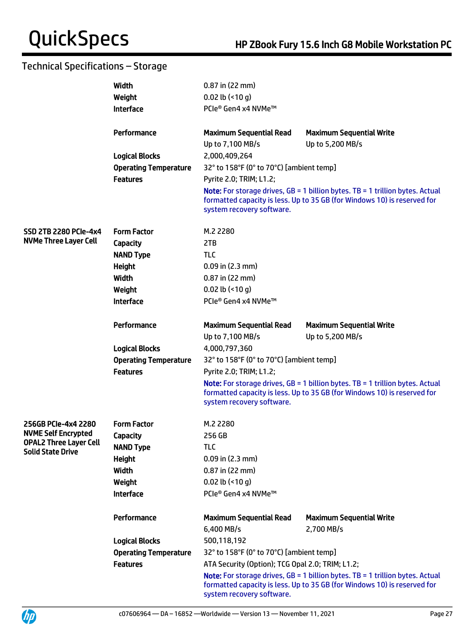|                               | Width                        | $0.87$ in (22 mm)                                |                                                                                                                                                                      |
|-------------------------------|------------------------------|--------------------------------------------------|----------------------------------------------------------------------------------------------------------------------------------------------------------------------|
|                               | Weight                       | $0.02$ lb (<10 g)                                |                                                                                                                                                                      |
|                               | <b>Interface</b>             | PCIe® Gen4 x4 NVMe™                              |                                                                                                                                                                      |
|                               |                              |                                                  |                                                                                                                                                                      |
|                               | Performance                  | <b>Maximum Sequential Read</b>                   | <b>Maximum Sequential Write</b>                                                                                                                                      |
|                               |                              | Up to 7,100 MB/s                                 | Up to 5,200 MB/s                                                                                                                                                     |
|                               | <b>Logical Blocks</b>        | 2,000,409,264                                    |                                                                                                                                                                      |
|                               | <b>Operating Temperature</b> | 32° to 158°F (0° to 70°C) [ambient temp]         |                                                                                                                                                                      |
|                               | <b>Features</b>              | Pyrite 2.0; TRIM; L1.2;                          |                                                                                                                                                                      |
|                               |                              | system recovery software.                        | <b>Note:</b> For storage drives, $GB = 1$ billion bytes. $TB = 1$ trillion bytes. Actual<br>formatted capacity is less. Up to 35 GB (for Windows 10) is reserved for |
| <b>SSD 2TB 2280 PCIe-4x4</b>  | <b>Form Factor</b>           | M.2 2280                                         |                                                                                                                                                                      |
| <b>NVMe Three Layer Cell</b>  | Capacity                     | 2TB                                              |                                                                                                                                                                      |
|                               | <b>NAND Type</b>             | <b>TLC</b>                                       |                                                                                                                                                                      |
|                               | Height                       | $0.09$ in (2.3 mm)                               |                                                                                                                                                                      |
|                               | Width                        | $0.87$ in (22 mm)                                |                                                                                                                                                                      |
|                               | Weight                       | $0.02$ lb (<10 g)                                |                                                                                                                                                                      |
|                               | <b>Interface</b>             | PCIe® Gen4 x4 NVMe™                              |                                                                                                                                                                      |
|                               |                              |                                                  |                                                                                                                                                                      |
|                               | Performance                  | <b>Maximum Sequential Read</b>                   | <b>Maximum Sequential Write</b>                                                                                                                                      |
|                               |                              | Up to 7,100 MB/s                                 | Up to 5,200 MB/s                                                                                                                                                     |
|                               | <b>Logical Blocks</b>        | 4,000,797,360                                    |                                                                                                                                                                      |
|                               | <b>Operating Temperature</b> | 32° to 158°F (0° to 70°C) [ambient temp]         |                                                                                                                                                                      |
|                               | <b>Features</b>              | Pyrite 2.0; TRIM; L1.2;                          |                                                                                                                                                                      |
|                               |                              | system recovery software.                        | <b>Note:</b> For storage drives, $GB = 1$ billion bytes. TB = 1 trillion bytes. Actual<br>formatted capacity is less. Up to 35 GB (for Windows 10) is reserved for   |
| 256GB PCIe-4x4 2280           | <b>Form Factor</b>           | M.2 2280                                         |                                                                                                                                                                      |
| <b>NVME Self Encrypted</b>    | Capacity                     | 256 GB                                           |                                                                                                                                                                      |
| <b>OPAL2 Three Layer Cell</b> | <b>NAND Type</b>             | TLC                                              |                                                                                                                                                                      |
| <b>Solid State Drive</b>      | <b>Height</b>                | $0.09$ in (2.3 mm)                               |                                                                                                                                                                      |
|                               | Width                        | $0.87$ in (22 mm)                                |                                                                                                                                                                      |
|                               | Weight                       | $0.02$ lb (<10 g)                                |                                                                                                                                                                      |
|                               | <b>Interface</b>             | PCle® Gen4 x4 NVMe™                              |                                                                                                                                                                      |
|                               |                              |                                                  |                                                                                                                                                                      |
|                               | Performance                  | <b>Maximum Sequential Read</b>                   | <b>Maximum Sequential Write</b>                                                                                                                                      |
|                               |                              | 6,400 MB/s                                       | 2,700 MB/s                                                                                                                                                           |
|                               | <b>Logical Blocks</b>        | 500,118,192                                      |                                                                                                                                                                      |
|                               | <b>Operating Temperature</b> | 32° to 158°F (0° to 70°C) [ambient temp]         |                                                                                                                                                                      |
|                               | <b>Features</b>              | ATA Security (Option); TCG Opal 2.0; TRIM; L1.2; |                                                                                                                                                                      |
|                               |                              | system recovery software.                        | Note: For storage drives, GB = 1 billion bytes. TB = 1 trillion bytes. Actual<br>formatted capacity is less. Up to 35 GB (for Windows 10) is reserved for            |



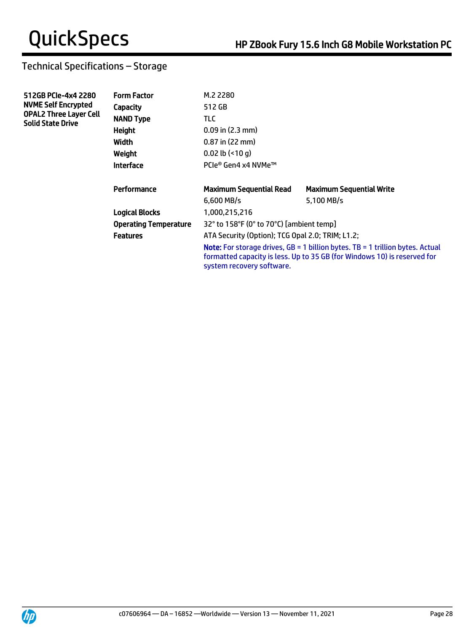| 512GB PCIe-4x4 2280<br><b>NVME Self Encrypted</b>         | <b>Form Factor</b>           | M.2 2280                                                                                                                                                                                        |                                 |  |
|-----------------------------------------------------------|------------------------------|-------------------------------------------------------------------------------------------------------------------------------------------------------------------------------------------------|---------------------------------|--|
|                                                           | Capacity                     | 512 GB                                                                                                                                                                                          |                                 |  |
| <b>OPAL2 Three Layer Cell</b><br><b>Solid State Drive</b> | <b>NAND Type</b>             | TLC.                                                                                                                                                                                            |                                 |  |
|                                                           | <b>Height</b>                | $0.09$ in $(2.3$ mm)                                                                                                                                                                            |                                 |  |
|                                                           | Width                        | $0.87$ in $(22$ mm)                                                                                                                                                                             |                                 |  |
|                                                           | Weight                       | $0.02$ lb $($ <10 q)                                                                                                                                                                            |                                 |  |
|                                                           | <b>Interface</b>             | PCle® Gen4 x4 NVMe™                                                                                                                                                                             |                                 |  |
|                                                           | Performance                  | <b>Maximum Sequential Read</b>                                                                                                                                                                  | <b>Maximum Sequential Write</b> |  |
|                                                           |                              | $6.600$ MB/s                                                                                                                                                                                    | 5.100 MB/s                      |  |
|                                                           | <b>Logical Blocks</b>        | 1,000,215,216                                                                                                                                                                                   |                                 |  |
|                                                           | <b>Operating Temperature</b> | 32° to 158°F (0° to 70°C) [ambient temp]                                                                                                                                                        |                                 |  |
|                                                           | <b>Features</b>              | ATA Security (Option); TCG Opal 2.0; TRIM; L1.2;                                                                                                                                                |                                 |  |
|                                                           |                              | <b>Note:</b> For storage drives, $GB = 1$ billion bytes. TB = 1 trillion bytes. Actual<br>formatted capacity is less. Up to 35 GB (for Windows 10) is reserved for<br>system recovery software. |                                 |  |

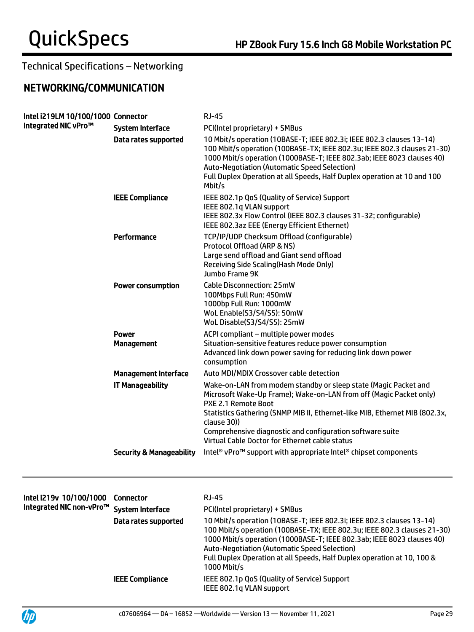# NETWORKING/COMMUNICATION

| Intel i219LM 10/100/1000 Connector<br>Integrated NIC vPro™ |                                     | <b>RJ-45</b>                                                                                                                                                                                                                                                                                                                                                                     |
|------------------------------------------------------------|-------------------------------------|----------------------------------------------------------------------------------------------------------------------------------------------------------------------------------------------------------------------------------------------------------------------------------------------------------------------------------------------------------------------------------|
|                                                            | <b>System Interface</b>             | PCI(Intel proprietary) + SMBus                                                                                                                                                                                                                                                                                                                                                   |
|                                                            | Data rates supported                | 10 Mbit/s operation (10BASE-T; IEEE 802.3i; IEEE 802.3 clauses 13-14)<br>100 Mbit/s operation (100BASE-TX; IEEE 802.3u; IEEE 802.3 clauses 21-30)<br>1000 Mbit/s operation (1000BASE-T; IEEE 802.3ab; IEEE 8023 clauses 40)<br><b>Auto-Negotiation (Automatic Speed Selection)</b><br>Full Duplex Operation at all Speeds, Half Duplex operation at 10 and 100<br>Mbit/s         |
|                                                            | <b>IEEE Compliance</b>              | IEEE 802.1p QoS (Quality of Service) Support<br>IEEE 802.1q VLAN support<br>IEEE 802.3x Flow Control (IEEE 802.3 clauses 31-32; configurable)<br>IEEE 802.3az EEE (Energy Efficient Ethernet)                                                                                                                                                                                    |
|                                                            | Performance                         | TCP/IP/UDP Checksum Offload (configurable)<br>Protocol Offload (ARP & NS)<br>Large send offload and Giant send offload<br>Receiving Side Scaling (Hash Mode Only)<br>Jumbo Frame 9K                                                                                                                                                                                              |
|                                                            | <b>Power consumption</b>            | Cable Disconnection: 25mW<br>100Mbps Full Run: 450mW<br>1000bp Full Run: 1000mW<br>WoL Enable(S3/S4/S5): 50mW<br>WoL Disable(S3/S4/S5): 25mW                                                                                                                                                                                                                                     |
|                                                            | <b>Power</b><br><b>Management</b>   | ACPI compliant - multiple power modes<br>Situation-sensitive features reduce power consumption<br>Advanced link down power saving for reducing link down power<br>consumption                                                                                                                                                                                                    |
|                                                            | <b>Management Interface</b>         | Auto MDI/MDIX Crossover cable detection                                                                                                                                                                                                                                                                                                                                          |
|                                                            | <b>IT Manageability</b>             | Wake-on-LAN from modem standby or sleep state (Magic Packet and<br>Microsoft Wake-Up Frame); Wake-on-LAN from off (Magic Packet only)<br><b>PXE 2.1 Remote Boot</b><br>Statistics Gathering (SNMP MIB II, Ethernet-like MIB, Ethernet MIB (802.3x,<br>clause 30))<br>Comprehensive diagnostic and configuration software suite<br>Virtual Cable Doctor for Ethernet cable status |
|                                                            | <b>Security &amp; Manageability</b> | Intel <sup>®</sup> vPro <sup>™</sup> support with appropriate Intel® chipset components                                                                                                                                                                                                                                                                                          |
|                                                            |                                     |                                                                                                                                                                                                                                                                                                                                                                                  |
| Intel i219v 10/100/1000<br>Integrated NIC non-vPro™        | <b>Connector</b>                    | <b>RJ-45</b>                                                                                                                                                                                                                                                                                                                                                                     |
|                                                            | <b>System Interface</b>             | PCI(Intel proprietary) + SMBus                                                                                                                                                                                                                                                                                                                                                   |
|                                                            | Data rates supported                | 10 Mbit/s operation (10BASE-T; IEEE 802.3i; IEEE 802.3 clauses 13-14)<br>100 Mbit/s operation (100BASE-TX; IEEE 802.3u; IEEE 802.3 clauses 21-30)<br>1000 Mbit/s operation (1000BASE-T; IEEE 802.3ab; IEEE 8023 clauses 40)<br><b>Auto-Negotiation (Automatic Speed Selection)</b><br>Full Duplex Operation at all Speeds, Half Duplex operation at 10, 100 &<br>1000 Mbit/s     |
|                                                            | <b>IEEE Compliance</b>              | IEEE 802.1p QoS (Quality of Service) Support<br>IEEE 802.1q VLAN support                                                                                                                                                                                                                                                                                                         |

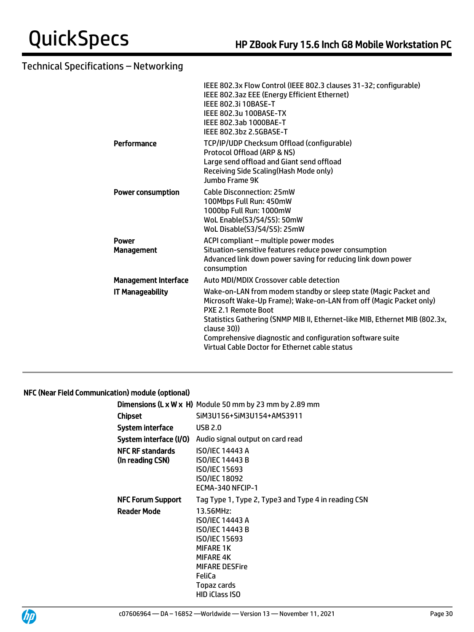|                             | IEEE 802.3x Flow Control (IEEE 802.3 clauses 31-32; configurable)<br>IEEE 802.3az EEE (Energy Efficient Ethernet)<br><b>IEEE 802.3i 10BASE-T</b><br>IEEE 802.3u 100BASE-TX<br>IEEE 802.3ab 1000BAE-T<br>IEEE 802.3bz 2.5GBASE-T                                                                                                                                           |
|-----------------------------|---------------------------------------------------------------------------------------------------------------------------------------------------------------------------------------------------------------------------------------------------------------------------------------------------------------------------------------------------------------------------|
| Performance                 | TCP/IP/UDP Checksum Offload (configurable)<br>Protocol Offload (ARP & NS)<br>Large send offload and Giant send offload<br>Receiving Side Scaling (Hash Mode only)<br>Jumbo Frame 9K                                                                                                                                                                                       |
| <b>Power consumption</b>    | <b>Cable Disconnection: 25mW</b><br>100Mbps Full Run: 450mW<br>1000bp Full Run: 1000mW<br>WoL Enable(S3/S4/S5): 50mW<br>WoL Disable(S3/S4/S5): 25mW                                                                                                                                                                                                                       |
| Power<br><b>Management</b>  | ACPI compliant - multiple power modes<br>Situation-sensitive features reduce power consumption<br>Advanced link down power saving for reducing link down power<br>consumption                                                                                                                                                                                             |
| <b>Management Interface</b> | Auto MDI/MDIX Crossover cable detection                                                                                                                                                                                                                                                                                                                                   |
| <b>IT Manageability</b>     | Wake-on-LAN from modem standby or sleep state (Magic Packet and<br>Microsoft Wake-Up Frame); Wake-on-LAN from off (Magic Packet only)<br>PXE 2.1 Remote Boot<br>Statistics Gathering (SNMP MIB II, Ethernet-like MIB, Ethernet MIB (802.3x,<br>clause 30))<br>Comprehensive diagnostic and configuration software suite<br>Virtual Cable Doctor for Ethernet cable status |
|                             |                                                                                                                                                                                                                                                                                                                                                                           |

## NFC (Near Field Communication) module (optional)

|                                             | <b>Dimensions (L x W x H)</b> Module 50 mm by 23 mm by 2.89 mm                                                                                                                             |
|---------------------------------------------|--------------------------------------------------------------------------------------------------------------------------------------------------------------------------------------------|
| Chipset                                     | SiM3U156+SiM3U154+AMS3911                                                                                                                                                                  |
| System interface                            | <b>USB 2.0</b>                                                                                                                                                                             |
| System interface (I/O)                      | Audio signal output on card read                                                                                                                                                           |
| <b>NFC RF standards</b><br>(In reading CSN) | <b>ISO/IEC 14443 A</b><br><b>ISO/IEC 14443 B</b><br><b>ISO/IEC 15693</b><br>ISO/IEC 18092<br>ECMA-340 NFCIP-1                                                                              |
| <b>NFC Forum Support</b>                    | Tag Type 1, Type 2, Type3 and Type 4 in reading CSN                                                                                                                                        |
| <b>Reader Mode</b>                          | 13.56MHz:<br>ISO/IEC 14443 A<br><b>ISO/IEC 14443 B</b><br><b>ISO/IEC 15693</b><br><b>MIFARE 1K</b><br><b>MIFARE 4K</b><br><b>MIFARE DESFire</b><br>FeliCa<br>Topaz cards<br>HID iClass ISO |



j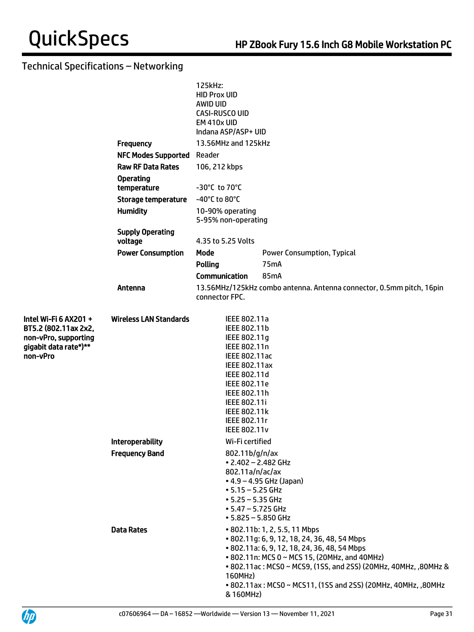|                                                                                                            |                                    | 125kHz:<br><b>HID Prox UID</b><br>AWID UID<br>CASI-RUSCO UID<br><b>EM 410x UID</b><br>Indana ASP/ASP+ UID                                                                                                                    |                                                                                                                                                                                                                                                                                                                    |  |  |  |
|------------------------------------------------------------------------------------------------------------|------------------------------------|------------------------------------------------------------------------------------------------------------------------------------------------------------------------------------------------------------------------------|--------------------------------------------------------------------------------------------------------------------------------------------------------------------------------------------------------------------------------------------------------------------------------------------------------------------|--|--|--|
|                                                                                                            | <b>Frequency</b>                   | 13.56MHz and 125kHz                                                                                                                                                                                                          |                                                                                                                                                                                                                                                                                                                    |  |  |  |
|                                                                                                            | <b>NFC Modes Supported</b>         | Reader<br>106, 212 kbps                                                                                                                                                                                                      |                                                                                                                                                                                                                                                                                                                    |  |  |  |
|                                                                                                            | <b>Raw RF Data Rates</b>           |                                                                                                                                                                                                                              |                                                                                                                                                                                                                                                                                                                    |  |  |  |
|                                                                                                            | <b>Operating</b><br>temperature    | -30°C to 70°C                                                                                                                                                                                                                |                                                                                                                                                                                                                                                                                                                    |  |  |  |
|                                                                                                            | <b>Storage temperature</b>         | -40°C to 80°C                                                                                                                                                                                                                |                                                                                                                                                                                                                                                                                                                    |  |  |  |
|                                                                                                            | <b>Humidity</b>                    | 10-90% operating<br>5-95% non-operating                                                                                                                                                                                      |                                                                                                                                                                                                                                                                                                                    |  |  |  |
|                                                                                                            | <b>Supply Operating</b><br>voltage | 4.35 to 5.25 Volts                                                                                                                                                                                                           |                                                                                                                                                                                                                                                                                                                    |  |  |  |
|                                                                                                            | <b>Power Consumption</b>           | Mode                                                                                                                                                                                                                         | <b>Power Consumption, Typical</b>                                                                                                                                                                                                                                                                                  |  |  |  |
|                                                                                                            |                                    | <b>Polling</b>                                                                                                                                                                                                               | 75 <sub>m</sub> A                                                                                                                                                                                                                                                                                                  |  |  |  |
|                                                                                                            |                                    | <b>Communication</b>                                                                                                                                                                                                         | 85mA                                                                                                                                                                                                                                                                                                               |  |  |  |
|                                                                                                            | Antenna                            | connector FPC.                                                                                                                                                                                                               | 13.56MHz/125kHz combo antenna. Antenna connector, 0.5mm pitch, 16pin                                                                                                                                                                                                                                               |  |  |  |
| Intel Wi-Fi 6 AX201 +<br>BT5.2 (802.11ax 2x2,<br>non-vPro, supporting<br>gigabit data rate*)**<br>non-vPro | <b>Wireless LAN Standards</b>      | IEEE 802.11a<br>IEEE 802.11b<br>IEEE 802.11g<br>IEEE 802.11n<br>IEEE 802.11ac<br><b>IEEE 802.11ax</b><br>IEEE 802.11d<br>IEEE 802.11e<br>IEEE 802.11h<br>IEEE 802.11i<br>IEEE 802.11k<br>IEEE 802.11r<br><b>IEEE 802.11v</b> |                                                                                                                                                                                                                                                                                                                    |  |  |  |
|                                                                                                            | <b>Interoperability</b>            | Wi-Fi certified                                                                                                                                                                                                              |                                                                                                                                                                                                                                                                                                                    |  |  |  |
|                                                                                                            | <b>Frequency Band</b>              | 802.11b/g/n/ax<br>$\cdot$ 2.402 - 2.482 GHz<br>802.11a/n/ac/ax<br>$\bullet$ 4.9 – 4.95 GHz (Japan)<br>$• 5.15 - 5.25$ GHz<br>$• 5.25 - 5.35$ GHz<br>$• 5.47 - 5.725$ GHz<br>$• 5.825 - 5.850$ GHz                            |                                                                                                                                                                                                                                                                                                                    |  |  |  |
|                                                                                                            | <b>Data Rates</b>                  | 160MHz)<br>& 160MHz)                                                                                                                                                                                                         | • 802.11b: 1, 2, 5.5, 11 Mbps<br>• 802.11g: 6, 9, 12, 18, 24, 36, 48, 54 Mbps<br>• 802.11a: 6, 9, 12, 18, 24, 36, 48, 54 Mbps<br>• 802.11n: MCS 0 ~ MCS 15, (20MHz, and 40MHz)<br>• 802.11ac: MCS0 ~ MCS9, (1SS, and 2SS) (20MHz, 40MHz, ,80MHz &<br>• 802.11ax: MCS0 ~ MCS11, (1SS and 2SS) (20MHz, 40MHz, ,80MHz |  |  |  |

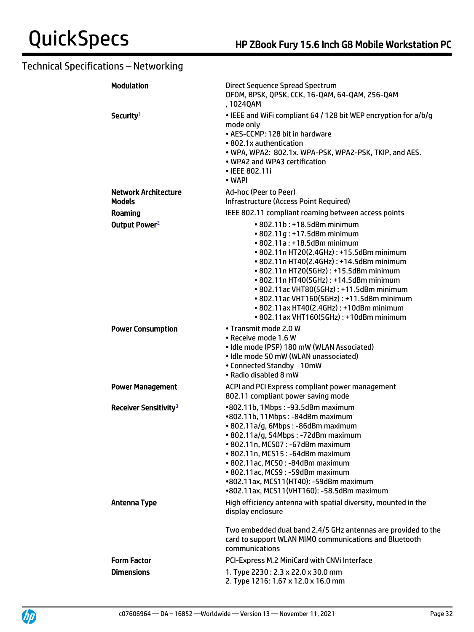| <b>Modulation</b>                            | Direct Sequence Spread Spectrum<br>OFDM, BPSK, QPSK, CCK, 16-QAM, 64-QAM, 256-QAM<br>, 1024QAM                                                                                                                                                                                                                                                                                                                                                       |
|----------------------------------------------|------------------------------------------------------------------------------------------------------------------------------------------------------------------------------------------------------------------------------------------------------------------------------------------------------------------------------------------------------------------------------------------------------------------------------------------------------|
| Security <sup>1</sup>                        | • IEEE and WiFi compliant 64 / 128 bit WEP encryption for a/b/g<br>mode only<br>• AES-CCMP: 128 bit in hardware<br>• 802.1x authentication<br>. WPA, WPA2: 802.1x. WPA-PSK, WPA2-PSK, TKIP, and AES.<br>• WPA2 and WPA3 certification<br>• IEEE 802.11i<br>• WAPI                                                                                                                                                                                    |
| <b>Network Architecture</b><br><b>Models</b> | Ad-hoc (Peer to Peer)<br><b>Infrastructure (Access Point Required)</b>                                                                                                                                                                                                                                                                                                                                                                               |
| Roaming                                      | IEEE 802.11 compliant roaming between access points                                                                                                                                                                                                                                                                                                                                                                                                  |
| Output Power <sup>2</sup>                    | • 802.11b: +18.5dBm minimum<br>• 802.11g: +17.5dBm minimum<br>• 802.11a: +18.5dBm minimum<br>• 802.11n HT20(2.4GHz): +15.5dBm minimum<br>• 802.11n HT40(2.4GHz): +14.5dBm minimum<br>• 802.11n HT20(5GHz): +15.5dBm minimum<br>• 802.11n HT40(5GHz): +14.5dBm minimum<br>• 802.11ac VHT80(5GHz): +11.5dBm minimum<br>• 802.11ac VHT160(5GHz): +11.5dBm minimum<br>• 802.11ax HT40(2.4GHz): +10dBm minimum<br>• 802.11ax VHT160(5GHz): +10dBm minimum |
| <b>Power Consumption</b>                     | • Transmit mode 2.0 W<br>• Receive mode 1.6 W<br>· Idle mode (PSP) 180 mW (WLAN Associated)<br>· Idle mode 50 mW (WLAN unassociated)<br>• Connected Standby 10mW<br>• Radio disabled 8 mW                                                                                                                                                                                                                                                            |
| <b>Power Management</b>                      | ACPI and PCI Express compliant power management<br>802.11 compliant power saving mode                                                                                                                                                                                                                                                                                                                                                                |
| Receiver Sensitivity <sup>3</sup>            | •802.11b, 1Mbps: -93.5dBm maximum<br>•802.11b, 11Mbps: -84dBm maximum<br>· 802.11a/g, 6Mbps: -86dBm maximum<br>· 802.11a/g, 54Mbps: -72dBm maximum<br>• 802.11n, MCS07: -67dBm maximum<br>• 802.11n, MCS15: -64dBm maximum<br>· 802.11ac, MCS0: -84dBm maximum<br>· 802.11ac, MCS9: -59dBm maximum<br>•802.11ax, MCS11(HT40): -59dBm maximum<br>•802.11ax, MCS11(VHT160): -58.5dBm maximum                                                           |
| <b>Antenna Type</b>                          | High efficiency antenna with spatial diversity, mounted in the<br>display enclosure                                                                                                                                                                                                                                                                                                                                                                  |
|                                              | Two embedded dual band 2.4/5 GHz antennas are provided to the<br>card to support WLAN MIMO communications and Bluetooth<br>communications                                                                                                                                                                                                                                                                                                            |
| <b>Form Factor</b>                           | PCI-Express M.2 MiniCard with CNVi Interface                                                                                                                                                                                                                                                                                                                                                                                                         |
| <b>Dimensions</b>                            | 1. Type 2230: 2.3 x 22.0 x 30.0 mm<br>2. Type 1216: 1.67 x 12.0 x 16.0 mm                                                                                                                                                                                                                                                                                                                                                                            |

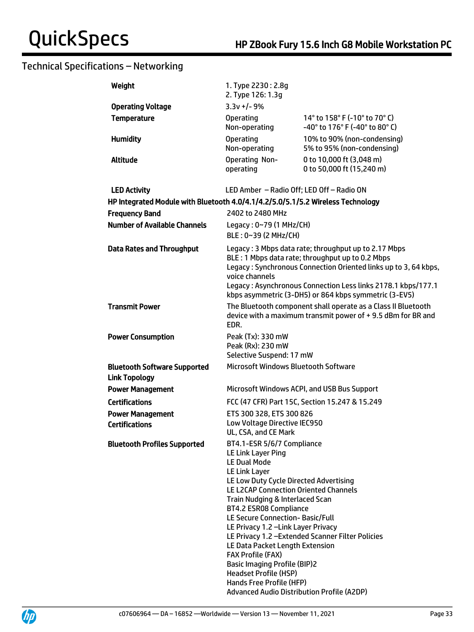| Weight                                                                          | 1. Type 2230: 2.8g<br>2. Type 126: 1.3g                                                                                                                                                                                                                                                                                                                                                                                                                                                                                                          |                                                                                                                                                                                                                                                                                                      |
|---------------------------------------------------------------------------------|--------------------------------------------------------------------------------------------------------------------------------------------------------------------------------------------------------------------------------------------------------------------------------------------------------------------------------------------------------------------------------------------------------------------------------------------------------------------------------------------------------------------------------------------------|------------------------------------------------------------------------------------------------------------------------------------------------------------------------------------------------------------------------------------------------------------------------------------------------------|
| <b>Operating Voltage</b>                                                        | $3.3v + 1 - 9%$                                                                                                                                                                                                                                                                                                                                                                                                                                                                                                                                  |                                                                                                                                                                                                                                                                                                      |
| <b>Temperature</b>                                                              | <b>Operating</b><br>Non-operating                                                                                                                                                                                                                                                                                                                                                                                                                                                                                                                | 14° to 158° F (-10° to 70° C)<br>-40° to 176° F (-40° to 80° C)                                                                                                                                                                                                                                      |
| <b>Humidity</b>                                                                 | <b>Operating</b><br>Non-operating                                                                                                                                                                                                                                                                                                                                                                                                                                                                                                                | 10% to 90% (non-condensing)<br>5% to 95% (non-condensing)                                                                                                                                                                                                                                            |
| <b>Altitude</b>                                                                 | <b>Operating Non-</b><br>operating                                                                                                                                                                                                                                                                                                                                                                                                                                                                                                               | 0 to 10,000 ft (3,048 m)<br>0 to 50,000 ft (15,240 m)                                                                                                                                                                                                                                                |
| <b>LED Activity</b>                                                             | LED Amber - Radio Off; LED Off - Radio ON                                                                                                                                                                                                                                                                                                                                                                                                                                                                                                        |                                                                                                                                                                                                                                                                                                      |
| HP Integrated Module with Bluetooth 4.0/4.1/4.2/5.0/5.1/5.2 Wireless Technology |                                                                                                                                                                                                                                                                                                                                                                                                                                                                                                                                                  |                                                                                                                                                                                                                                                                                                      |
| <b>Frequency Band</b>                                                           | 2402 to 2480 MHz                                                                                                                                                                                                                                                                                                                                                                                                                                                                                                                                 |                                                                                                                                                                                                                                                                                                      |
| <b>Number of Available Channels</b>                                             | Legacy: 0~79 (1 MHz/CH)<br>BLE: 0~39 (2 MHz/CH)                                                                                                                                                                                                                                                                                                                                                                                                                                                                                                  |                                                                                                                                                                                                                                                                                                      |
| <b>Data Rates and Throughput</b>                                                | voice channels                                                                                                                                                                                                                                                                                                                                                                                                                                                                                                                                   | Legacy: 3 Mbps data rate; throughput up to 2.17 Mbps<br>BLE: 1 Mbps data rate; throughput up to 0.2 Mbps<br>Legacy: Synchronous Connection Oriented links up to 3, 64 kbps,<br>Legacy: Asynchronous Connection Less links 2178.1 kbps/177.1<br>kbps asymmetric (3-DH5) or 864 kbps symmetric (3-EV5) |
| <b>Transmit Power</b>                                                           | EDR.                                                                                                                                                                                                                                                                                                                                                                                                                                                                                                                                             | The Bluetooth component shall operate as a Class II Bluetooth<br>device with a maximum transmit power of +9.5 dBm for BR and                                                                                                                                                                         |
| <b>Power Consumption</b>                                                        | Peak (Tx): 330 mW<br>Peak (Rx): 230 mW<br>Selective Suspend: 17 mW                                                                                                                                                                                                                                                                                                                                                                                                                                                                               |                                                                                                                                                                                                                                                                                                      |
| <b>Bluetooth Software Supported</b><br><b>Link Topology</b>                     | Microsoft Windows Bluetooth Software                                                                                                                                                                                                                                                                                                                                                                                                                                                                                                             |                                                                                                                                                                                                                                                                                                      |
| <b>Power Management</b>                                                         |                                                                                                                                                                                                                                                                                                                                                                                                                                                                                                                                                  | Microsoft Windows ACPI, and USB Bus Support                                                                                                                                                                                                                                                          |
| <b>Certifications</b>                                                           |                                                                                                                                                                                                                                                                                                                                                                                                                                                                                                                                                  | FCC (47 CFR) Part 15C, Section 15.247 & 15.249                                                                                                                                                                                                                                                       |
| <b>Power Management</b><br><b>Certifications</b>                                | ETS 300 328, ETS 300 826<br>Low Voltage Directive IEC950<br>UL, CSA, and CE Mark                                                                                                                                                                                                                                                                                                                                                                                                                                                                 |                                                                                                                                                                                                                                                                                                      |
| <b>Bluetooth Profiles Supported</b>                                             | BT4.1-ESR 5/6/7 Compliance<br>LE Link Layer Ping<br><b>LE Dual Mode</b><br><b>LE Link Layer</b><br>LE Low Duty Cycle Directed Advertising<br>LE L2CAP Connection Oriented Channels<br>Train Nudging & Interlaced Scan<br>BT4.2 ESR08 Compliance<br>LE Secure Connection-Basic/Full<br>LE Privacy 1.2 - Link Layer Privacy<br>LE Data Packet Length Extension<br><b>FAX Profile (FAX)</b><br><b>Basic Imaging Profile (BIP)2</b><br><b>Headset Profile (HSP)</b><br>Hands Free Profile (HFP)<br><b>Advanced Audio Distribution Profile (A2DP)</b> | LE Privacy 1.2 - Extended Scanner Filter Policies                                                                                                                                                                                                                                                    |

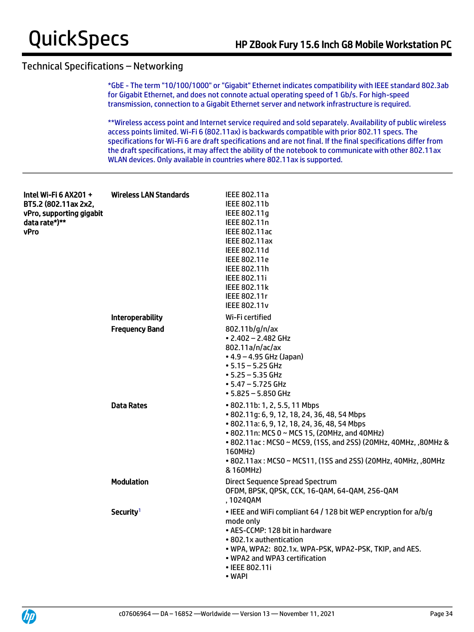\*GbE - The term "10/100/1000" or "Gigabit" Ethernet indicates compatibility with IEEE standard 802.3ab for Gigabit Ethernet, and does not connote actual operating speed of 1 Gb/s. For high-speed transmission, connection to a Gigabit Ethernet server and network infrastructure is required.

\*\*Wireless access point and Internet service required and sold separately. Availability of public wireless access points limited. Wi-Fi 6 (802.11ax) is backwards compatible with prior 802.11 specs. The specifications for Wi-Fi 6 are draft specifications and are not final. If the final specifications differ from the draft specifications, it may affect the ability of the notebook to communicate with other 802.11ax WLAN devices. Only available in countries where 802.11ax is supported.

| Intel Wi-Fi 6 AX201 +<br>BT5.2 (802.11ax 2x2,<br>vPro, supporting gigabit<br>data rate*)**<br><b>vPro</b> | Wireless LAN Standards  | IEEE 802.11a<br>IEEE 802.11b<br>IEEE 802.11g<br>IEEE 802.11n<br><b>IEEE 802.11ac</b><br><b>IEEE 802.11ax</b><br>IEEE 802.11d<br>IEEE 802.11e<br>IEEE 802.11h<br><b>IEEE 802.11i</b><br><b>IEEE 802.11k</b><br>IEEE 802.11r<br><b>IEEE 802.11v</b>                                                                                          |
|-----------------------------------------------------------------------------------------------------------|-------------------------|--------------------------------------------------------------------------------------------------------------------------------------------------------------------------------------------------------------------------------------------------------------------------------------------------------------------------------------------|
|                                                                                                           | <b>Interoperability</b> | Wi-Fi certified                                                                                                                                                                                                                                                                                                                            |
|                                                                                                           | <b>Frequency Band</b>   | 802.11b/g/n/ax<br>$\cdot$ 2.402 - 2.482 GHz<br>802.11a/n/ac/ax<br>$\bullet$ 4.9 – 4.95 GHz (Japan)<br>$\bullet$ 5.15 $-$ 5.25 GHz<br>$• 5.25 - 5.35$ GHz<br>$\bullet$ 5.47 – 5.725 GHz<br>$• 5.825 - 5.850$ GHz                                                                                                                            |
|                                                                                                           | <b>Data Rates</b>       | • 802.11b: 1, 2, 5.5, 11 Mbps<br>• 802.11g: 6, 9, 12, 18, 24, 36, 48, 54 Mbps<br>• 802.11a: 6, 9, 12, 18, 24, 36, 48, 54 Mbps<br>• 802.11n: MCS 0 ~ MCS 15, (20MHz, and 40MHz)<br>• 802.11ac: MCS0 ~ MCS9, (1SS, and 2SS) (20MHz, 40MHz, ,80MHz &<br>160MHz)<br>• 802.11ax: MCS0 ~ MCS11, (1SS and 2SS) (20MHz, 40MHz, ,80MHz<br>& 160MHz) |
|                                                                                                           | <b>Modulation</b>       | <b>Direct Sequence Spread Spectrum</b><br>OFDM, BPSK, QPSK, CCK, 16-QAM, 64-QAM, 256-QAM<br>, 1024QAM                                                                                                                                                                                                                                      |
|                                                                                                           | Security <sup>1</sup>   | • IEEE and WiFi compliant 64 / 128 bit WEP encryption for a/b/g<br>mode only<br>• AES-CCMP: 128 bit in hardware<br>• 802.1x authentication<br>. WPA, WPA2: 802.1x. WPA-PSK, WPA2-PSK, TKIP, and AES.<br>• WPA2 and WPA3 certification<br>• IEEE 802.11i<br>• WAPI                                                                          |

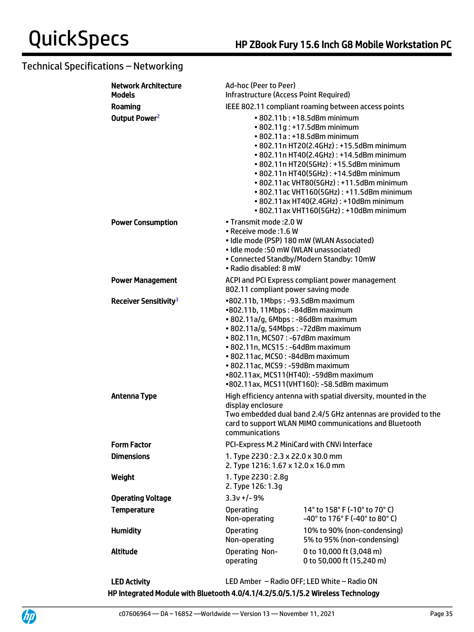| <b>Network Architecture</b><br><b>Models</b> | Ad-hoc (Peer to Peer)<br>Infrastructure (Access Point Required)                                                                                                                                                                                                                                                                              |                                                                                                                                                                                                                                                                                                                                                                                                                                                      |  |
|----------------------------------------------|----------------------------------------------------------------------------------------------------------------------------------------------------------------------------------------------------------------------------------------------------------------------------------------------------------------------------------------------|------------------------------------------------------------------------------------------------------------------------------------------------------------------------------------------------------------------------------------------------------------------------------------------------------------------------------------------------------------------------------------------------------------------------------------------------------|--|
| Roaming                                      | IEEE 802.11 compliant roaming between access points                                                                                                                                                                                                                                                                                          |                                                                                                                                                                                                                                                                                                                                                                                                                                                      |  |
| Output Power <sup>2</sup>                    |                                                                                                                                                                                                                                                                                                                                              | • 802.11b: +18.5dBm minimum<br>• 802.11g: +17.5dBm minimum<br>• 802.11a: +18.5dBm minimum<br>• 802.11n HT20(2.4GHz): +15.5dBm minimum<br>• 802.11n HT40(2.4GHz): +14.5dBm minimum<br>• 802.11n HT20(5GHz): +15.5dBm minimum<br>• 802.11n HT40(5GHz): +14.5dBm minimum<br>• 802.11ac VHT80(5GHz): +11.5dBm minimum<br>• 802.11ac VHT160(5GHz): +11.5dBm minimum<br>• 802.11ax HT40(2.4GHz): +10dBm minimum<br>• 802.11ax VHT160(5GHz): +10dBm minimum |  |
| <b>Power Consumption</b>                     | • Transmit mode: 2.0 W<br>• Receive mode : 1.6 W<br>· Idle mode (PSP) 180 mW (WLAN Associated)<br>• Idle mode: 50 mW (WLAN unassociated)<br>• Radio disabled: 8 mW                                                                                                                                                                           | • Connected Standby/Modern Standby: 10mW                                                                                                                                                                                                                                                                                                                                                                                                             |  |
| <b>Power Management</b>                      | 802.11 compliant power saving mode                                                                                                                                                                                                                                                                                                           | ACPI and PCI Express compliant power management                                                                                                                                                                                                                                                                                                                                                                                                      |  |
| Receiver Sensitivity <sup>3</sup>            | •802.11b, 1Mbps: -93.5dBm maximum<br>•802.11b, 11Mbps: -84dBm maximum<br>• 802.11a/g, 6Mbps: -86dBm maximum<br>· 802.11a/g, 54Mbps: -72dBm maximum<br>• 802.11n, MCS07: -67dBm maximum<br>• 802.11n, MCS15: -64dBm maximum<br>• 802.11ac, MCS0: -84dBm maximum<br>• 802.11ac, MCS9: -59dBm maximum<br>•802.11ax, MCS11(HT40): -59dBm maximum | •802.11ax, MCS11(VHT160): -58.5dBm maximum                                                                                                                                                                                                                                                                                                                                                                                                           |  |
| <b>Antenna Type</b>                          | display enclosure<br>communications                                                                                                                                                                                                                                                                                                          | High efficiency antenna with spatial diversity, mounted in the<br>Two embedded dual band 2.4/5 GHz antennas are provided to the<br>card to support WLAN MIMO communications and Bluetooth                                                                                                                                                                                                                                                            |  |
| <b>Form Factor</b>                           | PCI-Express M.2 MiniCard with CNVi Interface                                                                                                                                                                                                                                                                                                 |                                                                                                                                                                                                                                                                                                                                                                                                                                                      |  |
| <b>Dimensions</b>                            | 1. Type 2230: 2.3 x 22.0 x 30.0 mm<br>2. Type 1216: 1.67 x 12.0 x 16.0 mm                                                                                                                                                                                                                                                                    |                                                                                                                                                                                                                                                                                                                                                                                                                                                      |  |
| Weight                                       | 1. Type 2230: 2.8q<br>2. Type 126: 1.3g                                                                                                                                                                                                                                                                                                      |                                                                                                                                                                                                                                                                                                                                                                                                                                                      |  |
| <b>Operating Voltage</b>                     | $3.3v +/- 9%$                                                                                                                                                                                                                                                                                                                                |                                                                                                                                                                                                                                                                                                                                                                                                                                                      |  |
| <b>Temperature</b>                           | <b>Operating</b><br>Non-operating                                                                                                                                                                                                                                                                                                            | 14 $^{\circ}$ to 158 $^{\circ}$ F (-10 $^{\circ}$ to 70 $^{\circ}$ C)<br>-40° to 176° F (-40° to 80° C)                                                                                                                                                                                                                                                                                                                                              |  |
| <b>Humidity</b>                              | <b>Operating</b><br>Non-operating                                                                                                                                                                                                                                                                                                            | 10% to 90% (non-condensing)<br>5% to 95% (non-condensing)                                                                                                                                                                                                                                                                                                                                                                                            |  |
| <b>Altitude</b>                              | <b>Operating Non-</b><br>operating                                                                                                                                                                                                                                                                                                           | 0 to 10,000 ft (3,048 m)<br>0 to 50,000 ft (15,240 m)                                                                                                                                                                                                                                                                                                                                                                                                |  |

LED Activity LED Amber – Radio OFF; LED White – Radio ON HP Integrated Module with Bluetooth 4.0/4.1/4.2/5.0/5.1/5.2 Wireless Technology

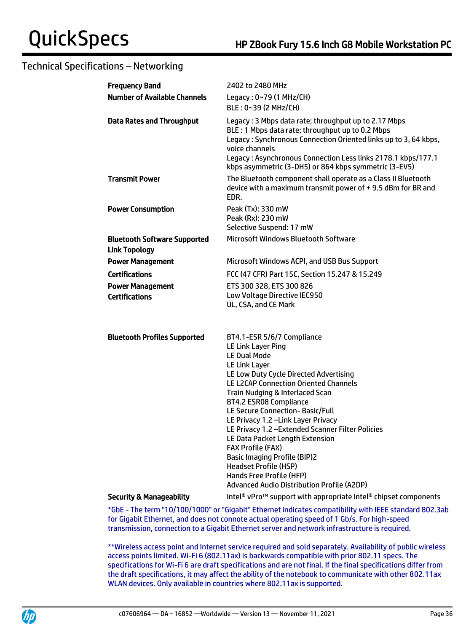| <b>Frequency Band</b>                                       | 2402 to 2480 MHz                                                                                                                                                                                                                                                                                                                                                                                                                                                                                                                                                                                |
|-------------------------------------------------------------|-------------------------------------------------------------------------------------------------------------------------------------------------------------------------------------------------------------------------------------------------------------------------------------------------------------------------------------------------------------------------------------------------------------------------------------------------------------------------------------------------------------------------------------------------------------------------------------------------|
| <b>Number of Available Channels</b>                         | Legacy: 0~79 (1 MHz/CH)                                                                                                                                                                                                                                                                                                                                                                                                                                                                                                                                                                         |
|                                                             | BLE: 0~39 (2 MHz/CH)                                                                                                                                                                                                                                                                                                                                                                                                                                                                                                                                                                            |
| <b>Data Rates and Throughput</b>                            | Legacy: 3 Mbps data rate; throughput up to 2.17 Mbps<br>BLE: 1 Mbps data rate; throughput up to 0.2 Mbps<br>Legacy: Synchronous Connection Oriented links up to 3, 64 kbps,<br>voice channels<br>Legacy: Asynchronous Connection Less links 2178.1 kbps/177.1<br>kbps asymmetric (3-DH5) or 864 kbps symmetric (3-EV5)                                                                                                                                                                                                                                                                          |
| <b>Transmit Power</b>                                       | The Bluetooth component shall operate as a Class II Bluetooth<br>device with a maximum transmit power of +9.5 dBm for BR and<br>EDR.                                                                                                                                                                                                                                                                                                                                                                                                                                                            |
| <b>Power Consumption</b>                                    | Peak (Tx): 330 mW                                                                                                                                                                                                                                                                                                                                                                                                                                                                                                                                                                               |
|                                                             | Peak (Rx): 230 mW                                                                                                                                                                                                                                                                                                                                                                                                                                                                                                                                                                               |
|                                                             | Selective Suspend: 17 mW<br><b>Microsoft Windows Bluetooth Software</b>                                                                                                                                                                                                                                                                                                                                                                                                                                                                                                                         |
| <b>Bluetooth Software Supported</b><br><b>Link Topology</b> |                                                                                                                                                                                                                                                                                                                                                                                                                                                                                                                                                                                                 |
| <b>Power Management</b>                                     | Microsoft Windows ACPI, and USB Bus Support                                                                                                                                                                                                                                                                                                                                                                                                                                                                                                                                                     |
| <b>Certifications</b>                                       | FCC (47 CFR) Part 15C, Section 15.247 & 15.249                                                                                                                                                                                                                                                                                                                                                                                                                                                                                                                                                  |
| <b>Power Management</b>                                     | ETS 300 328, ETS 300 826                                                                                                                                                                                                                                                                                                                                                                                                                                                                                                                                                                        |
| <b>Certifications</b>                                       | Low Voltage Directive IEC950<br>UL, CSA, and CE Mark                                                                                                                                                                                                                                                                                                                                                                                                                                                                                                                                            |
| <b>Bluetooth Profiles Supported</b>                         | BT4.1-ESR 5/6/7 Compliance<br>LE Link Layer Ping<br><b>LE Dual Mode</b><br>LE Link Layer<br>LE Low Duty Cycle Directed Advertising<br><b>LE L2CAP Connection Oriented Channels</b><br>Train Nudging & Interlaced Scan<br>BT4.2 ESR08 Compliance<br>LE Secure Connection- Basic/Full<br>LE Privacy 1.2 - Link Layer Privacy<br>LE Privacy 1.2 - Extended Scanner Filter Policies<br>LE Data Packet Length Extension<br><b>FAX Profile (FAX)</b><br><b>Basic Imaging Profile (BIP)2</b><br><b>Headset Profile (HSP)</b><br>Hands Free Profile (HFP)<br>Advanced Audio Distribution Profile (A2DP) |
| <b>Security &amp; Manageability</b>                         | Intel <sup>®</sup> vPro <sup>™</sup> support with appropriate Intel <sup>®</sup> chipset components                                                                                                                                                                                                                                                                                                                                                                                                                                                                                             |

\*GbE - The term "10/100/1000" or "Gigabit" Ethernet indicates compatibility with IEEE standard 802.3ab for Gigabit Ethernet, and does not connote actual operating speed of 1 Gb/s. For high-speed transmission, connection to a Gigabit Ethernet server and network infrastructure is required.

\*\*Wireless access point and Internet service required and sold separately. Availability of public wireless access points limited. Wi-Fi 6 (802.11ax) is backwards compatible with prior 802.11 specs. The specifications for Wi-Fi 6 are draft specifications and are not final. If the final specifications differ from the draft specifications, it may affect the ability of the notebook to communicate with other 802.11ax WLAN devices. Only available in countries where 802.11ax is supported.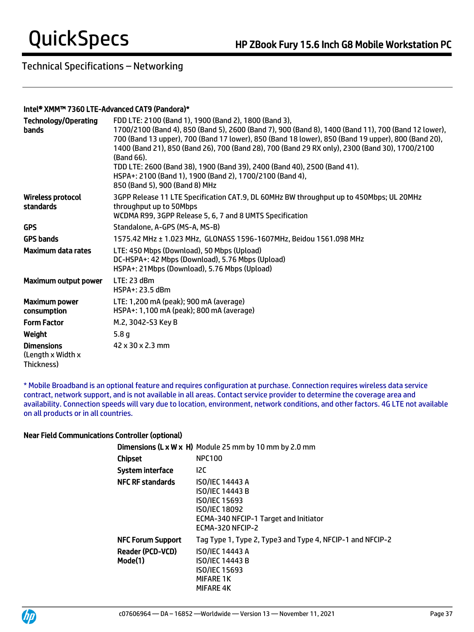### Intel® XMM™ 7360 LTE-Advanced CAT9 (Pandora)\*

| <b>Technology/Operating</b><br>bands                 | FDD LTE: 2100 (Band 1), 1900 (Band 2), 1800 (Band 3),<br>1700/2100 (Band 4), 850 (Band 5), 2600 (Band 7), 900 (Band 8), 1400 (Band 11), 700 (Band 12 lower),<br>700 (Band 13 upper), 700 (Band 17 lower), 850 (Band 18 lower), 850 (Band 19 upper), 800 (Band 20),<br>1400 (Band 21), 850 (Band 26), 700 (Band 28), 700 (Band 29 RX only), 2300 (Band 30), 1700/2100<br>(Band 66).<br>TDD LTE: 2600 (Band 38), 1900 (Band 39), 2400 (Band 40), 2500 (Band 41).<br>HSPA+: 2100 (Band 1), 1900 (Band 2), 1700/2100 (Band 4),<br>850 (Band 5), 900 (Band 8) MHz |
|------------------------------------------------------|--------------------------------------------------------------------------------------------------------------------------------------------------------------------------------------------------------------------------------------------------------------------------------------------------------------------------------------------------------------------------------------------------------------------------------------------------------------------------------------------------------------------------------------------------------------|
| <b>Wireless protocol</b><br>standards                | 3GPP Release 11 LTE Specification CAT.9, DL 60MHz BW throughput up to 450Mbps; UL 20MHz<br>throughput up to 50Mbps<br>WCDMA R99, 3GPP Release 5, 6, 7 and 8 UMTS Specification                                                                                                                                                                                                                                                                                                                                                                               |
| <b>GPS</b>                                           | Standalone, A-GPS (MS-A, MS-B)                                                                                                                                                                                                                                                                                                                                                                                                                                                                                                                               |
| <b>GPS bands</b>                                     | 1575.42 MHz ± 1.023 MHz, GLONASS 1596-1607MHz, Beidou 1561.098 MHz                                                                                                                                                                                                                                                                                                                                                                                                                                                                                           |
| Maximum data rates                                   | LTE: 450 Mbps (Download), 50 Mbps (Upload)<br>DC-HSPA+: 42 Mbps (Download), 5.76 Mbps (Upload)<br>HSPA+: 21Mbps (Download), 5.76 Mbps (Upload)                                                                                                                                                                                                                                                                                                                                                                                                               |
| Maximum output power                                 | LTE: 23 dBm<br>HSPA+: 23.5 dBm                                                                                                                                                                                                                                                                                                                                                                                                                                                                                                                               |
| <b>Maximum power</b><br>consumption                  | LTE: 1,200 mA (peak); 900 mA (average)<br>HSPA+: 1,100 mA (peak); 800 mA (average)                                                                                                                                                                                                                                                                                                                                                                                                                                                                           |
| <b>Form Factor</b>                                   | M.2, 3042-S3 Key B                                                                                                                                                                                                                                                                                                                                                                                                                                                                                                                                           |
| Weight                                               | 5.8 <sub>g</sub>                                                                                                                                                                                                                                                                                                                                                                                                                                                                                                                                             |
| <b>Dimensions</b><br>(Length x Width x<br>Thickness) | 42 x 30 x 2.3 mm                                                                                                                                                                                                                                                                                                                                                                                                                                                                                                                                             |

\* Mobile Broadband is an optional feature and requires configuration at purchase. Connection requires wireless data service contract, network support, and is not available in all areas. Contact service provider to determine the coverage area and availability. Connection speeds will vary due to location, environment, network conditions, and other factors. 4G LTE not available on all products or in all countries.

### Near Field Communications Controller (optional)

|                             | <b>Dimensions (L x W x H)</b> Module 25 mm by 10 mm by 2.0 mm                                                                                          |
|-----------------------------|--------------------------------------------------------------------------------------------------------------------------------------------------------|
| Chipset                     | <b>NPC100</b>                                                                                                                                          |
| System interface            | 12C                                                                                                                                                    |
| <b>NFC RF standards</b>     | <b>ISO/IEC 14443 A</b><br><b>ISO/IEC 14443 B</b><br>ISO/IEC 15693<br><b>ISO/IEC 18092</b><br>ECMA-340 NFCIP-1 Target and Initiator<br>ECMA-320 NFCIP-2 |
| <b>NFC Forum Support</b>    | Tag Type 1, Type 2, Type3 and Type 4, NFCIP-1 and NFCIP-2                                                                                              |
| Reader (PCD-VCD)<br>Mode(1) | <b>ISO/IEC 14443 A</b><br><b>ISO/IEC 14443 B</b><br><b>ISO/IEC 15693</b><br><b>MIFARE 1K</b><br>MIFARE 4K                                              |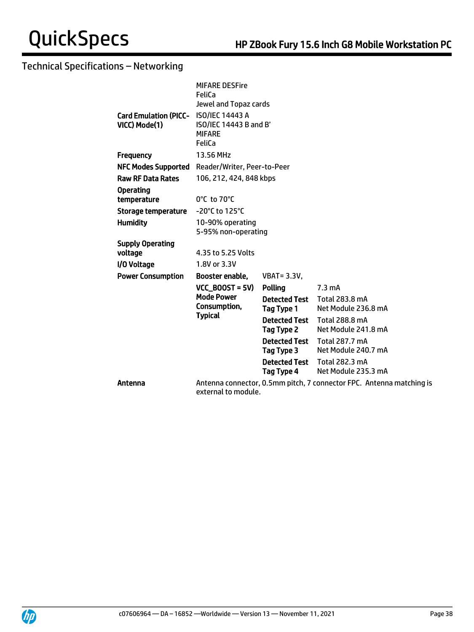|                                                        | <b>MIFARE DESFire</b><br><b>FeliCa</b>                                     |                                    |                                                                      |
|--------------------------------------------------------|----------------------------------------------------------------------------|------------------------------------|----------------------------------------------------------------------|
| Card Emulation (PICC- ISO/IEC 14443 A<br>VICC) Mode(1) | Jewel and Topaz cards<br>ISO/IEC 14443 B and B'<br><b>MIFARE</b><br>FeliCa |                                    |                                                                      |
| <b>Frequency</b>                                       | 13.56 MHz                                                                  |                                    |                                                                      |
| <b>NFC Modes Supported</b>                             | Reader/Writer, Peer-to-Peer                                                |                                    |                                                                      |
| <b>Raw RF Data Rates</b>                               | 106, 212, 424, 848 kbps                                                    |                                    |                                                                      |
| <b>Operating</b><br>temperature                        | $0^{\circ}$ C to 70 $^{\circ}$ C                                           |                                    |                                                                      |
| Storage temperature                                    | -20°C to 125°C                                                             |                                    |                                                                      |
| <b>Humidity</b>                                        | 10-90% operating<br>5-95% non-operating                                    |                                    |                                                                      |
| <b>Supply Operating</b>                                |                                                                            |                                    |                                                                      |
| voltage                                                | 4.35 to 5.25 Volts                                                         |                                    |                                                                      |
| I/O Voltage                                            | 1.8V or 3.3V                                                               |                                    |                                                                      |
| <b>Power Consumption</b>                               | Booster enable,                                                            | <b>VBAT=3.3V,</b>                  |                                                                      |
|                                                        | $VCC_BOOST = 5V$                                                           | Polling                            | $7.3 \text{ mA}$                                                     |
|                                                        | <b>Mode Power</b><br>Consumption,                                          | <b>Detected Test</b><br>Tag Type 1 | Total 283.8 mA<br>Net Module 236.8 mA                                |
|                                                        | <b>Typical</b>                                                             | <b>Detected Test</b><br>Tag Type 2 | <b>Total 288.8 mA</b><br>Net Module 241.8 mA                         |
|                                                        |                                                                            | <b>Detected Test</b><br>Tag Type 3 | Total 287.7 mA<br>Net Module 240.7 mA                                |
|                                                        |                                                                            | <b>Detected Test</b><br>Tag Type 4 | Total 282.3 mA<br>Net Module 235.3 mA                                |
| Antenna                                                | external to module.                                                        |                                    | Antenna connector, 0.5mm pitch, 7 connector FPC. Antenna matching is |

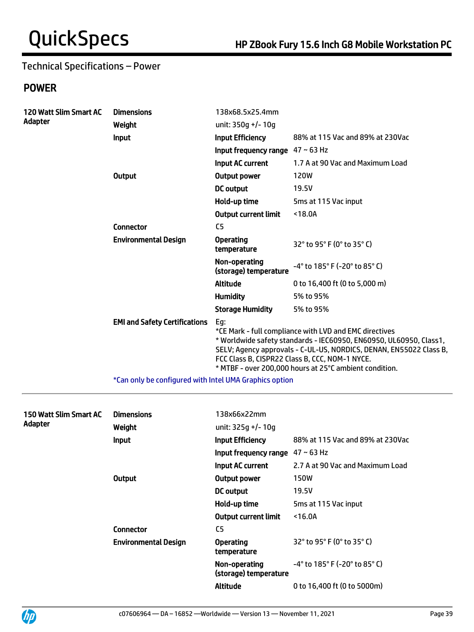# Technical Specifications – Power

# POWER

| 120 Watt Slim Smart AC | <b>Dimensions</b>                                      | 138x68.5x25.4mm                        |                                                                                                                                                                                                                                                                                                                |
|------------------------|--------------------------------------------------------|----------------------------------------|----------------------------------------------------------------------------------------------------------------------------------------------------------------------------------------------------------------------------------------------------------------------------------------------------------------|
| Adapter                | Weight                                                 | unit: 350q +/- 10q                     |                                                                                                                                                                                                                                                                                                                |
|                        | <b>Input</b>                                           | <b>Input Efficiency</b>                | 88% at 115 Vac and 89% at 230Vac                                                                                                                                                                                                                                                                               |
|                        |                                                        | Input frequency range $47 \sim 63$ Hz  |                                                                                                                                                                                                                                                                                                                |
|                        |                                                        | Input AC current                       | 1.7 A at 90 Vac and Maximum Load                                                                                                                                                                                                                                                                               |
|                        | <b>Output</b>                                          | Output power                           | <b>120W</b>                                                                                                                                                                                                                                                                                                    |
|                        |                                                        | <b>DC</b> output                       | 19.5V                                                                                                                                                                                                                                                                                                          |
|                        |                                                        | Hold-up time                           | 5ms at 115 Vac input                                                                                                                                                                                                                                                                                           |
|                        |                                                        | <b>Output current limit</b>            | $18.0A$                                                                                                                                                                                                                                                                                                        |
|                        | <b>Connector</b>                                       | C <sub>5</sub>                         |                                                                                                                                                                                                                                                                                                                |
|                        | <b>Environmental Design</b>                            | <b>Operating</b><br>temperature        | 32° to 95° F (0° to 35° C)                                                                                                                                                                                                                                                                                     |
|                        |                                                        | Non-operating<br>(storage) temperature | -4° to 185° F (-20° to 85° C)                                                                                                                                                                                                                                                                                  |
|                        |                                                        | <b>Altitude</b>                        | 0 to 16,400 ft (0 to 5,000 m)                                                                                                                                                                                                                                                                                  |
|                        |                                                        | <b>Humidity</b>                        | 5% to 95%                                                                                                                                                                                                                                                                                                      |
|                        |                                                        | <b>Storage Humidity</b>                | 5% to 95%                                                                                                                                                                                                                                                                                                      |
|                        | <b>EMI and Safety Certifications</b>                   | Eg:                                    | *CE Mark - full compliance with LVD and EMC directives<br>* Worldwide safety standards - IEC60950, EN60950, UL60950, Class1,<br>SELV; Agency approvals - C-UL-US, NORDICS, DENAN, EN55022 Class B,<br>FCC Class B, CISPR22 Class B, CCC, NOM-1 NYCE.<br>* MTBF - over 200,000 hours at 25°C ambient condition. |
|                        | *Can only be configured with Intel UMA Graphics option |                                        |                                                                                                                                                                                                                                                                                                                |

| 150 Watt Slim Smart AC<br>Adapter | <b>Dimensions</b><br>Weight | 138x66x22mm<br>unit: 325g +/- 10g      |                                                                      |
|-----------------------------------|-----------------------------|----------------------------------------|----------------------------------------------------------------------|
|                                   | <b>Input</b>                | <b>Input Efficiency</b>                | 88% at 115 Vac and 89% at 230Vac                                     |
|                                   |                             | Input frequency range                  | $47 - 63$ Hz                                                         |
|                                   |                             | Input AC current                       | 2.7 A at 90 Vac and Maximum Load                                     |
|                                   | Output                      | Output power                           | 150W                                                                 |
|                                   |                             | <b>DC</b> output                       | 19.5V                                                                |
|                                   |                             | Hold-up time                           | 5ms at 115 Vac input                                                 |
|                                   |                             | <b>Output current limit</b>            | $16.0A$                                                              |
|                                   | Connector                   | C <sub>5</sub>                         |                                                                      |
|                                   | <b>Environmental Design</b> | <b>Operating</b><br>temperature        | 32° to 95° F (0° to 35° C)                                           |
|                                   |                             | Non-operating<br>(storage) temperature | $-4^{\circ}$ to 185 $^{\circ}$ F (-20 $^{\circ}$ to 85 $^{\circ}$ C) |
|                                   |                             | Altitude                               | 0 to 16,400 ft (0 to 5000m)                                          |

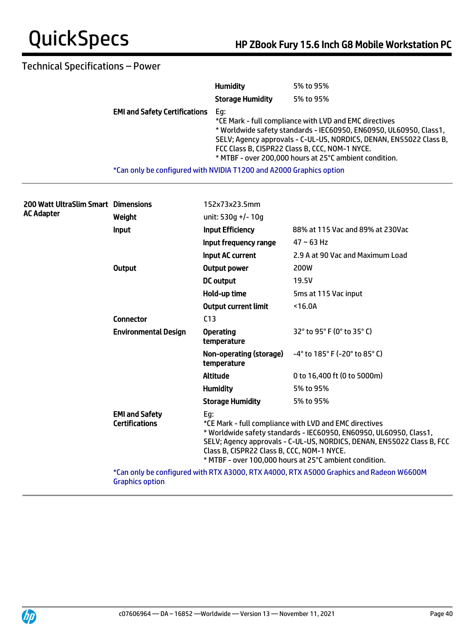# Technical Specifications – Power

|                                                                     | <b>Humidity</b>         | 5% to 95%                                                                                                                                                                                                                                                                                                      |
|---------------------------------------------------------------------|-------------------------|----------------------------------------------------------------------------------------------------------------------------------------------------------------------------------------------------------------------------------------------------------------------------------------------------------------|
|                                                                     | <b>Storage Humidity</b> | 5% to 95%                                                                                                                                                                                                                                                                                                      |
| <b>EMI and Safety Certifications</b>                                | Eg:                     | *CE Mark - full compliance with LVD and EMC directives<br>* Worldwide safety standards - IEC60950, EN60950, UL60950, Class1,<br>SELV; Agency approvals - C-UL-US, NORDICS, DENAN, EN55022 Class B,<br>FCC Class B, CISPR22 Class B, CCC, NOM-1 NYCE.<br>* MTBF - over 200,000 hours at 25°C ambient condition. |
| *Can only be configured with NVIDIA T1200 and A2000 Graphics option |                         |                                                                                                                                                                                                                                                                                                                |

| 200 Watt UltraSlim Smart Dimensions<br>AC Adapter |                                                | 152x73x23.5mm                                                                                                                                                                                                                                                                                                         |                                                                                         |
|---------------------------------------------------|------------------------------------------------|-----------------------------------------------------------------------------------------------------------------------------------------------------------------------------------------------------------------------------------------------------------------------------------------------------------------------|-----------------------------------------------------------------------------------------|
|                                                   | Weight                                         | unit: 530q +/- 10q                                                                                                                                                                                                                                                                                                    |                                                                                         |
|                                                   | Input                                          | <b>Input Efficiency</b>                                                                                                                                                                                                                                                                                               | 88% at 115 Vac and 89% at 230Vac                                                        |
|                                                   |                                                | Input frequency range                                                                                                                                                                                                                                                                                                 | $47 - 63$ Hz                                                                            |
|                                                   |                                                | <b>Input AC current</b>                                                                                                                                                                                                                                                                                               | 2.9 A at 90 Vac and Maximum Load                                                        |
|                                                   | <b>Output</b>                                  | <b>Output power</b>                                                                                                                                                                                                                                                                                                   | 200W                                                                                    |
|                                                   |                                                | DC output                                                                                                                                                                                                                                                                                                             | 19.5V                                                                                   |
|                                                   |                                                | Hold-up time                                                                                                                                                                                                                                                                                                          | 5ms at 115 Vac input                                                                    |
|                                                   |                                                | <b>Output current limit</b>                                                                                                                                                                                                                                                                                           | $16.0A$                                                                                 |
|                                                   | <b>Connector</b>                               | C <sub>13</sub>                                                                                                                                                                                                                                                                                                       |                                                                                         |
|                                                   | <b>Environmental Design</b>                    | <b>Operating</b><br>temperature                                                                                                                                                                                                                                                                                       | $32^{\circ}$ to 95 $^{\circ}$ F (0 $^{\circ}$ to 35 $^{\circ}$ C)                       |
|                                                   |                                                | Non-operating (storage)<br>temperature                                                                                                                                                                                                                                                                                | $-4^{\circ}$ to 185 $^{\circ}$ F (-20 $^{\circ}$ to 85 $^{\circ}$ C)                    |
|                                                   |                                                | <b>Altitude</b>                                                                                                                                                                                                                                                                                                       | 0 to 16,400 ft (0 to 5000m)                                                             |
|                                                   |                                                | <b>Humidity</b>                                                                                                                                                                                                                                                                                                       | 5% to 95%                                                                               |
|                                                   |                                                | <b>Storage Humidity</b>                                                                                                                                                                                                                                                                                               | 5% to 95%                                                                               |
|                                                   | <b>EMI and Safety</b><br><b>Certifications</b> | Eg:<br>*CE Mark - full compliance with LVD and EMC directives<br>* Worldwide safety standards - IEC60950, EN60950, UL60950, Class1,<br>SELV; Agency approvals - C-UL-US, NORDICS, DENAN, EN55022 Class B, FCC<br>Class B, CISPR22 Class B, CCC, NOM-1 NYCE.<br>* MTBF - over 100,000 hours at 25°C ambient condition. |                                                                                         |
|                                                   | <b>Graphics option</b>                         |                                                                                                                                                                                                                                                                                                                       | *Can only be configured with RTX A3000, RTX A4000, RTX A5000 Graphics and Radeon W6600M |
|                                                   |                                                |                                                                                                                                                                                                                                                                                                                       |                                                                                         |

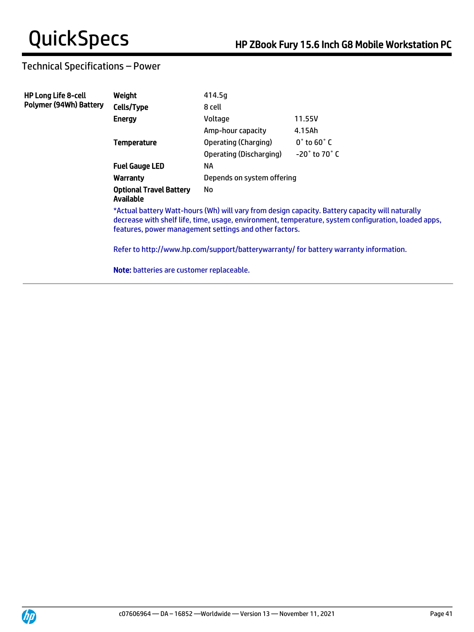# Technical Specifications – Power

| <b>HP Long Life 8-cell</b> | Weight                                                                                                                                                                                                                                                           | 414.5g                     |                                |  |
|----------------------------|------------------------------------------------------------------------------------------------------------------------------------------------------------------------------------------------------------------------------------------------------------------|----------------------------|--------------------------------|--|
| Polymer (94Wh) Battery     | Cells/Type                                                                                                                                                                                                                                                       | 8 cell                     |                                |  |
|                            | <b>Energy</b>                                                                                                                                                                                                                                                    | Voltage                    | 11.55V                         |  |
|                            |                                                                                                                                                                                                                                                                  | Amp-hour capacity          | 4.15Ah                         |  |
|                            | <b>Temperature</b>                                                                                                                                                                                                                                               | Operating (Charging)       | $0^{\circ}$ to 60 $^{\circ}$ C |  |
|                            |                                                                                                                                                                                                                                                                  | Operating (Discharging)    | $-20^\circ$ to 70 $^\circ$ C   |  |
|                            | <b>Fuel Gauge LED</b>                                                                                                                                                                                                                                            | NA                         |                                |  |
|                            | Warranty                                                                                                                                                                                                                                                         | Depends on system offering |                                |  |
|                            | <b>Optional Travel Battery</b><br>Available                                                                                                                                                                                                                      | No                         |                                |  |
|                            | *Actual battery Watt-hours (Wh) will vary from design capacity. Battery capacity will naturally<br>decrease with shelf life, time, usage, environment, temperature, system configuration, loaded apps,<br>features, power management settings and other factors. |                            |                                |  |
|                            | Refer to http://www.hp.com/support/batterywarranty/ for battery warranty information.                                                                                                                                                                            |                            |                                |  |
|                            | <b>Note:</b> batteries are customer replaceable.                                                                                                                                                                                                                 |                            |                                |  |

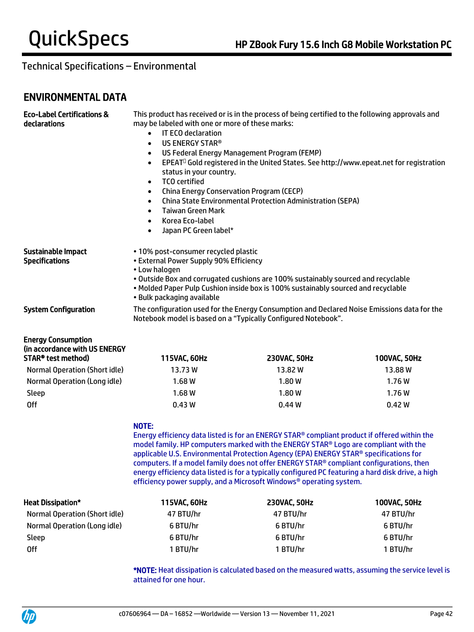# ENVIRONMENTAL DATA

| <b>Eco-Label Certifications &amp;</b><br>declarations                            | This product has received or is in the process of being certified to the following approvals and<br>may be labeled with one or more of these marks:<br>IT ECO declaration<br>$\bullet$<br>US ENERGY STAR®<br>$\bullet$<br>US Federal Energy Management Program (FEMP)<br>$\bullet$<br>EPEAT <sup>O</sup> Gold registered in the United States. See http://www.epeat.net for registration<br>$\bullet$<br>status in your country.<br><b>TCO</b> certified<br>$\bullet$<br>China Energy Conservation Program (CECP)<br>$\bullet$<br><b>China State Environmental Protection Administration (SEPA)</b><br>$\bullet$<br><b>Taiwan Green Mark</b><br>$\bullet$<br>Korea Eco-label<br>$\bullet$<br>Japan PC Green label*<br>$\bullet$ |                                                                                                                                                                        |              |  |
|----------------------------------------------------------------------------------|---------------------------------------------------------------------------------------------------------------------------------------------------------------------------------------------------------------------------------------------------------------------------------------------------------------------------------------------------------------------------------------------------------------------------------------------------------------------------------------------------------------------------------------------------------------------------------------------------------------------------------------------------------------------------------------------------------------------------------|------------------------------------------------------------------------------------------------------------------------------------------------------------------------|--------------|--|
| Sustainable Impact<br><b>Specifications</b>                                      | • 10% post-consumer recycled plastic<br>• External Power Supply 90% Efficiency<br>• Low halogen<br>• Bulk packaging available                                                                                                                                                                                                                                                                                                                                                                                                                                                                                                                                                                                                   | . Outside Box and corrugated cushions are 100% sustainably sourced and recyclable<br>. Molded Paper Pulp Cushion inside box is 100% sustainably sourced and recyclable |              |  |
| <b>System Configuration</b>                                                      | The configuration used for the Energy Consumption and Declared Noise Emissions data for the<br>Notebook model is based on a "Typically Configured Notebook".                                                                                                                                                                                                                                                                                                                                                                                                                                                                                                                                                                    |                                                                                                                                                                        |              |  |
| <b>Energy Consumption</b><br>(in accordance with US ENERGY<br>STAR® test method) | 115VAC, 60Hz                                                                                                                                                                                                                                                                                                                                                                                                                                                                                                                                                                                                                                                                                                                    | 230VAC, 50Hz                                                                                                                                                           | 100VAC, 50Hz |  |
| <b>Normal Operation (Short idle)</b>                                             | 13.73W                                                                                                                                                                                                                                                                                                                                                                                                                                                                                                                                                                                                                                                                                                                          | 13.82W                                                                                                                                                                 | 13.88 W      |  |
| Normal Operation (Long idle)                                                     | 1.68W                                                                                                                                                                                                                                                                                                                                                                                                                                                                                                                                                                                                                                                                                                                           | 1.80W                                                                                                                                                                  | 1.76W        |  |
| Sleep                                                                            | 1.68 W                                                                                                                                                                                                                                                                                                                                                                                                                                                                                                                                                                                                                                                                                                                          | 1.80W                                                                                                                                                                  | 1.76W        |  |
| <b>Off</b>                                                                       | 0.43W                                                                                                                                                                                                                                                                                                                                                                                                                                                                                                                                                                                                                                                                                                                           | 0.44W                                                                                                                                                                  | 0.42W        |  |
|                                                                                  | NOTE:<br>Energy efficiency data listed is for an ENERGY STAR® compliant product if offered within the<br>model family. HP computers marked with the ENERGY STAR® Logo are compliant with the<br>applicable U.S. Environmental Protection Agency (EPA) ENERGY STAR® specifications for<br>computers. If a model family does not offer ENERGY STAR® compliant configurations, then<br>energy efficiency data listed is for a typically configured PC featuring a hard disk drive, a high<br>efficiency power supply, and a Microsoft Windows® operating system.                                                                                                                                                                   |                                                                                                                                                                        |              |  |
| <b>Heat Dissipation*</b>                                                         | 115VAC, 60Hz                                                                                                                                                                                                                                                                                                                                                                                                                                                                                                                                                                                                                                                                                                                    | 230VAC, 50Hz                                                                                                                                                           | 100VAC, 50Hz |  |
| <b>Normal Operation (Short idle)</b>                                             | 47 BTU/hr                                                                                                                                                                                                                                                                                                                                                                                                                                                                                                                                                                                                                                                                                                                       | 47 BTU/hr                                                                                                                                                              | 47 BTU/hr    |  |
| Normal Operation (Long idle)                                                     | 6 BTU/hr                                                                                                                                                                                                                                                                                                                                                                                                                                                                                                                                                                                                                                                                                                                        | 6 BTU/hr                                                                                                                                                               | 6 BTU/hr     |  |
| Sleep                                                                            | 6 BTU/hr<br>6 BTU/hr<br>6 BTU/hr                                                                                                                                                                                                                                                                                                                                                                                                                                                                                                                                                                                                                                                                                                |                                                                                                                                                                        |              |  |
| <b>Off</b>                                                                       | 1 BTU/hr                                                                                                                                                                                                                                                                                                                                                                                                                                                                                                                                                                                                                                                                                                                        | 1 BTU/hr                                                                                                                                                               | 1 BTU/hr     |  |

\*NOTE: Heat dissipation is calculated based on the measured watts, assuming the service level is attained for one hour.

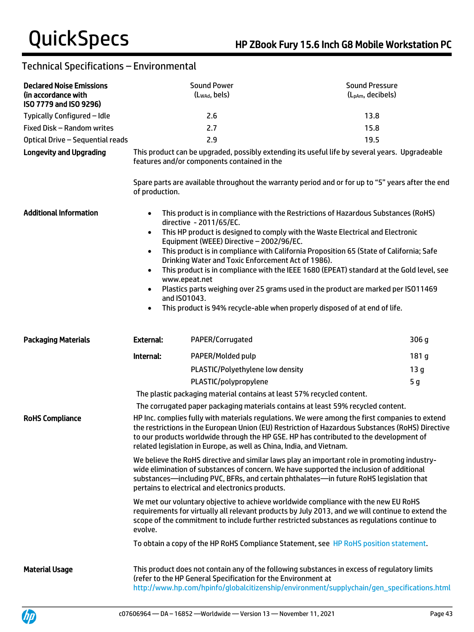| <b>Declared Noise Emissions</b><br>(in accordance with<br>ISO 7779 and ISO 9296) |                                                                                                                                                                                                                                                                                                                                                                                                                                                                                                                                                                                                                                                                                                                | <b>Sound Power</b><br>(Lwad, bels)                                                                                        | <b>Sound Pressure</b><br>(L <sub>pAm</sub> , decibels)                                                                                                                                                                                                                                                                                                                                                                                                                                                                         |
|----------------------------------------------------------------------------------|----------------------------------------------------------------------------------------------------------------------------------------------------------------------------------------------------------------------------------------------------------------------------------------------------------------------------------------------------------------------------------------------------------------------------------------------------------------------------------------------------------------------------------------------------------------------------------------------------------------------------------------------------------------------------------------------------------------|---------------------------------------------------------------------------------------------------------------------------|--------------------------------------------------------------------------------------------------------------------------------------------------------------------------------------------------------------------------------------------------------------------------------------------------------------------------------------------------------------------------------------------------------------------------------------------------------------------------------------------------------------------------------|
| Typically Configured - Idle                                                      |                                                                                                                                                                                                                                                                                                                                                                                                                                                                                                                                                                                                                                                                                                                | 2.6                                                                                                                       | 13.8                                                                                                                                                                                                                                                                                                                                                                                                                                                                                                                           |
| Fixed Disk - Random writes                                                       |                                                                                                                                                                                                                                                                                                                                                                                                                                                                                                                                                                                                                                                                                                                | 2.7                                                                                                                       | 15.8                                                                                                                                                                                                                                                                                                                                                                                                                                                                                                                           |
| Optical Drive - Sequential reads                                                 |                                                                                                                                                                                                                                                                                                                                                                                                                                                                                                                                                                                                                                                                                                                | 2.9                                                                                                                       | 19.5                                                                                                                                                                                                                                                                                                                                                                                                                                                                                                                           |
| <b>Longevity and Upgrading</b>                                                   | of production.                                                                                                                                                                                                                                                                                                                                                                                                                                                                                                                                                                                                                                                                                                 | features and/or components contained in the                                                                               | This product can be upgraded, possibly extending its useful life by several years. Upgradeable<br>Spare parts are available throughout the warranty period and or for up to "5" years after the end                                                                                                                                                                                                                                                                                                                            |
| <b>Additional Information</b>                                                    | $\bullet$<br>$\bullet$<br>$\bullet$<br>$\bullet$<br>www.epeat.net<br>$\bullet$<br>and ISO1043.<br>$\bullet$                                                                                                                                                                                                                                                                                                                                                                                                                                                                                                                                                                                                    | directive - 2011/65/EC.<br>Equipment (WEEE) Directive - 2002/96/EC.<br>Drinking Water and Toxic Enforcement Act of 1986). | This product is in compliance with the Restrictions of Hazardous Substances (RoHS)<br>This HP product is designed to comply with the Waste Electrical and Electronic<br>This product is in compliance with California Proposition 65 (State of California; Safe<br>This product is in compliance with the IEEE 1680 (EPEAT) standard at the Gold level, see<br>Plastics parts weighing over 25 grams used in the product are marked per ISO11469<br>This product is 94% recycle-able when properly disposed of at end of life. |
| <b>Packaging Materials</b>                                                       | <b>External:</b>                                                                                                                                                                                                                                                                                                                                                                                                                                                                                                                                                                                                                                                                                               | PAPER/Corrugated                                                                                                          | 306 g                                                                                                                                                                                                                                                                                                                                                                                                                                                                                                                          |
|                                                                                  | Internal:                                                                                                                                                                                                                                                                                                                                                                                                                                                                                                                                                                                                                                                                                                      | PAPER/Molded pulp                                                                                                         | 181 g                                                                                                                                                                                                                                                                                                                                                                                                                                                                                                                          |
|                                                                                  |                                                                                                                                                                                                                                                                                                                                                                                                                                                                                                                                                                                                                                                                                                                | PLASTIC/Polyethylene low density                                                                                          | 13 <sub>g</sub>                                                                                                                                                                                                                                                                                                                                                                                                                                                                                                                |
|                                                                                  |                                                                                                                                                                                                                                                                                                                                                                                                                                                                                                                                                                                                                                                                                                                | PLASTIC/polypropylene                                                                                                     | 5 <sub>g</sub>                                                                                                                                                                                                                                                                                                                                                                                                                                                                                                                 |
|                                                                                  |                                                                                                                                                                                                                                                                                                                                                                                                                                                                                                                                                                                                                                                                                                                | The plastic packaging material contains at least 57% recycled content.                                                    |                                                                                                                                                                                                                                                                                                                                                                                                                                                                                                                                |
|                                                                                  |                                                                                                                                                                                                                                                                                                                                                                                                                                                                                                                                                                                                                                                                                                                |                                                                                                                           | The corrugated paper packaging materials contains at least 59% recycled content.                                                                                                                                                                                                                                                                                                                                                                                                                                               |
| <b>RoHS Compliance</b>                                                           | HP Inc. complies fully with materials regulations. We were among the first companies to extend<br>the restrictions in the European Union (EU) Restriction of Hazardous Substances (RoHS) Directive<br>to our products worldwide through the HP GSE. HP has contributed to the development of<br>related legislation in Europe, as well as China, India, and Vietnam.<br>We believe the RoHS directive and similar laws play an important role in promoting industry-<br>wide elimination of substances of concern. We have supported the inclusion of additional<br>substances—including PVC, BFRs, and certain phthalates—in future RoHS legislation that<br>pertains to electrical and electronics products. |                                                                                                                           |                                                                                                                                                                                                                                                                                                                                                                                                                                                                                                                                |
|                                                                                  |                                                                                                                                                                                                                                                                                                                                                                                                                                                                                                                                                                                                                                                                                                                |                                                                                                                           |                                                                                                                                                                                                                                                                                                                                                                                                                                                                                                                                |
|                                                                                  | evolve.                                                                                                                                                                                                                                                                                                                                                                                                                                                                                                                                                                                                                                                                                                        |                                                                                                                           | We met our voluntary objective to achieve worldwide compliance with the new EU RoHS<br>requirements for virtually all relevant products by July 2013, and we will continue to extend the<br>scope of the commitment to include further restricted substances as regulations continue to                                                                                                                                                                                                                                        |
|                                                                                  |                                                                                                                                                                                                                                                                                                                                                                                                                                                                                                                                                                                                                                                                                                                |                                                                                                                           | To obtain a copy of the HP RoHS Compliance Statement, see HP RoHS position statement.                                                                                                                                                                                                                                                                                                                                                                                                                                          |
| <b>Material Usage</b>                                                            |                                                                                                                                                                                                                                                                                                                                                                                                                                                                                                                                                                                                                                                                                                                | (refer to the HP General Specification for the Environment at                                                             | This product does not contain any of the following substances in excess of regulatory limits<br>http://www.hp.com/hpinfo/globalcitizenship/environment/supplychain/gen_specifications.html                                                                                                                                                                                                                                                                                                                                     |

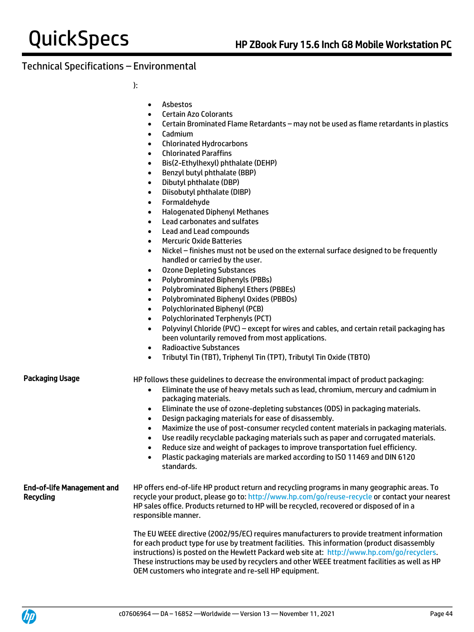):

- Asbestos
- Certain Azo Colorants
- Certain Brominated Flame Retardants may not be used as flame retardants in plastics
- Cadmium
- Chlorinated Hydrocarbons
- Chlorinated Paraffins
- Bis(2-Ethylhexyl) phthalate (DEHP)
- Benzyl butyl phthalate (BBP)
- Dibutyl phthalate (DBP)
- Diisobutyl phthalate (DIBP)
- Formaldehyde
- Halogenated Diphenyl Methanes
- Lead carbonates and sulfates
- Lead and Lead compounds
- Mercuric Oxide Batteries
- Nickel finishes must not be used on the external surface designed to be frequently handled or carried by the user.
- Ozone Depleting Substances
- Polybrominated Biphenyls (PBBs)
- Polybrominated Biphenyl Ethers (PBBEs)
- Polybrominated Biphenyl Oxides (PBBOs)
- Polychlorinated Biphenyl (PCB)
- Polychlorinated Terphenyls (PCT)
- Polyvinyl Chloride (PVC) except for wires and cables, and certain retail packaging has been voluntarily removed from most applications.
- Radioactive Substances
- Tributyl Tin (TBT), Triphenyl Tin (TPT), Tributyl Tin Oxide (TBTO)

Packaging Usage HP follows these quidelines to decrease the environmental impact of product packaging:

- Eliminate the use of heavy metals such as lead, chromium, mercury and cadmium in packaging materials.
- Eliminate the use of ozone-depleting substances (ODS) in packaging materials.
- Design packaging materials for ease of disassembly.
- Maximize the use of post-consumer recycled content materials in packaging materials.
- Use readily recyclable packaging materials such as paper and corrugated materials.
- Reduce size and weight of packages to improve transportation fuel efficiency.
- Plastic packaging materials are marked according to ISO 11469 and DIN 6120 standards.

### End-of-life Management and Recycling HP offers end-of-life HP product return and recycling programs in many geographic areas. To recycle your product, please go to:<http://www.hp.com/go/reuse-recycle> or contact your nearest HP sales office. Products returned to HP will be recycled, recovered or disposed of in a responsible manner.

The EU WEEE directive (2002/95/EC) requires manufacturers to provide treatment information for each product type for use by treatment facilities. This information (product disassembly instructions) is posted on the Hewlett Packard web site at: [http://www.hp.com/go/recyclers.](http://www.hp.com/go/recyclers) These instructions may be used by recyclers and other WEEE treatment facilities as well as HP OEM customers who integrate and re-sell HP equipment.

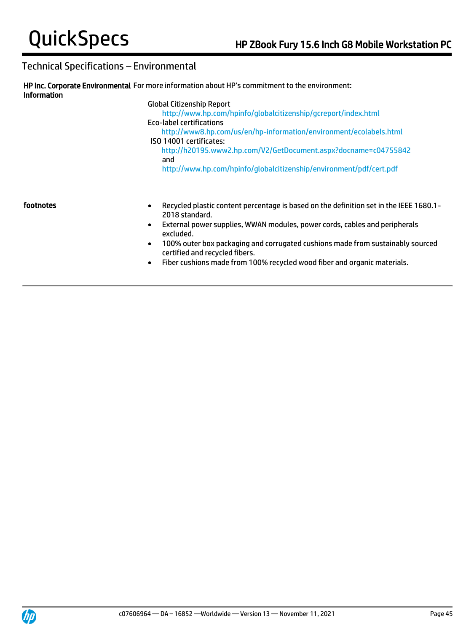| <b>Information</b> | HP Inc. Corporate Environmental For more information about HP's commitment to the environment:                                                                                                                                                                                                     |
|--------------------|----------------------------------------------------------------------------------------------------------------------------------------------------------------------------------------------------------------------------------------------------------------------------------------------------|
|                    | <b>Global Citizenship Report</b><br>http://www.hp.com/hpinfo/globalcitizenship/gcreport/index.html<br>Eco-label certifications<br>http://www8.hp.com/us/en/hp-information/environment/ecolabels.html<br>ISO 14001 certificates:<br>http://h20195.www2.hp.com/V2/GetDocument.aspx?docname=c04755842 |
|                    | and<br>http://www.hp.com/hpinfo/globalcitizenship/environment/pdf/cert.pdf                                                                                                                                                                                                                         |
| footnotes          | Recycled plastic content percentage is based on the definition set in the IEEE 1680.1 -<br>$\bullet$<br>2018 standard.<br>External power supplies, WWAN modules, power cords, cables and peripherals<br>$\bullet$<br>excluded.                                                                     |

- 100% outer box packaging and corrugated cushions made from sustainably sourced certified and recycled fibers.
- Fiber cushions made from 100% recycled wood fiber and organic materials.

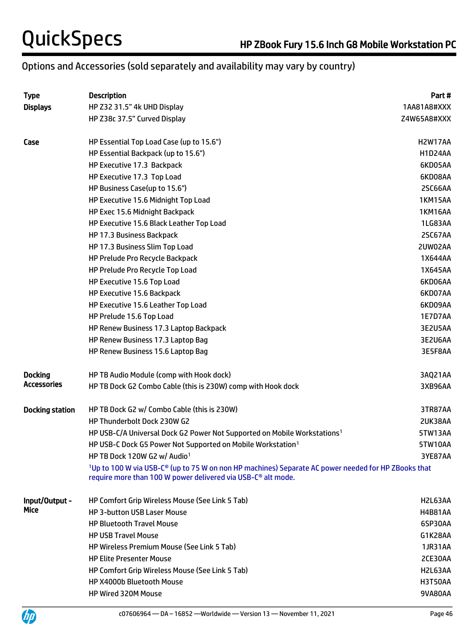# Options and Accessories (sold separately and availability may vary by country)

| <b>Type</b>            | <b>Description</b>                                                                                                                                                                                      | Part #         |
|------------------------|---------------------------------------------------------------------------------------------------------------------------------------------------------------------------------------------------------|----------------|
| <b>Displays</b>        | HP Z32 31.5" 4k UHD Display                                                                                                                                                                             | 1AA81A8#XXX    |
|                        | HP Z38c 37.5" Curved Display                                                                                                                                                                            | Z4W65A8#XXX    |
| Case                   | HP Essential Top Load Case (up to 15.6")                                                                                                                                                                | H2W17AA        |
|                        | HP Essential Backpack (up to 15.6")                                                                                                                                                                     | <b>H1D24AA</b> |
|                        | HP Executive 17.3 Backpack                                                                                                                                                                              | 6KD05AA        |
|                        | HP Executive 17.3 Top Load                                                                                                                                                                              | 6KD08AA        |
|                        | HP Business Case(up to 15.6")                                                                                                                                                                           | 2SC66AA        |
|                        | HP Executive 15.6 Midnight Top Load                                                                                                                                                                     | <b>1KM15AA</b> |
|                        | HP Exec 15.6 Midnight Backpack                                                                                                                                                                          | <b>1KM16AA</b> |
|                        | HP Executive 15.6 Black Leather Top Load                                                                                                                                                                | 1LG83AA        |
|                        | HP 17.3 Business Backpack                                                                                                                                                                               | 2SC67AA        |
|                        | HP 17.3 Business Slim Top Load                                                                                                                                                                          | 2UW02AA        |
|                        | HP Prelude Pro Recycle Backpack                                                                                                                                                                         | 1X644AA        |
|                        | HP Prelude Pro Recycle Top Load                                                                                                                                                                         | 1X645AA        |
|                        | HP Executive 15.6 Top Load                                                                                                                                                                              | 6KD06AA        |
|                        | HP Executive 15.6 Backpack                                                                                                                                                                              | 6KD07AA        |
|                        | HP Executive 15.6 Leather Top Load                                                                                                                                                                      | 6KD09AA        |
|                        | HP Prelude 15.6 Top Load                                                                                                                                                                                | 1E7D7AA        |
|                        | HP Renew Business 17.3 Laptop Backpack                                                                                                                                                                  | 3E2U5AA        |
|                        | HP Renew Business 17.3 Laptop Bag                                                                                                                                                                       | 3E2U6AA        |
|                        | HP Renew Business 15.6 Laptop Bag                                                                                                                                                                       | 3E5F8AA        |
| <b>Docking</b>         | HP TB Audio Module (comp with Hook dock)                                                                                                                                                                | 3AQ21AA        |
| Accessories            | HP TB Dock G2 Combo Cable (this is 230W) comp with Hook dock                                                                                                                                            | 3XB96AA        |
| <b>Docking station</b> | HP TB Dock G2 w/ Combo Cable (this is 230W)                                                                                                                                                             | 3TR87AA        |
|                        | HP Thunderbolt Dock 230W G2                                                                                                                                                                             | 2UK38AA        |
|                        | HP USB-C/A Universal Dock G2 Power Not Supported on Mobile Workstations <sup>1</sup>                                                                                                                    | 5TW13AA        |
|                        | HP USB-C Dock G5 Power Not Supported on Mobile Workstation <sup>1</sup>                                                                                                                                 | 5TW10AA        |
|                        | HP TB Dock 120W G2 w/ Audio <sup>1</sup>                                                                                                                                                                | 3YE87AA        |
|                        | <sup>1</sup> Up to 100 W via USB-C <sup>®</sup> (up to 75 W on non HP machines) Separate AC power needed for HP ZBooks that<br>require more than 100 W power delivered via USB-C <sup>®</sup> alt mode. |                |
| Input/Output -         | HP Comfort Grip Wireless Mouse (See Link 5 Tab)                                                                                                                                                         | H2L63AA        |
| Mice                   | <b>HP 3-button USB Laser Mouse</b>                                                                                                                                                                      | <b>H4B81AA</b> |
|                        | <b>HP Bluetooth Travel Mouse</b>                                                                                                                                                                        | 6SP30AA        |
|                        | <b>HP USB Travel Mouse</b>                                                                                                                                                                              | G1K28AA        |
|                        | <b>HP Wireless Premium Mouse (See Link 5 Tab)</b>                                                                                                                                                       | 1JR31AA        |
|                        | <b>HP Elite Presenter Mouse</b>                                                                                                                                                                         | 2CE30AA        |
|                        | HP Comfort Grip Wireless Mouse (See Link 5 Tab)                                                                                                                                                         | H2L63AA        |
|                        | HP X4000b Bluetooth Mouse                                                                                                                                                                               | H3T50AA        |
|                        | HP Wired 320M Mouse                                                                                                                                                                                     | 9VA80AA        |

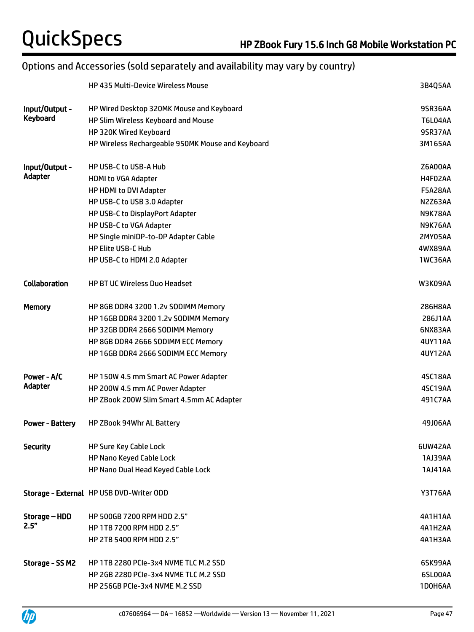# Options and Accessories (sold separately and availability may vary by country)

|                        | <b>HP 435 Multi-Device Wireless Mouse</b>         | 3B4Q5AA        |
|------------------------|---------------------------------------------------|----------------|
| Input/Output -         | HP Wired Desktop 320MK Mouse and Keyboard         | 9SR36AA        |
| <b>Keyboard</b>        | HP Slim Wireless Keyboard and Mouse               | T6L04AA        |
|                        | HP 320K Wired Keyboard                            | 9SR37AA        |
|                        | HP Wireless Rechargeable 950MK Mouse and Keyboard | 3M165AA        |
| Input/Output -         | HP USB-C to USB-A Hub                             | Z6A00AA        |
| Adapter                | <b>HDMI to VGA Adapter</b>                        | H4F02AA        |
|                        | HP HDMI to DVI Adapter                            | <b>F5A28AA</b> |
|                        | HP USB-C to USB 3.0 Adapter                       | N2Z63AA        |
|                        | HP USB-C to DisplayPort Adapter                   | N9K78AA        |
|                        | HP USB-C to VGA Adapter                           | N9K76AA        |
|                        | HP Single miniDP-to-DP Adapter Cable              | 2MY05AA        |
|                        | <b>HP Elite USB-C Hub</b>                         | 4WX89AA        |
|                        | HP USB-C to HDMI 2.0 Adapter                      | <b>1WC36AA</b> |
| <b>Collaboration</b>   | <b>HP BT UC Wireless Duo Headset</b>              | W3K09AA        |
| <b>Memory</b>          | HP 8GB DDR4 3200 1.2v SODIMM Memory               | 286H8AA        |
|                        | HP 16GB DDR4 3200 1.2v SODIMM Memory              | 286J1AA        |
|                        | HP 32GB DDR4 2666 SODIMM Memory                   | 6NX83AA        |
|                        | HP 8GB DDR4 2666 SODIMM ECC Memory                | 4UY11AA        |
|                        | HP 16GB DDR4 2666 SODIMM ECC Memory               | <b>4UY12AA</b> |
| Power - A/C            | HP 150W 4.5 mm Smart AC Power Adapter             | 4SC18AA        |
| Adapter                | HP 200W 4.5 mm AC Power Adapter                   | 4SC19AA        |
|                        | HP ZBook 200W Slim Smart 4.5mm AC Adapter         | 491C7AA        |
| <b>Power - Battery</b> | HP ZBook 94Whr AL Battery                         | 49J06AA        |
| <b>Security</b>        | <b>HP Sure Key Cable Lock</b>                     | 6UW42AA        |
|                        | HP Nano Keyed Cable Lock                          | 1AJ39AA        |
|                        | HP Nano Dual Head Keyed Cable Lock                | 1AJ41AA        |
|                        | Storage - External HP USB DVD-Writer ODD          | <b>Y3T76AA</b> |
| Storage – HDD          | HP 500GB 7200 RPM HDD 2.5"                        | 4A1H1AA        |
| 2.5"                   | HP 1TB 7200 RPM HDD 2.5"                          | 4A1H2AA        |
|                        | HP 2TB 5400 RPM HDD 2.5"                          | 4A1H3AA        |
| Storage - SS M2        | HP 1TB 2280 PCIe-3x4 NVME TLC M.2 SSD             | 6SK99AA        |
|                        | HP 2GB 2280 PCIe-3x4 NVME TLC M.2 SSD             | 6SL00AA        |
|                        | HP 256GB PCIe-3x4 NVME M.2 SSD                    | 1D0H6AA        |

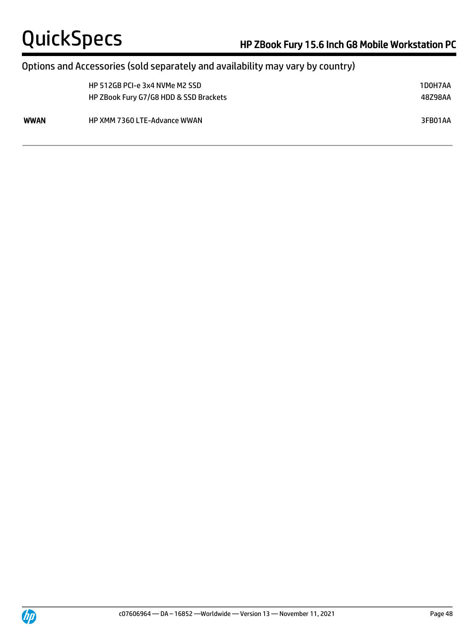# Options and Accessories (sold separately and availability may vary by country)

|      | HP 512GB PCI-e 3x4 NVMe M2 SSD<br>HP ZBook Fury G7/G8 HDD & SSD Brackets | 1D0H7AA<br>48Z98AA |
|------|--------------------------------------------------------------------------|--------------------|
| WWAN | <b>HP XMM 7360 LTE-Advance WWAN</b>                                      | 3FB01AA            |



 $\overline{a}$